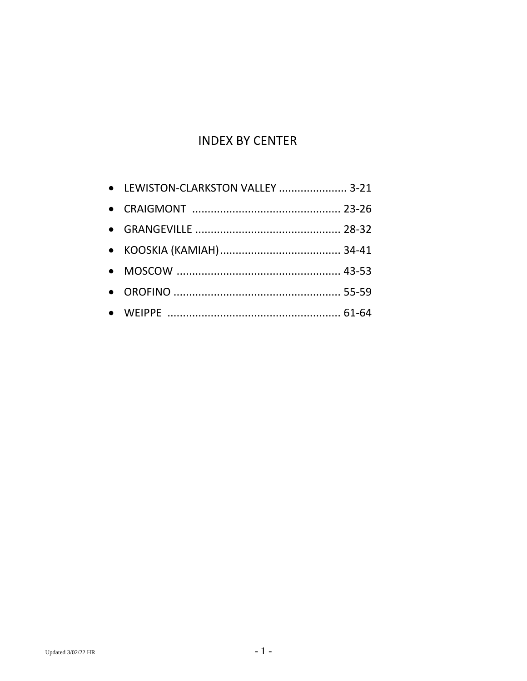# **INDEX BY CENTER**

| • LEWISTON-CLARKSTON VALLEY  3-21 |  |
|-----------------------------------|--|
|                                   |  |
|                                   |  |
|                                   |  |
|                                   |  |
|                                   |  |
|                                   |  |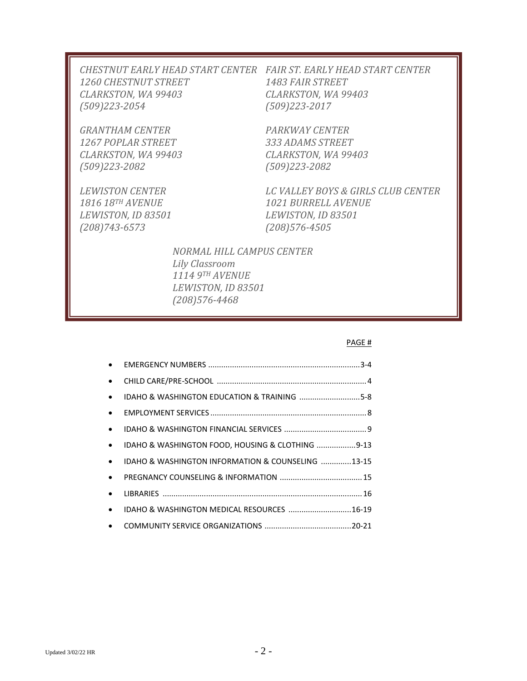| CHESTNUT EARLY HEAD START CENTER – FAIR ST. EARLY HEAD START CENTER |                         |
|---------------------------------------------------------------------|-------------------------|
| <i>1260 CHESTNUT STREET</i>                                         | <i>1483 FAIR STREET</i> |
| CLARKSTON, WA 99403                                                 | CLARKSTON, WA 99403     |
| $(509)$ 223-2054                                                    | $(509)$ 223-2017        |
|                                                                     |                         |

*GRANTHAM CENTER PARKWAY CENTER 1267 POPLAR STREET 333 ADAMS STREET CLARKSTON, WA 99403 CLARKSTON, WA 99403 (509)223-2082 (509)223-2082*

*LEWISTON, ID 83501 LEWISTON, ID 83501 (208)743-6573 (208)576-4505*

*LEWISTON CENTER LC VALLEY BOYS & GIRLS CLUB CENTER 1816 18TH AVENUE 1021 BURRELL AVENUE*

> *NORMAL HILL CAMPUS CENTER Lily Classroom 1114 9TH AVENUE LEWISTON, ID 83501 (208)576-4468*

### PAGE #

| $\bullet$ |                                                   |  |
|-----------|---------------------------------------------------|--|
| $\bullet$ |                                                   |  |
| $\bullet$ | IDAHO & WASHINGTON EDUCATION & TRAINING 5-8       |  |
| $\bullet$ |                                                   |  |
| $\bullet$ |                                                   |  |
| $\bullet$ | IDAHO & WASHINGTON FOOD, HOUSING & CLOTHING 9-13  |  |
| $\bullet$ | IDAHO & WASHINGTON INFORMATION & COUNSELING 13-15 |  |
| $\bullet$ |                                                   |  |
| $\bullet$ |                                                   |  |
| $\bullet$ | IDAHO & WASHINGTON MEDICAL RESOURCES  16-19       |  |
| $\bullet$ |                                                   |  |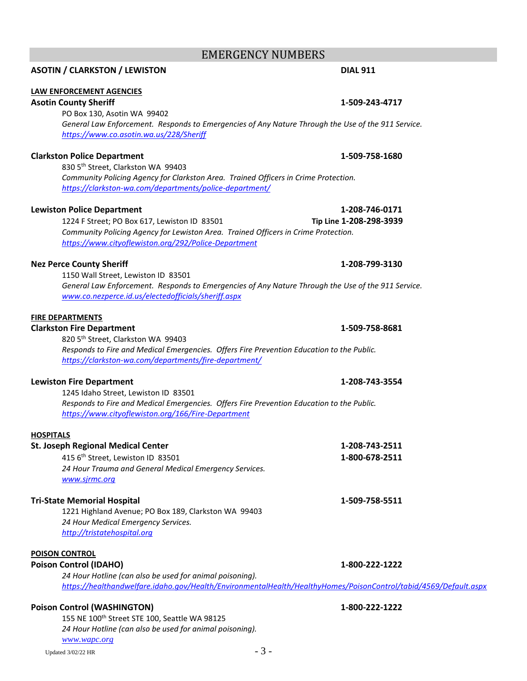*24 Hour Hotline (can also be used for animal poisoning).*

### **ASOTIN / CLARKSTON / LEWISTON DIAL 911**

### **LAW ENFORCEMENT AGENCIES**

### **Asotin County Sheriff 1-509-243-4717**

PO Box 130, Asotin WA 99402 *General Law Enforcement. Responds to Emergencies of Any Nature Through the Use of the 911 Service. <https://www.co.asotin.wa.us/228/Sheriff>*

### **Clarkston Police Department 1-509-758-1680**

830 5th Street, Clarkston WA 99403 *Community Policing Agency for Clarkston Area. Trained Officers in Crime Protection. <https://clarkston-wa.com/departments/police-department/>*

### **Lewiston Police Department 1-208-746-0171**

1224 F Street; PO Box 617, Lewiston ID 83501 **Tip Line 1-208-298-3939** *Community Policing Agency for Lewiston Area. Trained Officers in Crime Protection. <https://www.cityoflewiston.org/292/Police-Department>*

### **Nez Perce County Sheriff 1-208-799-3130**

1150 Wall Street, Lewiston ID 83501 *General Law Enforcement. Responds to Emergencies of Any Nature Through the Use of the 911 Service. [www.co.nezperce.id.us/electedofficials/sheriff.aspx](http://www.co.nezperce.id.us/electedofficials/sheriff.aspx)*

### **FIRE DEPARTMENTS**

### **Clarkston Fire Department 1-509-758-8681**

820 5th Street, Clarkston WA 99403 *Responds to Fire and Medical Emergencies. Offers Fire Prevention Education to the Public. <https://clarkston-wa.com/departments/fire-department/>*

### **Lewiston Fire Department 1-208-743-3554**

1245 Idaho Street, Lewiston ID 83501 *Responds to Fire and Medical Emergencies. Offers Fire Prevention Education to the Public. <https://www.cityoflewiston.org/166/Fire-Department>*

### **HOSPITALS**

| <b>St. Joseph Regional Medical Center</b>                                                                        | 1-208-743-2511 |  |
|------------------------------------------------------------------------------------------------------------------|----------------|--|
| 415 6 <sup>th</sup> Street, Lewiston ID 83501                                                                    | 1-800-678-2511 |  |
| 24 Hour Trauma and General Medical Emergency Services.                                                           |                |  |
| www.sjrmc.org                                                                                                    |                |  |
| <b>Tri-State Memorial Hospital</b>                                                                               | 1-509-758-5511 |  |
| 1221 Highland Avenue; PO Box 189, Clarkston WA 99403                                                             |                |  |
| 24 Hour Medical Emergency Services.                                                                              |                |  |
| http://tristatehospital.org                                                                                      |                |  |
| <b>POISON CONTROL</b>                                                                                            |                |  |
| <b>Poison Control (IDAHO)</b>                                                                                    | 1-800-222-1222 |  |
| 24 Hour Hotline (can also be used for animal poisoning).                                                         |                |  |
| https://healthandwelfare.idaho.gov/Health/EnvironmentalHealth/HealthyHomes/PoisonControl/tabid/4569/Default.aspx |                |  |
| <b>Poison Control (WASHINGTON)</b>                                                                               | 1-800-222-1222 |  |
| 155 NE 100th Street STE 100, Seattle WA 98125                                                                    |                |  |

## EMERGENCY NUMBERS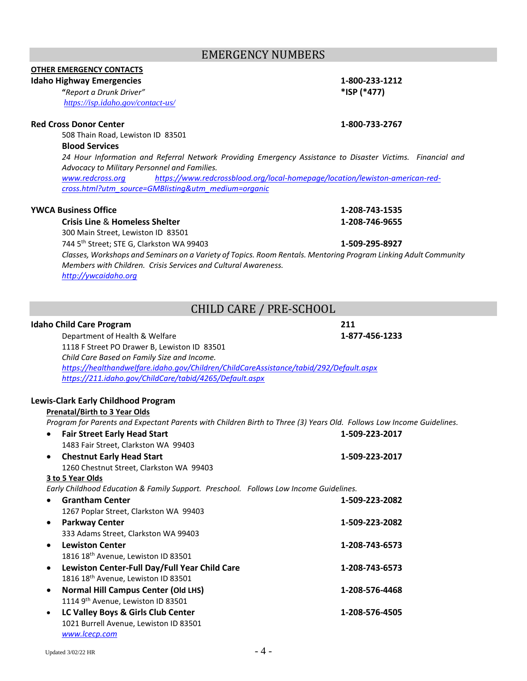## EMERGENCY NUMBERS

### **OTHER EMERGENCY CONTACTS Idaho Highway Emergencies 1-800-233-1212**

*<https://isp.idaho.gov/contact-us/>*

### **Red Cross Donor Center 1-800-733-2767**

508 Thain Road, Lewiston ID 83501

### **Blood Services**

*24 Hour Information and Referral Network Providing Emergency Assistance to Disaster Victims. Financial and Advocacy to Military Personnel and Families.*

*[www.redcross.org](http://www.redcross.org/) [https://www.redcrossblood.org/local-homepage/location/lewiston-american-red](https://www.redcrossblood.org/local-homepage/location/lewiston-american-red-cross.html?utm_source=GMBlisting&utm_medium=organic)[cross.html?utm\\_source=GMBlisting&utm\\_medium=organic](https://www.redcrossblood.org/local-homepage/location/lewiston-american-red-cross.html?utm_source=GMBlisting&utm_medium=organic)*

### **YWCA Business Office 1-208-743-1535**

**Crisis Line** & **Homeless Shelter 1-208-746-9655**

300 Main Street, Lewiston ID 83501

744 5th Street; STE G, Clarkston WA 99403 **1-509-295-8927**

*Classes, Workshops and Seminars on a Variety of Topics. Room Rentals. Mentoring Program Linking Adult Community Members with Children. Crisis Services and Cultural Awareness. [http://ywcaidaho.org](http://ywcaidaho.org/)*

# CHILD CARE / PRE-SCHOOL

### **Idaho Child Care Program 211**

|           | Department of Health & Welfare                                                         | 1-877-456-1233                                                                                                       |
|-----------|----------------------------------------------------------------------------------------|----------------------------------------------------------------------------------------------------------------------|
|           | 1118 F Street PO Drawer B, Lewiston ID 83501                                           |                                                                                                                      |
|           | Child Care Based on Family Size and Income.                                            |                                                                                                                      |
|           | https://healthandwelfare.idaho.gov/Children/ChildCareAssistance/tabid/292/Default.aspx |                                                                                                                      |
|           | https://211.idaho.gov/ChildCare/tabid/4265/Default.aspx                                |                                                                                                                      |
|           |                                                                                        |                                                                                                                      |
|           | Lewis-Clark Early Childhood Program                                                    |                                                                                                                      |
|           | <b>Prenatal/Birth to 3 Year Olds</b>                                                   |                                                                                                                      |
|           |                                                                                        | Program for Parents and Expectant Parents with Children Birth to Three (3) Years Old. Follows Low Income Guidelines. |
|           | <b>Fair Street Early Head Start</b>                                                    | 1-509-223-2017                                                                                                       |
|           | 1483 Fair Street, Clarkston WA 99403                                                   |                                                                                                                      |
| $\bullet$ | <b>Chestnut Early Head Start</b>                                                       | 1-509-223-2017                                                                                                       |
|           | 1260 Chestnut Street, Clarkston WA 99403                                               |                                                                                                                      |
|           | 3 to 5 Year Olds                                                                       |                                                                                                                      |
|           | Early Childhood Education & Family Support. Preschool. Follows Low Income Guidelines.  |                                                                                                                      |
|           | <b>Grantham Center</b>                                                                 | 1-509-223-2082                                                                                                       |
|           | 1267 Poplar Street, Clarkston WA 99403                                                 |                                                                                                                      |
| $\bullet$ | <b>Parkway Center</b>                                                                  | 1-509-223-2082                                                                                                       |
|           | 333 Adams Street, Clarkston WA 99403                                                   |                                                                                                                      |
| $\bullet$ | <b>Lewiston Center</b>                                                                 | 1-208-743-6573                                                                                                       |
|           | 1816 18 <sup>th</sup> Avenue, Lewiston ID 83501                                        |                                                                                                                      |
| $\bullet$ | Lewiston Center-Full Day/Full Year Child Care                                          | 1-208-743-6573                                                                                                       |
|           | 1816 18 <sup>th</sup> Avenue, Lewiston ID 83501                                        |                                                                                                                      |
| $\bullet$ | <b>Normal Hill Campus Center (Old LHS)</b>                                             | 1-208-576-4468                                                                                                       |
|           | 1114 9th Avenue, Lewiston ID 83501                                                     |                                                                                                                      |
| $\bullet$ | LC Valley Boys & Girls Club Center                                                     | 1-208-576-4505                                                                                                       |
|           | 1021 Burrell Avenue, Lewiston ID 83501                                                 |                                                                                                                      |
|           | www.lcecp.com                                                                          |                                                                                                                      |

**"***Report a Drunk Driver"* **\*ISP (\*477)**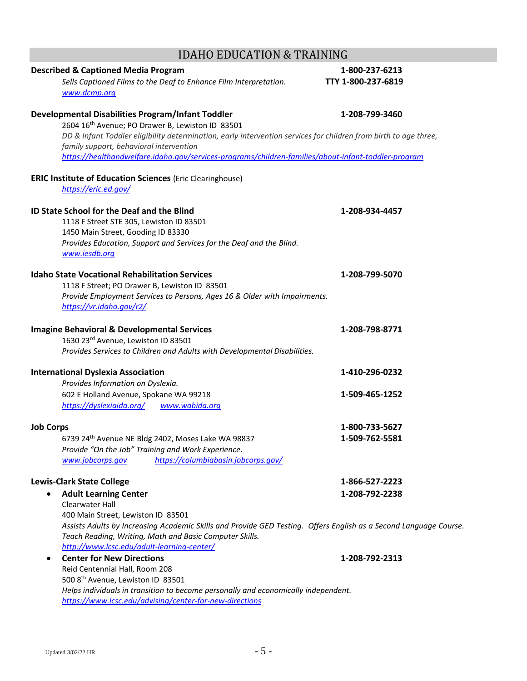| <b>Described &amp; Captioned Media Program</b><br>Sells Captioned Films to the Deaf to Enhance Film Interpretation.<br>www.dcmp.org                                                                                                                              | 1-800-237-6213<br>TTY 1-800-237-6819 |
|------------------------------------------------------------------------------------------------------------------------------------------------------------------------------------------------------------------------------------------------------------------|--------------------------------------|
| Developmental Disabilities Program/Infant Toddler                                                                                                                                                                                                                | 1-208-799-3460                       |
| 2604 16th Avenue; PO Drawer B, Lewiston ID 83501<br>DD & Infant Toddler eligibility determination, early intervention services for children from birth to age three,<br>family support, behavioral intervention                                                  |                                      |
| https://healthandwelfare.idaho.gov/services-programs/children-families/about-infant-toddler-program                                                                                                                                                              |                                      |
| <b>ERIC Institute of Education Sciences (Eric Clearinghouse)</b><br>https://eric.ed.gov/                                                                                                                                                                         |                                      |
| ID State School for the Deaf and the Blind<br>1118 F Street STE 305, Lewiston ID 83501<br>1450 Main Street, Gooding ID 83330<br>Provides Education, Support and Services for the Deaf and the Blind.<br>www.iesdb.org                                            | 1-208-934-4457                       |
| <b>Idaho State Vocational Rehabilitation Services</b><br>1118 F Street; PO Drawer B, Lewiston ID 83501<br>Provide Employment Services to Persons, Ages 16 & Older with Impairments.<br>https://vr.idaho.gov/r2/                                                  | 1-208-799-5070                       |
| <b>Imagine Behavioral &amp; Developmental Services</b><br>1630 23rd Avenue, Lewiston ID 83501<br>Provides Services to Children and Adults with Developmental Disabilities.                                                                                       | 1-208-798-8771                       |
| <b>International Dyslexia Association</b>                                                                                                                                                                                                                        | 1-410-296-0232                       |
| Provides Information on Dyslexia.<br>602 E Holland Avenue, Spokane WA 99218<br>https://dyslexiaida.org/<br>www.wabida.org                                                                                                                                        | 1-509-465-1252                       |
| <b>Job Corps</b>                                                                                                                                                                                                                                                 | 1-800-733-5627                       |
| 6739 24th Avenue NE Bldg 2402, Moses Lake WA 98837<br>Provide "On the Job" Training and Work Experience.<br>https://columbiabasin.jobcorps.gov/<br>www.jobcorps.gov                                                                                              | 1-509-762-5581                       |
| <b>Lewis-Clark State College</b>                                                                                                                                                                                                                                 | 1-866-527-2223                       |
| <b>Adult Learning Center</b><br>٠<br>Clearwater Hall                                                                                                                                                                                                             | 1-208-792-2238                       |
| 400 Main Street, Lewiston ID 83501<br>Assists Adults by Increasing Academic Skills and Provide GED Testing. Offers English as a Second Language Course.<br>Teach Reading, Writing, Math and Basic Computer Skills.<br>http://www.lcsc.edu/adult-learning-center/ |                                      |
| <b>Center for New Directions</b><br>٠<br>Reid Centennial Hall, Room 208<br>500 8th Avenue, Lewiston ID 83501<br>Helps individuals in transition to become personally and economically independent.<br>https://www.lcsc.edu/advising/center-for-new-directions    | 1-208-792-2313                       |

# IDAHO EDUCATION & TRAINING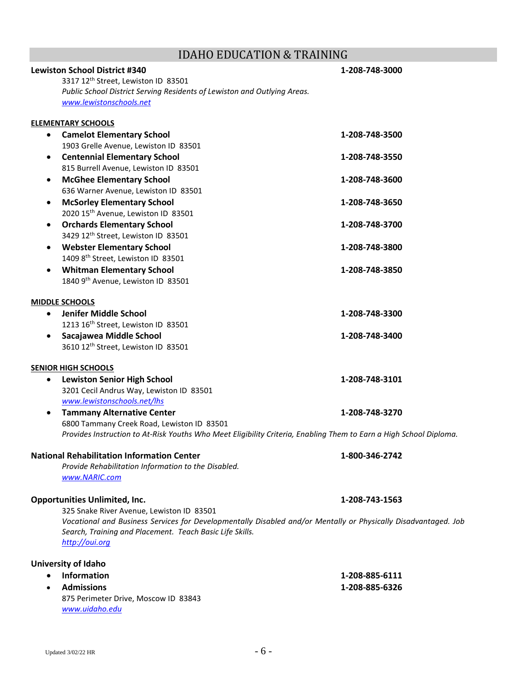# IDAHO EDUCATION & TRAINING

|           | <b>Lewiston School District #340</b>                                                                               | 1-208-748-3000 |
|-----------|--------------------------------------------------------------------------------------------------------------------|----------------|
|           | 3317 12th Street, Lewiston ID 83501                                                                                |                |
|           | Public School District Serving Residents of Lewiston and Outlying Areas.                                           |                |
|           | www.lewistonschools.net                                                                                            |                |
|           | <b>ELEMENTARY SCHOOLS</b>                                                                                          |                |
| $\bullet$ | <b>Camelot Elementary School</b>                                                                                   | 1-208-748-3500 |
|           | 1903 Grelle Avenue, Lewiston ID 83501                                                                              |                |
|           |                                                                                                                    |                |
| $\bullet$ | <b>Centennial Elementary School</b>                                                                                | 1-208-748-3550 |
|           | 815 Burrell Avenue, Lewiston ID 83501                                                                              |                |
| $\bullet$ | <b>McGhee Elementary School</b>                                                                                    | 1-208-748-3600 |
|           | 636 Warner Avenue, Lewiston ID 83501                                                                               |                |
| $\bullet$ | <b>McSorley Elementary School</b>                                                                                  | 1-208-748-3650 |
|           | 2020 15 <sup>th</sup> Avenue, Lewiston ID 83501                                                                    |                |
| $\bullet$ | <b>Orchards Elementary School</b>                                                                                  | 1-208-748-3700 |
|           | 3429 12th Street, Lewiston ID 83501                                                                                |                |
| ٠         | <b>Webster Elementary School</b>                                                                                   | 1-208-748-3800 |
|           | 1409 8th Street, Lewiston ID 83501                                                                                 |                |
|           | <b>Whitman Elementary School</b>                                                                                   | 1-208-748-3850 |
|           | 1840 9th Avenue, Lewiston ID 83501                                                                                 |                |
|           | <b>MIDDLE SCHOOLS</b>                                                                                              |                |
| $\bullet$ | Jenifer Middle School                                                                                              | 1-208-748-3300 |
|           | 1213 16 <sup>th</sup> Street, Lewiston ID 83501                                                                    |                |
|           |                                                                                                                    |                |
|           | Sacajawea Middle School                                                                                            | 1-208-748-3400 |
|           | 3610 12th Street, Lewiston ID 83501                                                                                |                |
|           | <b>SENIOR HIGH SCHOOLS</b>                                                                                         |                |
| ٠         | <b>Lewiston Senior High School</b>                                                                                 | 1-208-748-3101 |
|           | 3201 Cecil Andrus Way, Lewiston ID 83501                                                                           |                |
|           | www.lewistonschools.net/lhs                                                                                        |                |
| ٠         | <b>Tammany Alternative Center</b>                                                                                  | 1-208-748-3270 |
|           | 6800 Tammany Creek Road, Lewiston ID 83501                                                                         |                |
|           | Provides Instruction to At-Risk Youths Who Meet Eligibility Criteria, Enabling Them to Earn a High School Diploma. |                |
|           | <b>National Rehabilitation Information Center</b>                                                                  | 1-800-346-2742 |
|           | Provide Rehabilitation Information to the Disabled.                                                                |                |
|           | www.NARIC.com                                                                                                      |                |
|           |                                                                                                                    |                |
|           | <b>Opportunities Unlimited, Inc.</b>                                                                               | 1-208-743-1563 |
|           | 325 Snake River Avenue, Lewiston ID 83501                                                                          |                |
|           | Vocational and Business Services for Developmentally Disabled and/or Mentally or Physically Disadvantaged. Job     |                |
|           | Search, Training and Placement. Teach Basic Life Skills.                                                           |                |
|           | http://oui.org                                                                                                     |                |
|           | University of Idaho                                                                                                |                |
|           | Information                                                                                                        | 1-208-885-6111 |
|           | <b>Admissions</b>                                                                                                  | 1-208-885-6326 |
|           | 875 Perimeter Drive, Moscow ID 83843                                                                               |                |
|           | www.uidaho.edu                                                                                                     |                |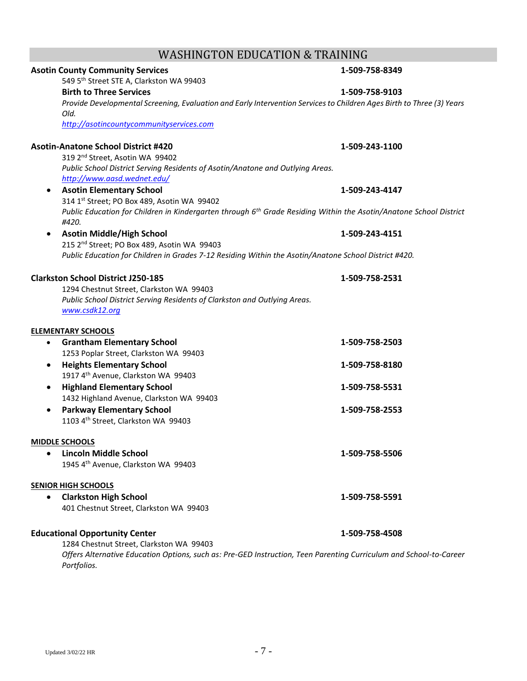|           | <b>Birth to Three Services</b>                                                                                                          | 1-509-758-9103 |
|-----------|-----------------------------------------------------------------------------------------------------------------------------------------|----------------|
|           | Provide Developmental Screening, Evaluation and Early Intervention Services to Children Ages Birth to Three (3) Years<br>Old.           |                |
|           | http://asotincountycommunityservices.com                                                                                                |                |
|           | <b>Asotin-Anatone School District #420</b>                                                                                              | 1-509-243-1100 |
|           | 319 2 <sup>nd</sup> Street, Asotin WA 99402                                                                                             |                |
|           | Public School District Serving Residents of Asotin/Anatone and Outlying Areas.                                                          |                |
|           | http://www.aasd.wednet.edu/                                                                                                             |                |
| $\bullet$ | <b>Asotin Elementary School</b>                                                                                                         | 1-509-243-4147 |
|           | 314 1st Street; PO Box 489, Asotin WA 99402                                                                                             |                |
|           | Public Education for Children in Kindergarten through 6 <sup>th</sup> Grade Residing Within the Asotin/Anatone School District<br>#420. |                |
| $\bullet$ | <b>Asotin Middle/High School</b>                                                                                                        | 1-509-243-4151 |
|           | 215 2 <sup>nd</sup> Street; PO Box 489, Asotin WA 99403                                                                                 |                |
|           | Public Education for Children in Grades 7-12 Residing Within the Asotin/Anatone School District #420.                                   |                |
|           | <b>Clarkston School District J250-185</b>                                                                                               | 1-509-758-2531 |
|           | 1294 Chestnut Street, Clarkston WA 99403                                                                                                |                |
|           | Public School District Serving Residents of Clarkston and Outlying Areas.                                                               |                |
|           | www.csdk12.org                                                                                                                          |                |
|           | <b>ELEMENTARY SCHOOLS</b>                                                                                                               |                |
|           | <b>Grantham Elementary School</b>                                                                                                       | 1-509-758-2503 |
|           | 1253 Poplar Street, Clarkston WA 99403                                                                                                  |                |
| $\bullet$ | <b>Heights Elementary School</b>                                                                                                        | 1-509-758-8180 |
|           | 1917 4th Avenue, Clarkston WA 99403                                                                                                     |                |
|           | <b>Highland Elementary School</b>                                                                                                       | 1-509-758-5531 |
|           | 1432 Highland Avenue, Clarkston WA 99403                                                                                                |                |
|           | <b>Parkway Elementary School</b>                                                                                                        | 1-509-758-2553 |
|           | 1103 4th Street, Clarkston WA 99403                                                                                                     |                |
|           | <b>MIDDLE SCHOOLS</b>                                                                                                                   |                |
| $\bullet$ | <b>Lincoln Middle School</b>                                                                                                            | 1-509-758-5506 |
|           | 1945 4th Avenue, Clarkston WA 99403                                                                                                     |                |
|           | <b>SENIOR HIGH SCHOOLS</b>                                                                                                              |                |
|           | <b>Clarkston High School</b>                                                                                                            | 1-509-758-5591 |
|           | 401 Chestnut Street, Clarkston WA 99403                                                                                                 |                |
|           | <b>Educational Opportunity Center</b>                                                                                                   | 1-509-758-4508 |
|           | 1284 Chestnut Street, Clarkston WA 99403                                                                                                |                |
|           | Offers Alternative Education Options, such as: Pre-GED Instruction, Teen Parenting Curriculum and School-to-Career<br>Portfolios.       |                |
|           |                                                                                                                                         |                |

# WASHINGTON EDUCATION & TRAINING

**Asotin County Community Services 1-509-758-8349**

549 5th Street STE A, Clarkston WA 99403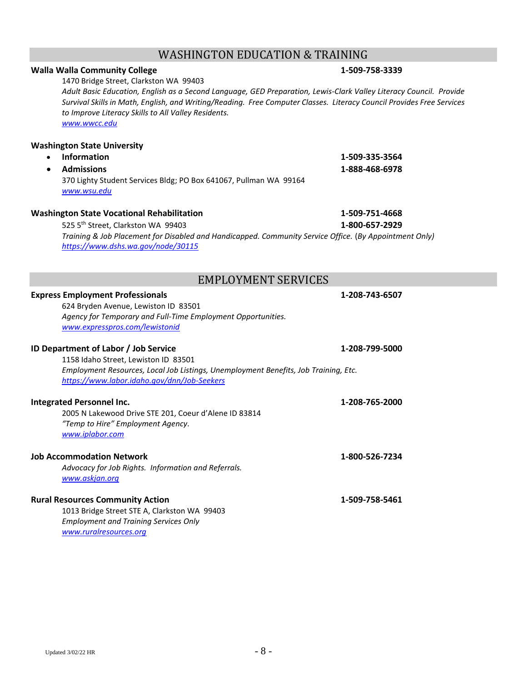# WASHINGTON EDUCATION & TRAINING

### **Walla Walla Community College 1-509-758-3339**

1470 Bridge Street, Clarkston WA 99403 *Adult Basic Education, English as a Second Language, GED Preparation, Lewis-Clark Valley Literacy Council. Provide Survival Skills in Math, English, and Writing/Reading. Free Computer Classes. Literacy Council Provides Free Services to Improve Literacy Skills to All Valley Residents. [www.wwcc.edu](http://www.wwcc.edu/)*

### **Washington State University**

| • Information                                                     | 1-509-335-3564 |
|-------------------------------------------------------------------|----------------|
| • Admissions                                                      | 1-888-468-6978 |
| 370 Lighty Student Services Bldg; PO Box 641067, Pullman WA 99164 |                |
| www.wsu.edu                                                       |                |

### **Washington State Vocational Rehabilitation 1-509-751-4668**

525 5th Street, Clarkston WA 99403 **1-800-657-2929** *Training & Job Placement for Disabled and Handicapped. Community Service Office.* (*By Appointment Only) <https://www.dshs.wa.gov/node/30115>*

# EMPLOYMENT SERVICES

| <b>Express Employment Professionals</b><br>624 Bryden Avenue, Lewiston ID 83501<br>Agency for Temporary and Full-Time Employment Opportunities.<br>www.expresspros.com/lewistonid                                         | 1-208-743-6507 |
|---------------------------------------------------------------------------------------------------------------------------------------------------------------------------------------------------------------------------|----------------|
| <b>ID Department of Labor / Job Service</b><br>1158 Idaho Street, Lewiston ID 83501<br>Employment Resources, Local Job Listings, Unemployment Benefits, Job Training, Etc.<br>https://www.labor.idaho.gov/dnn/Job-Seekers | 1-208-799-5000 |
| Integrated Personnel Inc.<br>2005 N Lakewood Drive STE 201, Coeur d'Alene ID 83814<br>"Temp to Hire" Employment Agency.<br>www.iplabor.com                                                                                | 1-208-765-2000 |
| <b>Job Accommodation Network</b><br>Advocacy for Job Rights. Information and Referrals.<br>www.askjan.org                                                                                                                 | 1-800-526-7234 |
| <b>Rural Resources Community Action</b><br>1013 Bridge Street STE A, Clarkston WA 99403<br><b>Employment and Training Services Only</b><br>www.ruralresources.org                                                         | 1-509-758-5461 |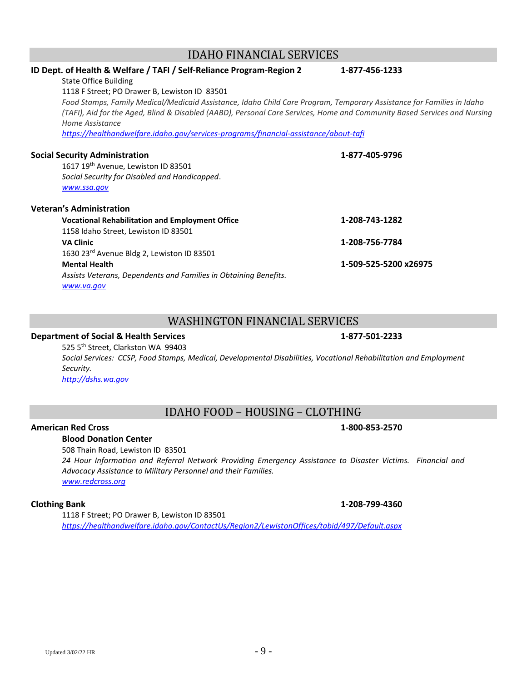### IDAHO FINANCIAL SERVICES

| ID Dept. of Health & Welfare / TAFI / Self-Reliance Program-Region 2                                                     | 1-877-456-1233        |
|--------------------------------------------------------------------------------------------------------------------------|-----------------------|
| <b>State Office Building</b>                                                                                             |                       |
| 1118 F Street; PO Drawer B, Lewiston ID 83501                                                                            |                       |
| Food Stamps, Family Medical/Medicaid Assistance, Idaho Child Care Program, Temporary Assistance for Families in Idaho    |                       |
| (TAFI), Aid for the Aged, Blind & Disabled (AABD), Personal Care Services, Home and Community Based Services and Nursing |                       |
| Home Assistance                                                                                                          |                       |
| https://healthandwelfare.idaho.gov/services-programs/financial-assistance/about-tafi                                     |                       |
| <b>Social Security Administration</b>                                                                                    | 1-877-405-9796        |
| 1617 19 <sup>th</sup> Avenue, Lewiston ID 83501                                                                          |                       |
| Social Security for Disabled and Handicapped.                                                                            |                       |
| www.ssa.gov                                                                                                              |                       |
| <b>Veteran's Administration</b>                                                                                          |                       |
| <b>Vocational Rehabilitation and Employment Office</b>                                                                   | 1-208-743-1282        |
| 1158 Idaho Street, Lewiston ID 83501                                                                                     |                       |
| <b>VA Clinic</b>                                                                                                         | 1-208-756-7784        |
| 1630 23 <sup>rd</sup> Avenue Bldg 2, Lewiston ID 83501                                                                   |                       |
| <b>Mental Health</b>                                                                                                     | 1-509-525-5200 x26975 |
| Assists Veterans, Dependents and Families in Obtaining Benefits.                                                         |                       |
| www.va.gov                                                                                                               |                       |

### WASHINGTON FINANCIAL SERVICES

### **Department of Social & Health Services 1-877-501-2233**

525 5th Street, Clarkston WA 99403 *Social Services: CCSP, Food Stamps, Medical, Developmental Disabilities, Vocational Rehabilitation and Employment Security. [http://dshs.wa.gov](http://dshs.wa.gov/)*

# IDAHO FOOD – HOUSING – CLOTHING

### **American Red Cross 1-800-853-2570**

# **Blood Donation Center**

508 Thain Road, Lewiston ID 83501

*24 Hour Information and Referral Network Providing Emergency Assistance to Disaster Victims. Financial and Advocacy Assistance to Military Personnel and their Families. [www.redcross.org](http://www.redcross.org/)*

1118 F Street; PO Drawer B, Lewiston ID 83501 *<https://healthandwelfare.idaho.gov/ContactUs/Region2/LewistonOffices/tabid/497/Default.aspx>*

### **Clothing Bank 1-208-799-4360**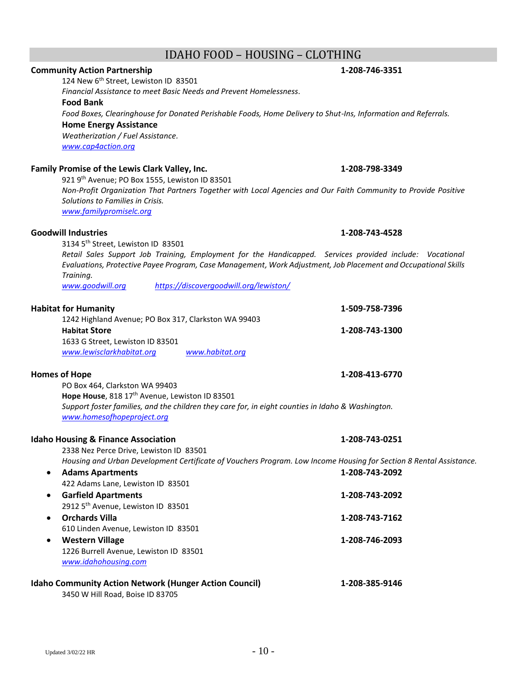## IDAHO FOOD – HOUSING – CLOTHING

### **Community Action Partnership 1-208-746-3351**

124 New 6<sup>th</sup> Street, Lewiston ID 83501 *Financial Assistance to meet Basic Needs and Prevent Homelessness.* **Food Bank**

*Food Boxes, Clearinghouse for Donated Perishable Foods, Home Delivery to Shut-Ins, Information and Referrals.* **Home Energy Assistance** *Weatherization / Fuel Assistance.*

*[www.cap4action.org](http://www.cap4action.org/)*

### **Family Promise of the Lewis Clark Valley, Inc. 1-208-798-3349**

921 9<sup>th</sup> Avenue; PO Box 1555, Lewiston ID 83501 *Non-Profit Organization That Partners Together with Local Agencies and Our Faith Community to Provide Positive Solutions to Families in Crisis. [www.familypromiselc.org](http://www.familypromiselc.org/)*

### **Goodwill Industries 1-208-743-4528**

3134 5th Street, Lewiston ID 83501

*Retail Sales Support Job Training, Employment for the Handicapped. Services provided include: Vocational Evaluations, Protective Payee Program, Case Management, Work Adjustment, Job Placement and Occupational Skills Training.*

*[www.goodwill.org](http://www.goodwill.org/) <https://discovergoodwill.org/lewiston/>*

### **Habitat for Humanity 1-509-758-7396** 1242 Highland Avenue; PO Box 317, Clarkston WA 99403 **Habitat Store 1-208-743-1300** 1633 G Street, Lewiston ID 83501 *[www.lewisclarkhabitat.org](http://www.lewisclarkhabitat.org/) [www.habitat.org](http://www.habitat.org/)*

### **Homes of Hope 1-208-413-6770**

PO Box 464, Clarkston WA 99403 Hope House, 818 17<sup>th</sup> Avenue, Lewiston ID 83501 *Support foster families, and the children they care for, in eight counties in Idaho & Washington. [www.homesofhopeproject.org](http://www.homesofhopeproject.org/)*

### **Idaho Housing & Finance Association 1-208-743-0251**

2338 Nez Perce Drive, Lewiston ID 83501 *Housing and Urban Development Certificate of Vouchers Program. Low Income Housing for Section 8 Rental Assistance.*

• **Adams Apartments 1-208-743-2092** 422 Adams Lane, Lewiston ID 83501 • **Garfield Apartments 1-208-743-2092** 2912 5<sup>th</sup> Avenue, Lewiston ID 83501 • **Orchards Villa 1-208-743-7162** 610 Linden Avenue, Lewiston ID 83501 • **Western Village 1-208-746-2093** 1226 Burrell Avenue, Lewiston ID 83501 *[www.idahohousing.com](http://www.idahohousing.com/)* **Idaho Community Action Network (Hunger Action Council) 1-208-385-9146**

3450 W Hill Road, Boise ID 83705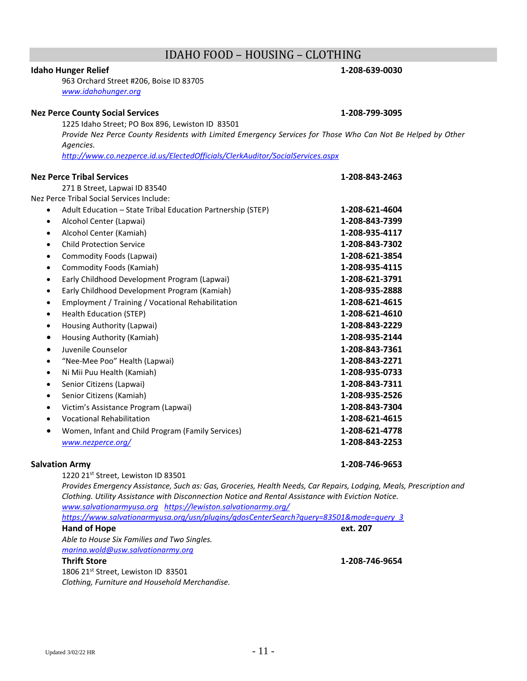# IDAHO FOOD – HOUSING – CLOTHING

### **Idaho Hunger Relief 1-208-639-0030**

963 Orchard Street #206, Boise ID 83705 *[www.idahohunger.org](http://www.idahohunger.org/)*

## **Nez Perce County Social Services 1-208-799-3095**

1225 Idaho Street; PO Box 896, Lewiston ID 83501 *Provide Nez Perce County Residents with Limited Emergency Services for Those Who Can Not Be Helped by Other Agencies.*

*<http://www.co.nezperce.id.us/ElectedOfficials/ClerkAuditor/SocialServices.aspx>*

### **Nez Perce Tribal Services 1-208-843-2463**

271 B Street, Lapwai ID 83540 Nez Perce Tribal Social Services Include:

| Adult Education - State Tribal Education Partnership (STEP)    | 1-208-621-4604 |
|----------------------------------------------------------------|----------------|
| Alcohol Center (Lapwai)<br>٠                                   | 1-208-843-7399 |
| Alcohol Center (Kamiah)<br>$\bullet$                           | 1-208-935-4117 |
| <b>Child Protection Service</b><br>$\bullet$                   | 1-208-843-7302 |
| Commodity Foods (Lapwai)<br>٠                                  | 1-208-621-3854 |
| Commodity Foods (Kamiah)                                       | 1-208-935-4115 |
| Early Childhood Development Program (Lapwai)<br>$\bullet$      | 1-208-621-3791 |
| Early Childhood Development Program (Kamiah)<br>$\bullet$      | 1-208-935-2888 |
| Employment / Training / Vocational Rehabilitation<br>$\bullet$ | 1-208-621-4615 |
| Health Education (STEP)<br>$\bullet$                           | 1-208-621-4610 |
| Housing Authority (Lapwai)<br>٠                                | 1-208-843-2229 |
| Housing Authority (Kamiah)<br>$\bullet$                        | 1-208-935-2144 |
| Juvenile Counselor<br>$\bullet$                                | 1-208-843-7361 |
| "Nee-Mee Poo" Health (Lapwai)<br>$\bullet$                     | 1-208-843-2271 |
| Ni Mii Puu Health (Kamiah)<br>$\bullet$                        | 1-208-935-0733 |
| Senior Citizens (Lapwai)<br>$\bullet$                          | 1-208-843-7311 |
| Senior Citizens (Kamiah)<br>$\bullet$                          | 1-208-935-2526 |
| Victim's Assistance Program (Lapwai)<br>٠                      | 1-208-843-7304 |
| <b>Vocational Rehabilitation</b><br>$\bullet$                  | 1-208-621-4615 |
| Women, Infant and Child Program (Family Services)              | 1-208-621-4778 |
| www.nezperce.org/                                              | 1-208-843-2253 |

### **Salvation Army 1-208-746-9653**

1220 21st Street, Lewiston ID 83501

*Provides Emergency Assistance, Such as: Gas, Groceries, Health Needs, Car Repairs, Lodging, Meals, Prescription and Clothing. Utility Assistance with Disconnection Notice and Rental Assistance with Eviction Notice. [www.salvationarmyusa.org](http://www.salvationarmyusa.org/) <https://lewiston.salvationarmy.org/>*

| https://www.salvationarmyusa.org/usn/plugins/gdosCenterSearch?guery=83501&mode=guery_3 |                |
|----------------------------------------------------------------------------------------|----------------|
| Hand of Hope                                                                           | ext. 207       |
| Able to House Six Families and Two Singles.                                            |                |
| marina.wold@usw.salvationarmy.org                                                      |                |
| <b>Thrift Store</b>                                                                    | 1-208-746-9654 |
| 1806 21 <sup>st</sup> Street, Lewiston ID 83501                                        |                |
| Clothing, Furniture and Household Merchandise.                                         |                |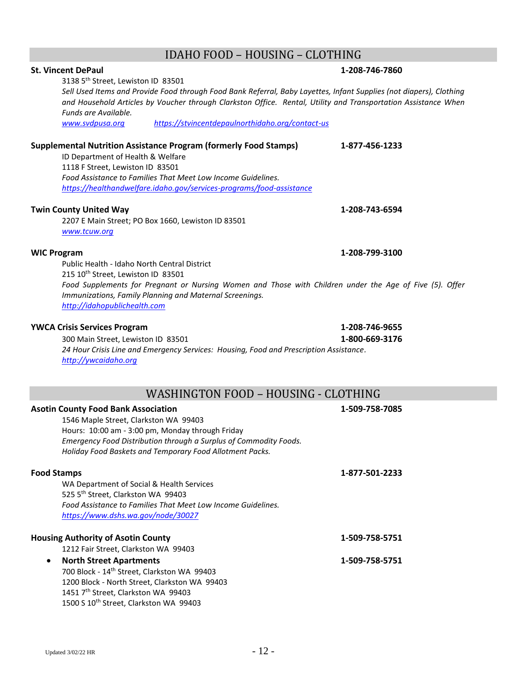# IDAHO FOOD – HOUSING – CLOTHING

| <b>St. Vincent DePaul</b>                                                                                           | 1-208-746-7860 |  |
|---------------------------------------------------------------------------------------------------------------------|----------------|--|
| 3138 5th Street, Lewiston ID 83501                                                                                  |                |  |
| Sell Used Items and Provide Food through Food Bank Referral, Baby Layettes, Infant Supplies (not diapers), Clothing |                |  |
| and Household Articles by Voucher through Clarkston Office. Rental, Utility and Transportation Assistance When      |                |  |
| Funds are Available.                                                                                                |                |  |
| www.svdpusa.org<br>https://stvincentdepaulnorthidaho.org/contact-us                                                 |                |  |
| <b>Supplemental Nutrition Assistance Program (formerly Food Stamps)</b>                                             | 1-877-456-1233 |  |
| ID Department of Health & Welfare                                                                                   |                |  |
| 1118 F Street, Lewiston ID 83501                                                                                    |                |  |
| Food Assistance to Families That Meet Low Income Guidelines.                                                        |                |  |
| https://healthandwelfare.idaho.gov/services-programs/food-assistance                                                |                |  |
| <b>Twin County United Way</b>                                                                                       | 1-208-743-6594 |  |
| 2207 E Main Street; PO Box 1660, Lewiston ID 83501                                                                  |                |  |
| www.tcuw.org                                                                                                        |                |  |
|                                                                                                                     |                |  |
| <b>WIC Program</b>                                                                                                  | 1-208-799-3100 |  |
| Public Health - Idaho North Central District                                                                        |                |  |
| 215 10 <sup>th</sup> Street, Lewiston ID 83501                                                                      |                |  |
| Food Supplements for Pregnant or Nursing Women and Those with Children under the Age of Five (5). Offer             |                |  |
| Immunizations, Family Planning and Maternal Screenings.                                                             |                |  |
| http://idahopublichealth.com                                                                                        |                |  |
| <b>YWCA Crisis Services Program</b><br>1-208-746-9655                                                               |                |  |
| 300 Main Street, Lewiston ID 83501                                                                                  | 1-800-669-3176 |  |
| 24 Hour Crisis Line and Emergency Services: Housing, Food and Prescription Assistance.                              |                |  |
| http://ywcaidaho.org                                                                                                |                |  |
|                                                                                                                     |                |  |
|                                                                                                                     |                |  |
| WASHINGTON FOOD - HOUSING - CLOTHING                                                                                |                |  |
| <b>Asotin County Food Bank Association</b>                                                                          | 1-509-758-7085 |  |
| 1546 Maple Street, Clarkston WA 99403                                                                               |                |  |
| Hours: 10:00 am - 3:00 pm, Monday through Friday                                                                    |                |  |
| Emergency Food Distribution through a Surplus of Commodity Foods.                                                   |                |  |
| Holiday Food Baskets and Temporary Food Allotment Packs.                                                            |                |  |
| <b>Food Stamps</b>                                                                                                  | 1-877-501-2233 |  |
|                                                                                                                     |                |  |
| WA Department of Social & Health Services<br>525 5th Street, Clarkston WA 99403                                     |                |  |
| Food Assistance to Families That Meet Low Income Guidelines.                                                        |                |  |
| https://www.dshs.wa.gov/node/30027                                                                                  |                |  |
|                                                                                                                     |                |  |
| <b>Housing Authority of Asotin County</b>                                                                           | 1-509-758-5751 |  |
| 1212 Fair Street, Clarkston WA 99403                                                                                |                |  |
| <b>North Street Apartments</b><br>$\bullet$                                                                         | 1-509-758-5751 |  |
| 700 Block - 14 <sup>th</sup> Street, Clarkston WA 99403                                                             |                |  |
| 1200 Block - North Street, Clarkston WA 99403                                                                       |                |  |
| 1451 7th Street, Clarkston WA 99403                                                                                 |                |  |
| 1500 S 10 <sup>th</sup> Street, Clarkston WA 99403                                                                  |                |  |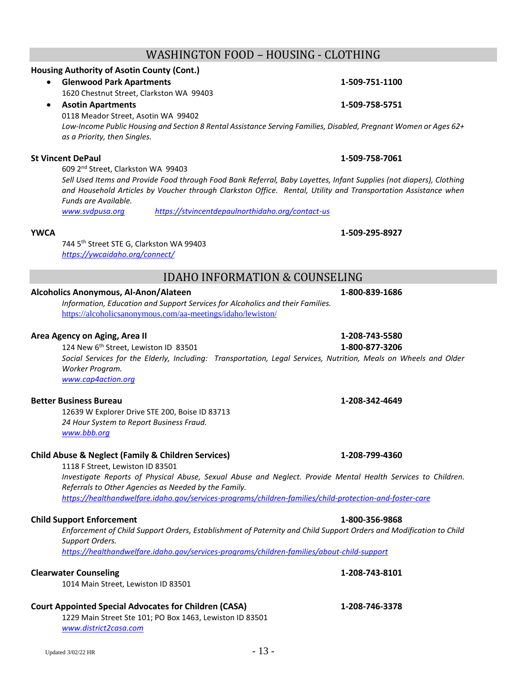## WASHINGTON FOOD – HOUSING - CLOTHING

### **Housing Authority of Asotin County (Cont.)**

- **Glenwood Park Apartments 1-509-751-1100** 1620 Chestnut Street, Clarkston WA 99403
- **Asotin Apartments 1-509-758-5751** 0118 Meador Street, Asotin WA 99402

*Low-Income Public Housing and Section 8 Rental Assistance Serving Families, Disabled, Pregnant Women or Ages 62+ as a Priority, then Singles.*

### **St Vincent DePaul 1-509-758-7061**

609 2 nd Street, Clarkston WA 99403

*Sell Used Items and Provide Food through Food Bank Referral, Baby Layettes, Infant Supplies (not diapers), Clothing and Household Articles by Voucher through Clarkston Office. Rental, Utility and Transportation Assistance when Funds are Available.*

*[www.svdpusa.org](http://www.svdpusa.org/) <https://stvincentdepaulnorthidaho.org/contact-us>*

### **YWCA 1-509-295-8927**

744 5th Street STE G, Clarkston WA 99403 *<https://ywcaidaho.org/connect/>*

## IDAHO INFORMATION & COUNSELING

### **Alcoholics Anonymous, Al-Anon/Alateen 1-800-839-1686**

*Information, Education and Support Services for Alcoholics and their Families.* <https://alcoholicsanonymous.com/aa-meetings/idaho/lewiston/>

### **Area Agency on Aging, Area II 1-208-743-5580**

124 New 6th Street, Lewiston ID 83501 **1-800-877-3206** *Social Services for the Elderly, Including: Transportation, Legal Services, Nutrition, Meals on Wheels and Older Worker Program. [www.cap4action.org](http://www.cap4action.org/)*

### **Better Business Bureau 1-208-342-4649**

12639 W Explorer Drive STE 200, Boise ID 83713 *24 Hour System to Report Business Fraud. [www.bbb.org](http://www.bbb.org/)*

### **Child Abuse & Neglect (Family & Children Services) 1-208-799-4360**

1118 F Street, Lewiston ID 83501 *Investigate Reports of Physical Abuse, Sexual Abuse and Neglect. Provide Mental Health Services to Children. Referrals to Other Agencies as Needed by the Family. <https://healthandwelfare.idaho.gov/services-programs/children-families/child-protection-and-foster-care>*

### **Child Support Enforcement 1-800-356-9868**

*Enforcement of Child Support Orders, Establishment of Paternity and Child Support Orders and Modification to Child Support Orders.* 

*<https://healthandwelfare.idaho.gov/services-programs/children-families/about-child-support>*

### **Clearwater Counseling 1-208-743-8101**

1014 Main Street, Lewiston ID 83501

### **Court Appointed Special Advocates for Children (CASA) 1-208-746-3378**

1229 Main Street Ste 101; PO Box 1463, Lewiston ID 83501 *[www.district2casa.com](http://www.district2casa.com/)*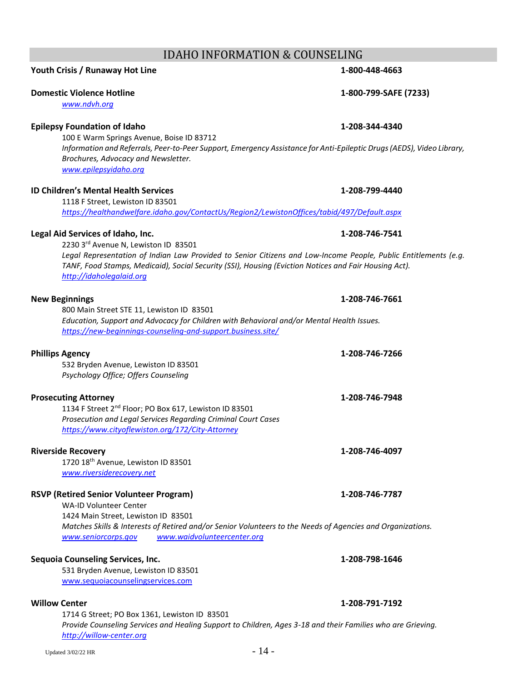# IDAHO INFORMATION & COUNSELING

# **Youth Crisis / Runaway Hot Line 1-800-448-4663**

### **Domestic Violence Hotline 1-800-799-SAFE (7233)**

*[www.ndvh.org](http://www.ndvh.org/)*

### **Epilepsy Foundation of Idaho 1-208-344-4340**

100 E Warm Springs Avenue, Boise ID 83712 *Information and Referrals, Peer-to-Peer Support, Emergency Assistance for Anti-Epileptic Drugs (AEDS), Video Library, Brochures, Advocacy and Newsletter. [www.epilepsyidaho.org](http://www.epilepsyidaho.org/)*

### **ID Children's Mental Health Services 1-208-799-4440**

1118 F Street, Lewiston ID 83501

*<https://healthandwelfare.idaho.gov/ContactUs/Region2/LewistonOffices/tabid/497/Default.aspx>*

### **Legal Aid Services of Idaho, Inc. 1-208-746-7541**

2230 3rd Avenue N, Lewiston ID 83501 *Legal Representation of Indian Law Provided to Senior Citizens and Low-Income People, Public Entitlements (e.g. TANF, Food Stamps, Medicaid), Social Security (SSI), Housing (Eviction Notices and Fair Housing Act). [http://idaholegalaid.org](http://idaholegalaid.org/)*

### **New Beginnings 1-208-746-7661**

800 Main Street STE 11, Lewiston ID 83501 *Education, Support and Advocacy for Children with Behavioral and/or Mental Health Issues. <https://new-beginnings-counseling-and-support.business.site/>*

### **Phillips Agency 1-208-746-7266**

532 Bryden Avenue, Lewiston ID 83501 *Psychology Office; Offers Counseling*

### **Prosecuting Attorney 1-208-746-7948**

1134 F Street 2<sup>nd</sup> Floor; PO Box 617, Lewiston ID 83501 *Prosecution and Legal Services Regarding Criminal Court Cases <https://www.cityoflewiston.org/172/City-Attorney>*

### **Riverside Recovery 1-208-746-4097**

1720 18<sup>th</sup> Avenue, Lewiston ID 83501 *[www.riversiderecovery.net](http://www.riversiderecovery.net/)*

### **RSVP (Retired Senior Volunteer Program) 1-208-746-7787**

WA-ID Volunteer Center 1424 Main Street, Lewiston ID 83501 *Matches Skills & Interests of Retired and/or Senior Volunteers to the Needs of Agencies and Organizations. [www.seniorcorps.gov](http://www.seniorcorps.gov/) [www.waidvolunteercenter.org](http://www.waidvolunteercenter.org/)*

### **Sequoia Counseling Services, Inc. 1-208-798-1646**

531 Bryden Avenue, Lewiston ID 83501 [www.sequoiacounselingservices.com](http://www.sequoiacounselingservices.com/)

1714 G Street; PO Box 1361, Lewiston ID 83501 *Provide Counseling Services and Healing Support to Children, Ages 3-18 and their Families who are Grieving. [http://willow-center.org](http://willow-center.org/)*

### **Willow Center 1-208-791-7192**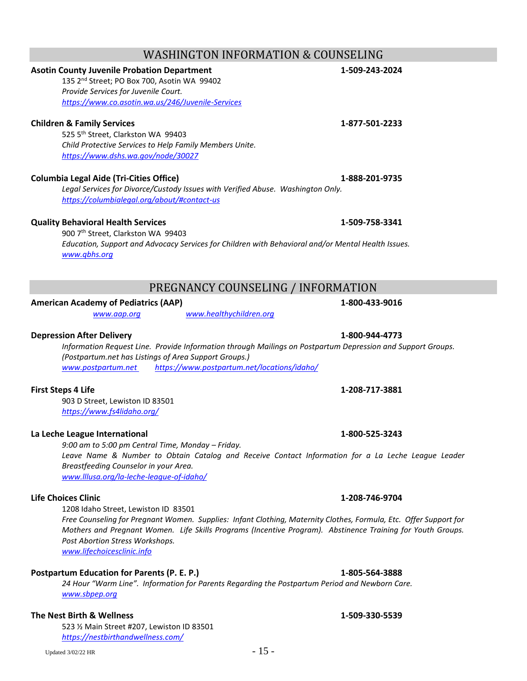# WASHINGTON INFORMATION & COUNSELING

# **Asotin County Juvenile Probation Department 1-509-243-2024**

135 2<sup>nd</sup> Street; PO Box 700, Asotin WA 99402 *Provide Services for Juvenile Court. <https://www.co.asotin.wa.us/246/Juvenile-Services>*

### **Children & Family Services 1-877-501-2233**

525 5th Street, Clarkston WA 99403 *Child Protective Services to Help Family Members Unite. <https://www.dshs.wa.gov/node/30027>*

### **Columbia Legal Aide (Tri-Cities Office) 1-888-201-9735**

*Legal Services for Divorce/Custody Issues with Verified Abuse. Washington Only. <https://columbialegal.org/about/#contact-us>*

### **Quality Behavioral Health Services 1-509-758-3341**

900 7th Street, Clarkston WA 99403 *Education, Support and Advocacy Services for Children with Behavioral and/or Mental Health Issues. [www.qbhs.org](http://www.qbhs.org/)*

# PREGNANCY COUNSELING / INFORMATION

### **American Academy of Pediatrics (AAP) 1-800-433-9016**

*[www.aap.org](http://www.aap.org/) [www.healthychildren.org](http://www.healthychildren.org/)*

### **Depression After Delivery 1-800-944-4773**

*Information Request Line. Provide Information through Mailings on Postpartum Depression and Support Groups. (Postpartum.net has Listings of Area Support Groups.) [www.postpartum.net](http://www.postpartum.net/) <https://www.postpartum.net/locations/idaho/>*

### **First Steps 4 Life 1-208-717-3881**

903 D Street, Lewiston ID 83501 *<https://www.fs4lidaho.org/>*

### **La Leche League International 1-800-525-3243**

*9:00 am to 5:00 pm Central Time, Monday – Friday. Leave Name & Number to Obtain Catalog and Receive Contact Information for a La Leche League Leader Breastfeeding Counselor in your Area. [www.lllusa.org/la-leche-league-of-idaho/](http://www.lllusa.org/la-leche-league-of-idaho/)*

### **Life Choices Clinic 1-208-746-9704**

1208 Idaho Street, Lewiston ID 83501 *Free Counseling for Pregnant Women. Supplies: Infant Clothing, Maternity Clothes, Formula, Etc. Offer Support for Mothers and Pregnant Women. Life Skills Programs (Incentive Program). Abstinence Training for Youth Groups. Post Abortion Stress Workshops.*

*[www.lifechoicesclinic.info](http://www.lifechoicesclinic.info/)*

### **Postpartum Education for Parents (P. E. P.) 1-805-564-3888**

*24 Hour "Warm Line". Information for Parents Regarding the Postpartum Period and Newborn Care. [www.sbpep.org](http://www.sbpep.org/)*

### **The Nest Birth & Wellness 1-509-330-5539**

523 ½ Main Street #207, Lewiston ID 83501 *<https://nestbirthandwellness.com/>*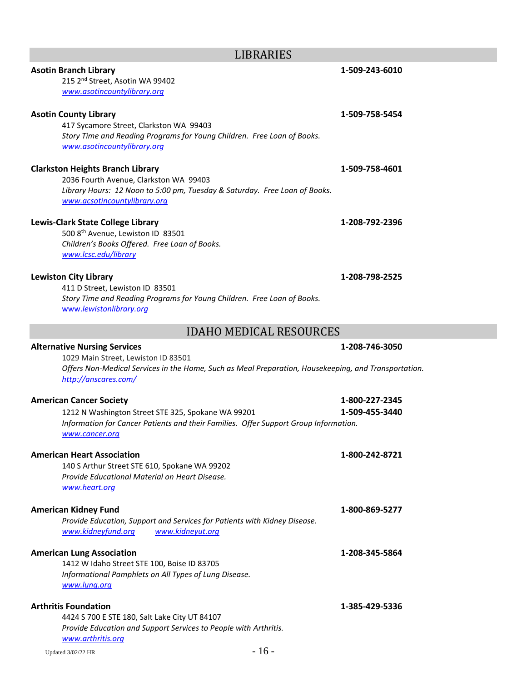| <b>Asotin Branch Library</b><br>215 2 <sup>nd</sup> Street, Asotin WA 99402<br>www.asotincountylibrary.org                                                                                                 | 1-509-243-6010                   |
|------------------------------------------------------------------------------------------------------------------------------------------------------------------------------------------------------------|----------------------------------|
| <b>Asotin County Library</b><br>417 Sycamore Street, Clarkston WA 99403<br>Story Time and Reading Programs for Young Children. Free Loan of Books.<br>www.asotincountylibrary.org                          | 1-509-758-5454                   |
| <b>Clarkston Heights Branch Library</b><br>2036 Fourth Avenue, Clarkston WA 99403<br>Library Hours: 12 Noon to 5:00 pm, Tuesday & Saturday. Free Loan of Books.<br>www.acsotincountylibrary.org            | 1-509-758-4601                   |
| Lewis-Clark State College Library<br>500 8th Avenue, Lewiston ID 83501<br>Children's Books Offered. Free Loan of Books.<br>www.lcsc.edu/library                                                            | 1-208-792-2396                   |
| <b>Lewiston City Library</b><br>411 D Street, Lewiston ID 83501<br>Story Time and Reading Programs for Young Children. Free Loan of Books.<br>www.lewistonlibrary.org                                      | 1-208-798-2525                   |
| <b>IDAHO MEDICAL RESOURCES</b>                                                                                                                                                                             |                                  |
| <b>Alternative Nursing Services</b><br>1029 Main Street, Lewiston ID 83501<br>Offers Non-Medical Services in the Home, Such as Meal Preparation, Housekeeping, and Transportation.<br>http://anscares.com/ | 1-208-746-3050                   |
| <b>American Cancer Society</b><br>1212 N Washington Street STE 325, Spokane WA 99201<br>Information for Cancer Patients and their Families. Offer Support Group Information.<br>www.cancer.org             | 1-800-227-2345<br>1-509-455-3440 |
| <b>American Heart Association</b><br>140 S Arthur Street STE 610, Spokane WA 99202<br>Provide Educational Material on Heart Disease.<br>www.heart.org                                                      | 1-800-242-8721                   |
| <b>American Kidney Fund</b><br>Provide Education, Support and Services for Patients with Kidney Disease.<br>www.kidneyut.org<br>www.kidneyfund.org                                                         | 1-800-869-5277                   |
| <b>American Lung Association</b><br>1412 W Idaho Street STE 100, Boise ID 83705<br>Informational Pamphlets on All Types of Lung Disease.<br>www.lung.org                                                   | 1-208-345-5864                   |
| <b>Arthritis Foundation</b><br>4424 S 700 E STE 180, Salt Lake City UT 84107<br>Provide Education and Support Services to People with Arthritis.<br>www.arthritis.org                                      | 1-385-429-5336                   |
| $-16-$<br>Updated 3/02/22 HR                                                                                                                                                                               |                                  |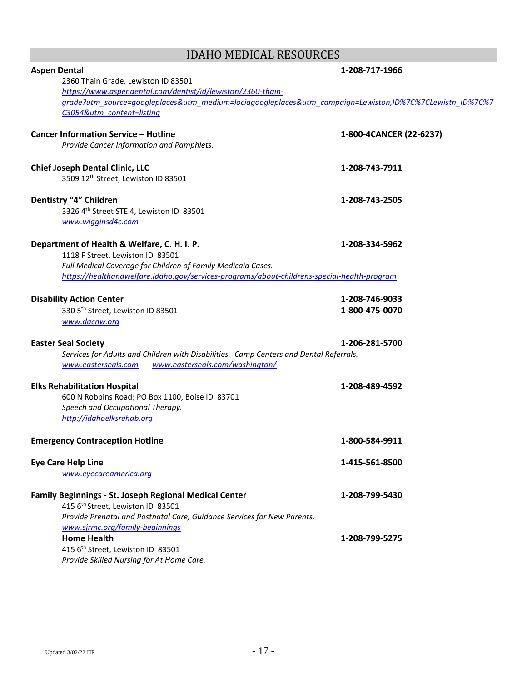# IDAHO MEDICAL RESOURCES

| <b>Aspen Dental</b>                                                                                      | 1-208-717-1966          |
|----------------------------------------------------------------------------------------------------------|-------------------------|
| 2360 Thain Grade, Lewiston ID 83501                                                                      |                         |
| https://www.aspendental.com/dentist/id/lewiston/2360-thain-                                              |                         |
| grade?utm_source=googleplaces&utm_medium=lociggoogleplaces&utm_campaign=Lewiston,ID%7C%7CLewistn_ID%7C%7 |                         |
| C3054&utm content=listing                                                                                |                         |
|                                                                                                          |                         |
| <b>Cancer Information Service - Hotline</b>                                                              | 1-800-4CANCER (22-6237) |
| Provide Cancer Information and Pamphlets.                                                                |                         |
|                                                                                                          |                         |
| <b>Chief Joseph Dental Clinic, LLC</b>                                                                   | 1-208-743-7911          |
| 3509 12th Street, Lewiston ID 83501                                                                      |                         |
|                                                                                                          |                         |
| Dentistry "4" Children                                                                                   | 1-208-743-2505          |
| 3326 4th Street STE 4, Lewiston ID 83501                                                                 |                         |
| www.wigginsd4c.com                                                                                       |                         |
|                                                                                                          |                         |
| Department of Health & Welfare, C. H. I. P.                                                              | 1-208-334-5962          |
| 1118 F Street, Lewiston ID 83501                                                                         |                         |
| Full Medical Coverage for Children of Family Medicaid Cases.                                             |                         |
| https://healthandwelfare.idaho.gov/services-programs/about-childrens-special-health-program              |                         |
|                                                                                                          |                         |
| <b>Disability Action Center</b>                                                                          | 1-208-746-9033          |
| 330 5th Street, Lewiston ID 83501                                                                        | 1-800-475-0070          |
| www.dacnw.org                                                                                            |                         |
|                                                                                                          |                         |
| <b>Easter Seal Society</b>                                                                               | 1-206-281-5700          |
| Services for Adults and Children with Disabilities. Camp Centers and Dental Referrals.                   |                         |
| www.easterseals.com/washington/<br>www.easterseals.com                                                   |                         |
|                                                                                                          |                         |
| <b>Elks Rehabilitation Hospital</b>                                                                      | 1-208-489-4592          |
| 600 N Robbins Road; PO Box 1100, Boise ID 83701                                                          |                         |
| Speech and Occupational Therapy.                                                                         |                         |
| http://idahoelksrehab.org                                                                                |                         |
|                                                                                                          |                         |
| <b>Emergency Contraception Hotline</b>                                                                   | 1-800-584-9911          |
|                                                                                                          |                         |
| <b>Eye Care Help Line</b>                                                                                | 1-415-561-8500          |
| www.eyecareamerica.org                                                                                   |                         |
|                                                                                                          |                         |
| <b>Family Beginnings - St. Joseph Regional Medical Center</b>                                            | 1-208-799-5430          |
| 415 6th Street, Lewiston ID 83501                                                                        |                         |
| Provide Prenatal and Postnatal Care, Guidance Services for New Parents.                                  |                         |
| www.sjrmc.org/family-beginnings<br><b>Home Health</b>                                                    | 1-208-799-5275          |
| 415 6th Street, Lewiston ID 83501                                                                        |                         |
| Provide Skilled Nursing for At Home Care.                                                                |                         |
|                                                                                                          |                         |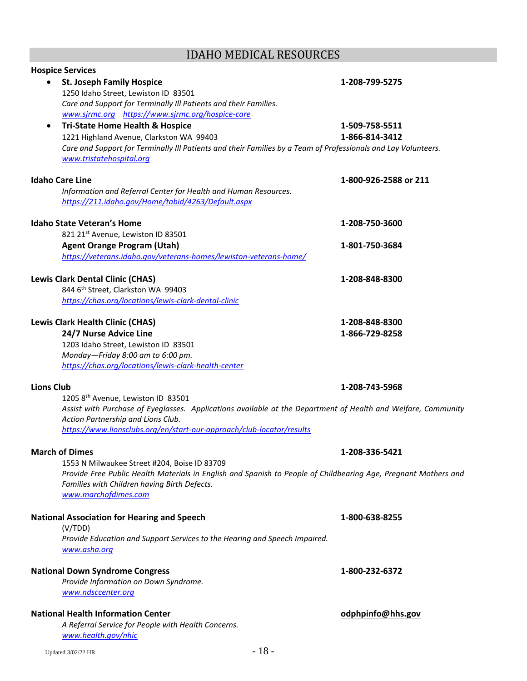# IDAHO MEDICAL RESOURCES

| <b>Hospice Services</b>                                                                                                                             |                       |
|-----------------------------------------------------------------------------------------------------------------------------------------------------|-----------------------|
| <b>St. Joseph Family Hospice</b>                                                                                                                    | 1-208-799-5275        |
| 1250 Idaho Street, Lewiston ID 83501                                                                                                                |                       |
| Care and Support for Terminally III Patients and their Families.                                                                                    |                       |
| www.sjrmc.org https://www.sjrmc.org/hospice-care                                                                                                    |                       |
| <b>Tri-State Home Health &amp; Hospice</b>                                                                                                          | 1-509-758-5511        |
| 1221 Highland Avenue, Clarkston WA 99403                                                                                                            | 1-866-814-3412        |
| Care and Support for Terminally III Patients and their Families by a Team of Professionals and Lay Volunteers.                                      |                       |
| www.tristatehospital.org                                                                                                                            |                       |
| <b>Idaho Care Line</b>                                                                                                                              | 1-800-926-2588 or 211 |
| Information and Referral Center for Health and Human Resources.                                                                                     |                       |
| https://211.idaho.gov/Home/tabid/4263/Default.aspx                                                                                                  |                       |
|                                                                                                                                                     |                       |
| <b>Idaho State Veteran's Home</b>                                                                                                                   | 1-208-750-3600        |
| 821 21st Avenue, Lewiston ID 83501                                                                                                                  |                       |
| <b>Agent Orange Program (Utah)</b>                                                                                                                  | 1-801-750-3684        |
| https://veterans.idaho.gov/veterans-homes/lewiston-veterans-home/                                                                                   |                       |
|                                                                                                                                                     |                       |
| <b>Lewis Clark Dental Clinic (CHAS)</b><br>844 6th Street, Clarkston WA 99403                                                                       | 1-208-848-8300        |
| https://chas.org/locations/lewis-clark-dental-clinic                                                                                                |                       |
|                                                                                                                                                     |                       |
| <b>Lewis Clark Health Clinic (CHAS)</b>                                                                                                             | 1-208-848-8300        |
| 24/7 Nurse Advice Line                                                                                                                              | 1-866-729-8258        |
| 1203 Idaho Street, Lewiston ID 83501                                                                                                                |                       |
| Monday-Friday 8:00 am to 6:00 pm.                                                                                                                   |                       |
| https://chas.org/locations/lewis-clark-health-center                                                                                                |                       |
|                                                                                                                                                     |                       |
| <b>Lions Club</b>                                                                                                                                   | 1-208-743-5968        |
| 1205 8th Avenue, Lewiston ID 83501<br>Assist with Purchase of Eyeglasses. Applications available at the Department of Health and Welfare, Community |                       |
| Action Partnership and Lions Club.                                                                                                                  |                       |
| https://www.lionsclubs.org/en/start-our-approach/club-locator/results                                                                               |                       |
|                                                                                                                                                     |                       |
| <b>March of Dimes</b>                                                                                                                               | 1-208-336-5421        |
| 1553 N Milwaukee Street #204, Boise ID 83709                                                                                                        |                       |
| Provide Free Public Health Materials in English and Spanish to People of Childbearing Age, Pregnant Mothers and                                     |                       |
| Families with Children having Birth Defects.                                                                                                        |                       |
| www.marchofdimes.com                                                                                                                                |                       |
| <b>National Association for Hearing and Speech</b>                                                                                                  | 1-800-638-8255        |
| (V/TDD)                                                                                                                                             |                       |
| Provide Education and Support Services to the Hearing and Speech Impaired.                                                                          |                       |
| www.asha.org                                                                                                                                        |                       |
|                                                                                                                                                     |                       |
| <b>National Down Syndrome Congress</b>                                                                                                              | 1-800-232-6372        |
| Provide Information on Down Syndrome.                                                                                                               |                       |
| www.ndsccenter.org                                                                                                                                  |                       |
|                                                                                                                                                     |                       |
| <b>National Health Information Center</b>                                                                                                           | odphpinfo@hhs.gov     |
| A Referral Service for People with Health Concerns.                                                                                                 |                       |
| www.health.gov/nhic                                                                                                                                 |                       |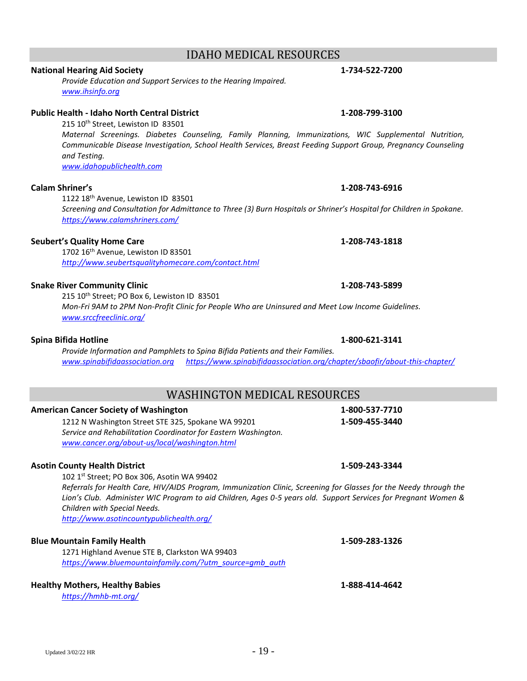# IDAHO MEDICAL RESOURCES

# **National Hearing Aid Society 1-734-522-7200**

*Provide Education and Support Services to the Hearing Impaired. [www.ihsinfo.org](http://www.ihsinfo.org/)*

### **Public Health - Idaho North Central District 1-208-799-3100**

215 10<sup>th</sup> Street, Lewiston ID 83501

*Maternal Screenings. Diabetes Counseling, Family Planning, Immunizations, WIC Supplemental Nutrition, Communicable Disease Investigation, School Health Services, Breast Feeding Support Group, Pregnancy Counseling and Testing.*

*[www.idahopublichealth.com](http://www.idahopublichealth.com/)*

### **Calam Shriner's 1-208-743-6916**

1122 18<sup>th</sup> Avenue, Lewiston ID 83501 *Screening and Consultation for Admittance to Three (3) Burn Hospitals or Shriner's Hospital for Children in Spokane. <https://www.calamshriners.com/>*

### **Seubert's Quality Home Care 1-208-743-1818**

1702 16<sup>th</sup> Avenue, Lewiston ID 83501 *<http://www.seubertsqualityhomecare.com/contact.html>*

### **Snake River Community Clinic 1-208-743-5899**

215 10<sup>th</sup> Street; PO Box 6, Lewiston ID 83501 *Mon-Fri 9AM to 2PM Non-Profit Clinic for People Who are Uninsured and Meet Low Income Guidelines. [www.srccfreeclinic.org/](http://www.srccfreeclinic.org/)*

### **Spina Bifida Hotline 1-800-621-3141**

*Provide Information and Pamphlets to Spina Bifida Patients and their Families. [www.spinabifidaassociation.org](http://www.spinabifidaassociation.org/) <https://www.spinabifidaassociation.org/chapter/sbaofir/about-this-chapter/>*

# WASHINGTON MEDICAL RESOURCES

### **American Cancer Society of Washington 1-800-537-7710**

1212 N Washington Street STE 325, Spokane WA 99201 **1-509-455-3440** *Service and Rehabilitation Coordinator for Eastern Washington. [www.cancer.org/about-us/local/washington.html](http://www.cancer.org/about-us/local/washington.html)*

### **Asotin County Health District 1-509-243-3344**

102 1st Street; PO Box 306, Asotin WA 99402

*Referrals for Health Care, HIV/AIDS Program, Immunization Clinic, Screening for Glasses for the Needy through the Lion's Club. Administer WIC Program to aid Children, Ages 0-5 years old. Support Services for Pregnant Women & Children with Special Needs.*

*<http://www.asotincountypublichealth.org/>*

### **Blue Mountain Family Health 1-509-283-1326**

1271 Highland Avenue STE B, Clarkston WA 99403 *[https://www.bluemountainfamily.com/?utm\\_source=gmb\\_auth](https://www.bluemountainfamily.com/?utm_source=gmb_auth)*

### **Healthy Mothers, Healthy Babies 1-888-414-4642**

*<https://hmhb-mt.org/>*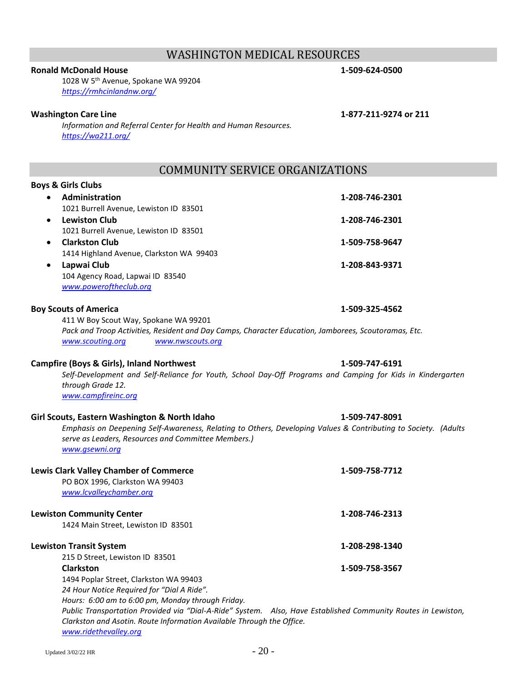# WASHINGTON MEDICAL RESOURCES

### **Ronald McDonald House 1-509-624-0500**

1028 W 5th Avenue, Spokane WA 99204 *<https://rmhcinlandnw.org/>*

### **Washington Care Line 1-877-211-9274 or 211**

*Information and Referral Center for Health and Human Resources. <https://wa211.org/>*

# COMMUNITY SERVICE ORGANIZATIONS

### **Boys & Girls Clubs**

| $\bullet$ | Administration                           | 1-208-746-2301 |
|-----------|------------------------------------------|----------------|
|           | 1021 Burrell Avenue, Lewiston ID 83501   |                |
| $\bullet$ | <b>Lewiston Club</b>                     | 1-208-746-2301 |
|           | 1021 Burrell Avenue, Lewiston ID 83501   |                |
| $\bullet$ | <b>Clarkston Club</b>                    | 1-509-758-9647 |
|           | 1414 Highland Avenue, Clarkston WA 99403 |                |
| $\bullet$ | Lapwai Club                              | 1-208-843-9371 |
|           | 104 Agency Road, Lapwai ID 83540         |                |
|           | www.poweroftheclub.org                   |                |
|           |                                          |                |

### **Boy Scouts of America 1-509-325-4562**

411 W Boy Scout Way, Spokane WA 99201 *Pack and Troop Activities, Resident and Day Camps, Character Education, Jamborees, Scoutoramas, Etc. [www.scouting.org](http://www.scouting.org/) [www.nwscouts.org](http://www.nwscouts.org/)*

### **Campfire (Boys & Girls), Inland Northwest 1-509-747-6191**

*Self-Development and Self-Reliance for Youth, School Day-Off Programs and Camping for Kids in Kindergarten through Grade 12. [www.campfireinc.org](http://www.campfireinc.org/)*

### **Girl Scouts, Eastern Washington & North Idaho 1-509-747-8091**

*Emphasis on Deepening Self-Awareness, Relating to Others, Developing Values & Contributing to Society. (Adults serve as Leaders, Resources and Committee Members.) [www.gsewni.org](http://www.gsewni.org/)*

| <b>Lewis Clark Valley Chamber of Commerce</b><br>PO BOX 1996, Clarkston WA 99403<br>www.lcvalleychamber.org   | 1-509-758-7712 |
|---------------------------------------------------------------------------------------------------------------|----------------|
| <b>Lewiston Community Center</b>                                                                              | 1-208-746-2313 |
| 1424 Main Street, Lewiston ID 83501                                                                           |                |
| <b>Lewiston Transit System</b>                                                                                | 1-208-298-1340 |
| 215 D Street, Lewiston ID 83501                                                                               |                |
| <b>Clarkston</b>                                                                                              | 1-509-758-3567 |
| 1494 Poplar Street, Clarkston WA 99403                                                                        |                |
| 24 Hour Notice Required for "Dial A Ride".                                                                    |                |
| Hours: 6:00 am to 6:00 pm, Monday through Friday.                                                             |                |
| Public Transportation Provided via "Dial-A-Ride" System. Also, Have Established Community Routes in Lewiston, |                |
| Clarkston and Asotin. Route Information Available Through the Office.                                         |                |

*[www.ridethevalley.org](http://www.ridethevalley.org/)*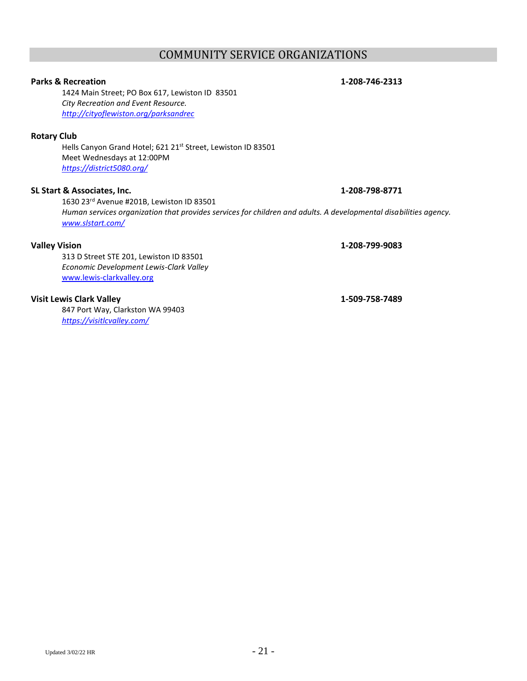### Updated  $3/02/22$  HR  $-21$  -

## COMMUNITY SERVICE ORGANIZATIONS

### **Parks & Recreation 1-208-746-2313**

1424 Main Street; PO Box 617, Lewiston ID 83501 *City Recreation and Event Resource. <http://cityoflewiston.org/parksandrec>*

### **Rotary Club**

Hells Canyon Grand Hotel; 621 21st Street, Lewiston ID 83501 Meet Wednesdays at 12:00PM *<https://district5080.org/>*

## **SL Start & Associates, Inc. 1-208-798-8771**

1630 23rd Avenue #201B, Lewiston ID 83501 *Human services organization that provides services for children and adults. A developmental disabilities agency. [www.slstart.com/](http://www.slstart.com/)*

### **Valley Vision 1-208-799-9083**

313 D Street STE 201, Lewiston ID 83501 *Economic Development Lewis-Clark Valley* [www.lewis-clarkvalley.org](http://www.lewis-clarkvalley.org/)

### **Visit Lewis Clark Valley 1-509-758-7489**

847 Port Way, Clarkston WA 99403 *<https://visitlcvalley.com/>*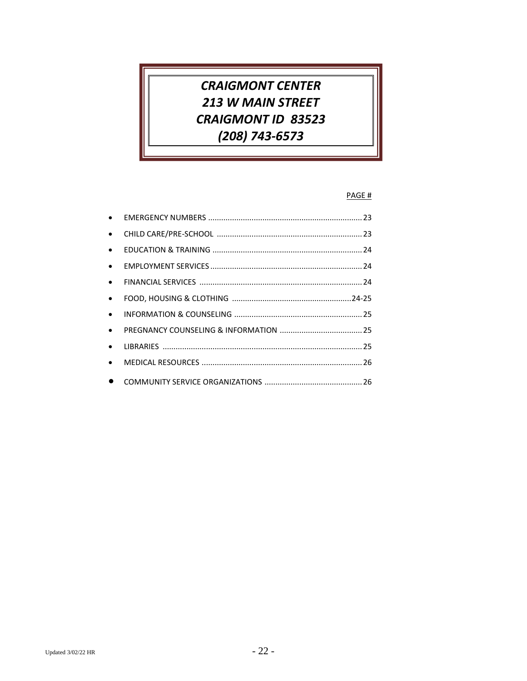# **CRAIGMONT CENTER** 213 W MAIN STREET **CRAIGMONT ID 83523** (208) 743-6573

### PAGE #

| $\bullet$ |  |
|-----------|--|
| $\bullet$ |  |
| $\bullet$ |  |
| $\bullet$ |  |
| $\bullet$ |  |
| $\bullet$ |  |
| $\bullet$ |  |
| $\bullet$ |  |
| $\bullet$ |  |
| $\bullet$ |  |
|           |  |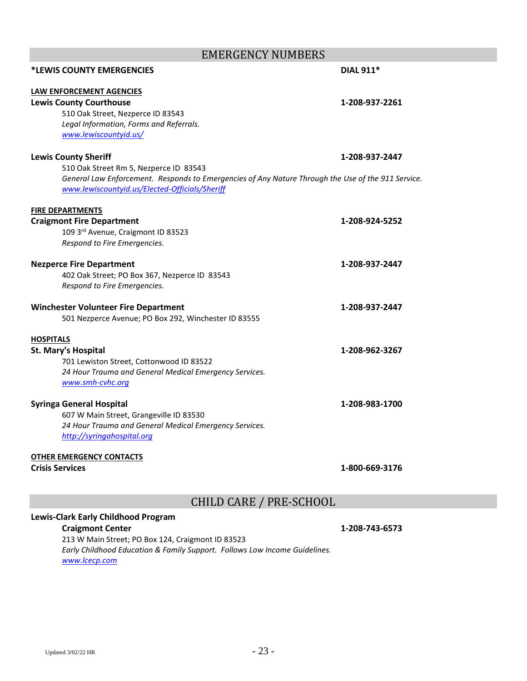| EMERGENCY NUMBERS                                                                                  |                  |
|----------------------------------------------------------------------------------------------------|------------------|
| <b>*LEWIS COUNTY EMERGENCIES</b>                                                                   | <b>DIAL 911*</b> |
| LAW ENFORCEMENT AGENCIES                                                                           |                  |
| <b>Lewis County Courthouse</b>                                                                     | 1-208-937-2261   |
| 510 Oak Street, Nezperce ID 83543                                                                  |                  |
| Legal Information, Forms and Referrals.                                                            |                  |
| www.lewiscountyid.us/                                                                              |                  |
| <b>Lewis County Sheriff</b>                                                                        | 1-208-937-2447   |
| 510 Oak Street Rm 5, Nezperce ID 83543                                                             |                  |
| General Law Enforcement. Responds to Emergencies of Any Nature Through the Use of the 911 Service. |                  |
| www.lewiscountyid.us/Elected-Officials/Sheriff                                                     |                  |
| <b>FIRE DEPARTMENTS</b>                                                                            |                  |
| <b>Craigmont Fire Department</b>                                                                   | 1-208-924-5252   |
| 109 3rd Avenue, Craigmont ID 83523                                                                 |                  |
| Respond to Fire Emergencies.                                                                       |                  |
| <b>Nezperce Fire Department</b>                                                                    | 1-208-937-2447   |
| 402 Oak Street; PO Box 367, Nezperce ID 83543                                                      |                  |
| Respond to Fire Emergencies.                                                                       |                  |
| <b>Winchester Volunteer Fire Department</b>                                                        | 1-208-937-2447   |
| 501 Nezperce Avenue; PO Box 292, Winchester ID 83555                                               |                  |
| <b>HOSPITALS</b>                                                                                   |                  |
| St. Mary's Hospital                                                                                | 1-208-962-3267   |
| 701 Lewiston Street, Cottonwood ID 83522                                                           |                  |
| 24 Hour Trauma and General Medical Emergency Services.                                             |                  |
| www.smh-cvhc.org                                                                                   |                  |
| <b>Syringa General Hospital</b>                                                                    | 1-208-983-1700   |
| 607 W Main Street, Grangeville ID 83530                                                            |                  |
| 24 Hour Trauma and General Medical Emergency Services.                                             |                  |
| http://syringahospital.org                                                                         |                  |
| <b>OTHER EMERGENCY CONTACTS</b>                                                                    |                  |
| <b>Crisis Services</b>                                                                             | 1-800-669-3176   |

EMERGENCY NUMBERS

CHILD CARE / PRE-SCHOOL

## **Lewis-Clark Early Childhood Program**

### **Craigmont Center 1-208-743-6573**

213 W Main Street; PO Box 124, Craigmont ID 83523 *Early Childhood Education & Family Support. Follows Low Income Guidelines. [www.lcecp.com](http://www.lcecp.com/)*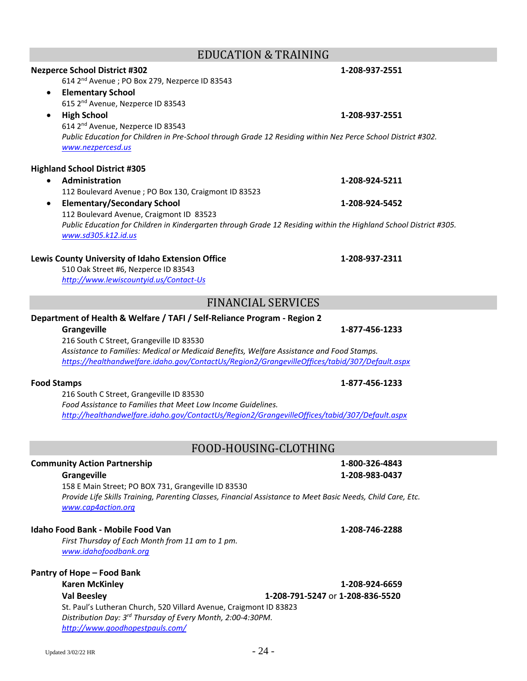## EDUCATION & TRAINING

# *Public Education for Children in Pre-School through Grade 12 Residing within Nez Perce School District #302. [www.nezpercesd.us](http://www.nezpercesd.us/)* **Highland School District #305** • **Administration 1-208-924-5211** 112 Boulevard Avenue ; PO Box 130, Craigmont ID 83523 • **Elementary/Secondary School 1-208-924-5452** 112 Boulevard Avenue, Craigmont ID 83523

# *Public Education for Children in Kindergarten through Grade 12 Residing within the Highland School District #305. [www.sd305.k12.id.us](http://www.sd305.k12.id.us/)*

### **Lewis County University of Idaho Extension Office 1-208-937-2311**

510 Oak Street #6, Nezperce ID 83543 *<http://www.lewiscountyid.us/Contact-Us>*

614 2<sup>nd</sup> Avenue ; PO Box 279, Nezperce ID 83543

• **Elementary School**

615 2<sup>nd</sup> Avenue, Nezperce ID 83543

614 2<sup>nd</sup> Avenue, Nezperce ID 83543

# FINANCIAL SERVICES

### **Department of Health & Welfare / TAFI / Self-Reliance Program - Region 2**

### **Grangeville 1-877-456-1233**

216 South C Street, Grangeville ID 83530 *Assistance to Families: Medical or Medicaid Benefits, Welfare Assistance and Food Stamps. <https://healthandwelfare.idaho.gov/ContactUs/Region2/GrangevilleOffices/tabid/307/Default.aspx>*

### **Food Stamps 1-877-456-1233**

216 South C Street, Grangeville ID 83530 *Food Assistance to Families that Meet Low Income Guidelines. <http://healthandwelfare.idaho.gov/ContactUs/Region2/GrangevilleOffices/tabid/307/Default.aspx>*

# FOOD-HOUSING-CLOTHING

# **Community Action Partnership 1-800-326-4843**

158 E Main Street; PO BOX 731, Grangeville ID 83530 *Provide Life Skills Training, Parenting Classes, Financial Assistance to Meet Basic Needs, Child Care, Etc. [www.cap4action.org](http://www.cap4action.org/)*

### **Idaho Food Bank - Mobile Food Van 1-208-746-2288**

*First Thursday of Each Month from 11 am to 1 pm. [www.idahofoodbank.org](http://www.idahofoodbank.org/)*

### **Pantry of Hope – Food Bank**

### **Karen McKinley 1-208-924-6659 Val Beesley 1-208-791-5247** or **1-208-836-5520** St. Paul's Lutheran Church, 520 Villard Avenue, Craigmont ID 83823 *Distribution Day: 3 rd Thursday of Every Month, 2:00-4:30PM. <http://www.goodhopestpauls.com/>*

**Grangeville 1-208-983-0437**

**Nezperce School District #302 1-208-937-2551**

• **High School 1-208-937-2551**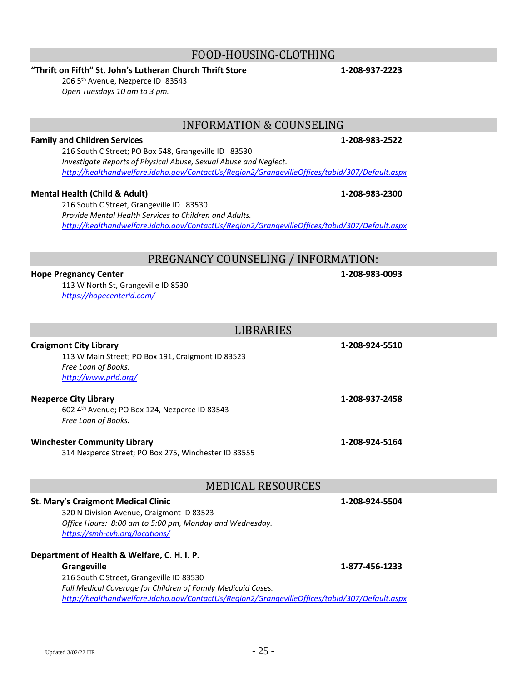# FOOD-HOUSING-CLOTHING

# **"Thrift on Fifth" St. John's Lutheran Church Thrift Store 1-208-937-2223**

206 5 th Avenue, Nezperce ID83543 *Open Tuesdays 10 am to 3 pm.*

# INFORMATION & COUNSELING

### **Family and Children Services 1-208-983-2522**

216 South C Street; PO Box 548, Grangeville ID 83530 *Investigate Reports of Physical Abuse, Sexual Abuse and Neglect. <http://healthandwelfare.idaho.gov/ContactUs/Region2/GrangevilleOffices/tabid/307/Default.aspx>*

### **Mental Health (Child & Adult) 1-208-983-2300**

216 South C Street, Grangeville ID 83530 *Provide Mental Health Services to Children and Adults. <http://healthandwelfare.idaho.gov/ContactUs/Region2/GrangevilleOffices/tabid/307/Default.aspx>*

# PREGNANCY COUNSELING / INFORMATION:

LIBRARIES

### **Hope Pregnancy Center 1-208-983-0093**

113 W North St, Grangeville ID 8530 *<https://hopecenterid.com/>*

| LIBRARIES                                                                                                                                                                            |                |
|--------------------------------------------------------------------------------------------------------------------------------------------------------------------------------------|----------------|
| <b>Craigmont City Library</b><br>113 W Main Street; PO Box 191, Craigmont ID 83523<br>Free Loan of Books.<br>http://www.prld.org/                                                    | 1-208-924-5510 |
| <b>Nezperce City Library</b><br>602 4th Avenue; PO Box 124, Nezperce ID 83543<br>Free Loan of Books.                                                                                 | 1-208-937-2458 |
| <b>Winchester Community Library</b><br>314 Nezperce Street; PO Box 275, Winchester ID 83555                                                                                          | 1-208-924-5164 |
| <b>MEDICAL RESOURCES</b>                                                                                                                                                             |                |
| <b>St. Mary's Craigmont Medical Clinic</b><br>320 N Division Avenue, Craigmont ID 83523<br>Office Hours: 8:00 am to 5:00 pm, Monday and Wednesday.<br>https://smh-cvh.org/locations/ | 1-208-924-5504 |
| Department of Health & Welfare, C. H. I. P.                                                                                                                                          |                |

**Grangeville 1-877-456-1233** 216 South C Street, Grangeville ID 83530 *Full Medical Coverage for Children of Family Medicaid Cases. <http://healthandwelfare.idaho.gov/ContactUs/Region2/GrangevilleOffices/tabid/307/Default.aspx>*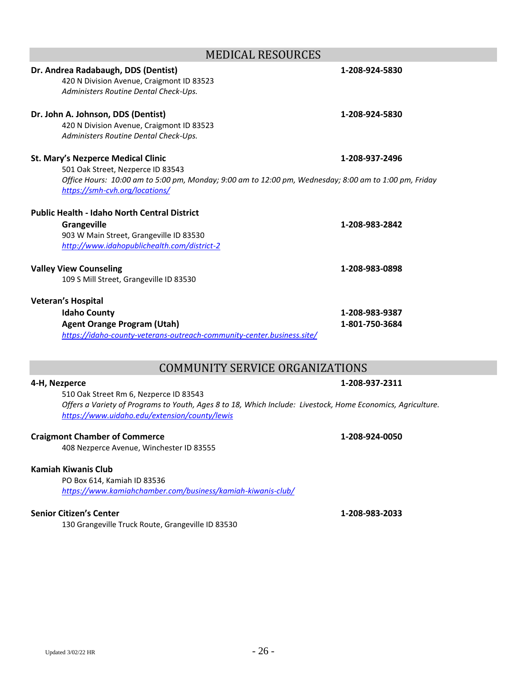| Updated 3/02/22 HR | $-26-$ |
|--------------------|--------|

| 420 N Division Avenue, Craigmont ID 83523<br>Administers Routine Dental Check-Ups.                                                                                                                                        |                                  |
|---------------------------------------------------------------------------------------------------------------------------------------------------------------------------------------------------------------------------|----------------------------------|
| Dr. John A. Johnson, DDS (Dentist)<br>420 N Division Avenue, Craigmont ID 83523<br>Administers Routine Dental Check-Ups.                                                                                                  | 1-208-924-5830                   |
| <b>St. Mary's Nezperce Medical Clinic</b><br>501 Oak Street, Nezperce ID 83543<br>Office Hours: 10:00 am to 5:00 pm, Monday; 9:00 am to 12:00 pm, Wednesday; 8:00 am to 1:00 pm, Friday<br>https://smh-cvh.org/locations/ | 1-208-937-2496                   |
| <b>Public Health - Idaho North Central District</b><br><b>Grangeville</b><br>903 W Main Street, Grangeville ID 83530<br>http://www.idahopublichealth.com/district-2                                                       | 1-208-983-2842                   |
| <b>Valley View Counseling</b><br>109 S Mill Street, Grangeville ID 83530                                                                                                                                                  | 1-208-983-0898                   |
| <b>Veteran's Hospital</b><br><b>Idaho County</b><br><b>Agent Orange Program (Utah)</b><br>https://idaho-county-veterans-outreach-community-center.business.site/                                                          | 1-208-983-9387<br>1-801-750-3684 |

# COMMUNITY SERVICE ORGANIZATIONS

510 Oak Street Rm 6, Nezperce ID 83543 *Offers a Variety of Programs to Youth, Ages 8 to 18, Which Include: Livestock, Home Economics, Agriculture. <https://www.uidaho.edu/extension/county/lewis>*

# **Craigmont Chamber of Commerce 1-208-924-0050**

408 Nezperce Avenue, Winchester ID 83555

# **Kamiah Kiwanis Club**

PO Box 614, Kamiah ID 83536 *<https://www.kamiahchamber.com/business/kamiah-kiwanis-club/>*

# **Senior Citizen's Center 1-208-983-2033**

130 Grangeville Truck Route, Grangeville ID 83530

**4-H, Nezperce 1-208-937-2311**

# **Dr. Andrea Radabaugh, DDS (Dentist) 1-208-924-5830**

MEDICAL RESOURCES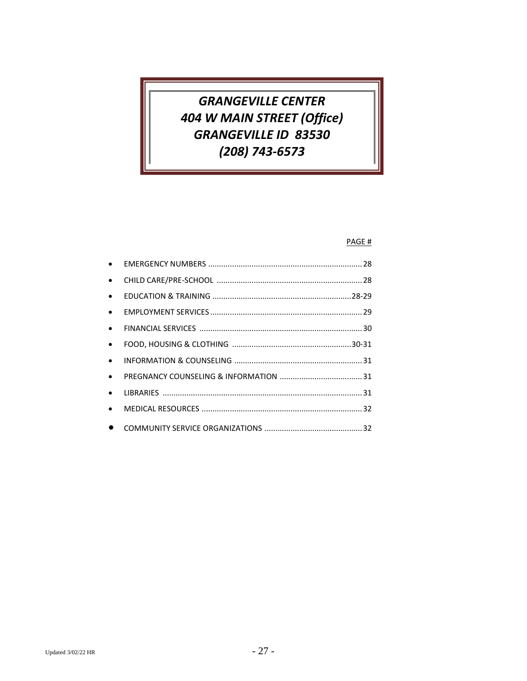# *GRANGEVILLE CENTER 404 W MAIN STREET (Office) GRANGEVILLE ID 83530 (208) 743-6573*

### PAGE #

| $\bullet$ |  |
|-----------|--|
| $\bullet$ |  |
| $\bullet$ |  |
| $\bullet$ |  |
| $\bullet$ |  |
| $\bullet$ |  |
| $\bullet$ |  |
| $\bullet$ |  |
| $\bullet$ |  |
| $\bullet$ |  |
|           |  |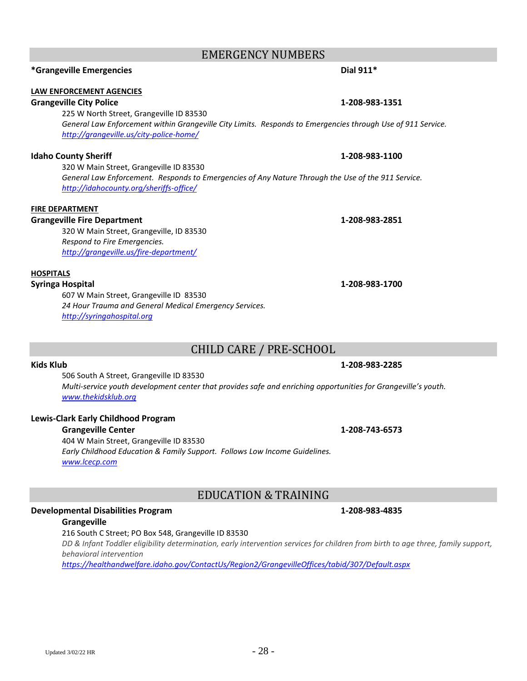# EMERGENCY NUMBERS

# **\*Grangeville Emergencies Dial 911\***

### **LAW ENFORCEMENT AGENCIES**

### **Grangeville City Police 1-208-983-1351**

225 W North Street, Grangeville ID 83530 *General Law Enforcement within Grangeville City Limits. Responds to Emergencies through Use of 911 Service. <http://grangeville.us/city-police-home/>*

### **Idaho County Sheriff 1-208-983-1100**

320 W Main Street, Grangeville ID 83530 *General Law Enforcement. Responds to Emergencies of Any Nature Through the Use of the 911 Service. <http://idahocounty.org/sheriffs-office/>*

### **FIRE DEPARTMENT**

### **Grangeville Fire Department 1-208-983-2851**

320 W Main Street, Grangeville, ID 83530 *Respond to Fire Emergencies. <http://grangeville.us/fire-department/>*

### **HOSPITALS**

### **Syringa Hospital 1-208-983-1700**

607 W Main Street, Grangeville ID 83530 *24 Hour Trauma and General Medical Emergency Services. [http://syringahospital.org](http://syringahospital.org/)*

# CHILD CARE / PRE-SCHOOL

### **Kids Klub 1-208-983-2285**

506 South A Street, Grangeville ID 83530 *Multi-service youth development center that provides safe and enriching opportunities for Grangeville's youth. [www.thekidsklub.org](http://www.thekidsklub.org/)*

### **Lewis-Clark Early Childhood Program**

### **Grangeville Center 1-208-743-6573**

404 W Main Street, Grangeville ID 83530 *Early Childhood Education & Family Support. Follows Low Income Guidelines. [www.lcecp.com](http://www.lcecp.com/)*

# EDUCATION & TRAINING

### **Developmental Disabilities Program 1-208-983-4835**

### **Grangeville**

216 South C Street; PO Box 548, Grangeville ID 83530

*DD & Infant Toddler eligibility determination, early intervention services for children from birth to age three, family support, behavioral intervention*

*<https://healthandwelfare.idaho.gov/ContactUs/Region2/GrangevilleOffices/tabid/307/Default.aspx>*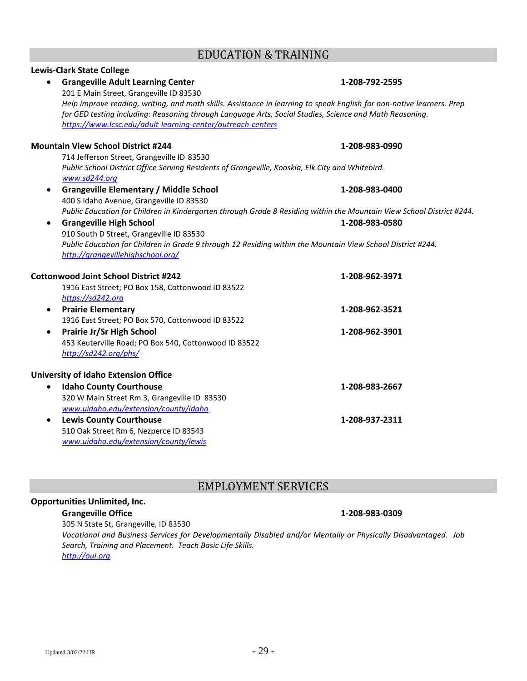# EDUCATION & TRAINING

| <b>Lewis-Clark State College</b>                                                                                      |                |
|-----------------------------------------------------------------------------------------------------------------------|----------------|
| <b>Grangeville Adult Learning Center</b>                                                                              | 1-208-792-2595 |
| 201 E Main Street, Grangeville ID 83530                                                                               |                |
| Help improve reading, writing, and math skills. Assistance in learning to speak English for non-native learners. Prep |                |
| for GED testing including: Reasoning through Language Arts, Social Studies, Science and Math Reasoning.               |                |
| https://www.lcsc.edu/adult-learning-center/outreach-centers                                                           |                |
| <b>Mountain View School District #244</b>                                                                             | 1-208-983-0990 |
| 714 Jefferson Street, Grangeville ID 83530                                                                            |                |
| Public School District Office Serving Residents of Grangeville, Kooskia, Elk City and Whitebird.<br>www.sd244.org     |                |
| <b>Grangeville Elementary / Middle School</b><br>$\bullet$                                                            | 1-208-983-0400 |
| 400 S Idaho Avenue, Grangeville ID 83530                                                                              |                |
| Public Education for Children in Kindergarten through Grade 8 Residing within the Mountain View School District #244. |                |
| <b>Grangeville High School</b>                                                                                        | 1-208-983-0580 |
| 910 South D Street, Grangeville ID 83530                                                                              |                |
| Public Education for Children in Grade 9 through 12 Residing within the Mountain View School District #244.           |                |
| http://grangevillehighschool.org/                                                                                     |                |
| <b>Cottonwood Joint School District #242</b>                                                                          | 1-208-962-3971 |
| 1916 East Street; PO Box 158, Cottonwood ID 83522                                                                     |                |
| https://sd242.org                                                                                                     |                |
| <b>Prairie Elementary</b><br>$\bullet$                                                                                | 1-208-962-3521 |
| 1916 East Street; PO Box 570, Cottonwood ID 83522                                                                     |                |
| Prairie Jr/Sr High School<br>$\bullet$                                                                                | 1-208-962-3901 |
| 453 Keuterville Road; PO Box 540, Cottonwood ID 83522                                                                 |                |
| http://sd242.org/phs/                                                                                                 |                |
| <b>University of Idaho Extension Office</b>                                                                           |                |
| <b>Idaho County Courthouse</b>                                                                                        | 1-208-983-2667 |
| 320 W Main Street Rm 3, Grangeville ID 83530                                                                          |                |
| www.uidaho.edu/extension/county/idaho                                                                                 |                |
| <b>Lewis County Courthouse</b><br>$\bullet$                                                                           | 1-208-937-2311 |
| 510 Oak Street Rm 6, Nezperce ID 83543                                                                                |                |
| www.uidaho.edu/extension/county/lewis                                                                                 |                |

# EMPLOYMENT SERVICES

## **Opportunities Unlimited, Inc.**

### **Grangeville Office 1-208-983-0309**

305 N State St, Grangeville, ID 83530

*Vocational and Business Services for Developmentally Disabled and/or Mentally or Physically Disadvantaged. Job Search, Training and Placement. Teach Basic Life Skills. [http://oui.org](http://oui.org/)*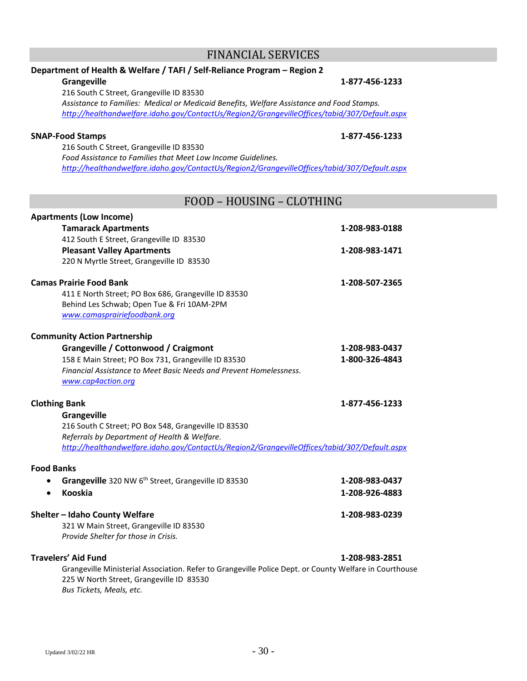225 W North Street, Grangeville ID 83530

*Bus Tickets, Meals, etc.*

# **Department of Health & Welfare / TAFI / Self-Reliance Program – Region 2**

### **Grangeville 1-877-456-1233**

216 South C Street, Grangeville ID 83530 *Assistance to Families: Medical or Medicaid Benefits, Welfare Assistance and Food Stamps. <http://healthandwelfare.idaho.gov/ContactUs/Region2/GrangevilleOffices/tabid/307/Default.aspx>*

### **SNAP-Food Stamps 1-877-456-1233**

216 South C Street, Grangeville ID 83530 *Food Assistance to Families that Meet Low Income Guidelines. <http://healthandwelfare.idaho.gov/ContactUs/Region2/GrangevilleOffices/tabid/307/Default.aspx>*

# FOOD – HOUSING – CLOTHING

| <b>Apartments (Low Income)</b>                                                                         |                |  |
|--------------------------------------------------------------------------------------------------------|----------------|--|
| <b>Tamarack Apartments</b>                                                                             | 1-208-983-0188 |  |
| 412 South E Street, Grangeville ID 83530                                                               |                |  |
| <b>Pleasant Valley Apartments</b>                                                                      | 1-208-983-1471 |  |
| 220 N Myrtle Street, Grangeville ID 83530                                                              |                |  |
| <b>Camas Prairie Food Bank</b>                                                                         | 1-208-507-2365 |  |
| 411 E North Street; PO Box 686, Grangeville ID 83530                                                   |                |  |
| Behind Les Schwab; Open Tue & Fri 10AM-2PM                                                             |                |  |
| www.camasprairiefoodbank.org                                                                           |                |  |
| <b>Community Action Partnership</b>                                                                    |                |  |
| Grangeville / Cottonwood / Craigmont                                                                   | 1-208-983-0437 |  |
| 158 E Main Street; PO Box 731, Grangeville ID 83530                                                    | 1-800-326-4843 |  |
| Financial Assistance to Meet Basic Needs and Prevent Homelessness.                                     |                |  |
| www.cap4action.org                                                                                     |                |  |
| <b>Clothing Bank</b>                                                                                   | 1-877-456-1233 |  |
| Grangeville                                                                                            |                |  |
| 216 South C Street; PO Box 548, Grangeville ID 83530                                                   |                |  |
| Referrals by Department of Health & Welfare.                                                           |                |  |
| http://healthandwelfare.idaho.gov/ContactUs/Region2/GrangevilleOffices/tabid/307/Default.aspx          |                |  |
| <b>Food Banks</b>                                                                                      |                |  |
| Grangeville 320 NW 6th Street, Grangeville ID 83530                                                    | 1-208-983-0437 |  |
| Kooskia                                                                                                | 1-208-926-4883 |  |
| Shelter - Idaho County Welfare                                                                         | 1-208-983-0239 |  |
| 321 W Main Street, Grangeville ID 83530                                                                |                |  |
| Provide Shelter for those in Crisis.                                                                   |                |  |
| <b>Travelers' Aid Fund</b>                                                                             | 1-208-983-2851 |  |
| Grangeville Ministerial Association. Refer to Grangeville Police Dept. or County Welfare in Courthouse |                |  |

### FINANCIAL SERVICES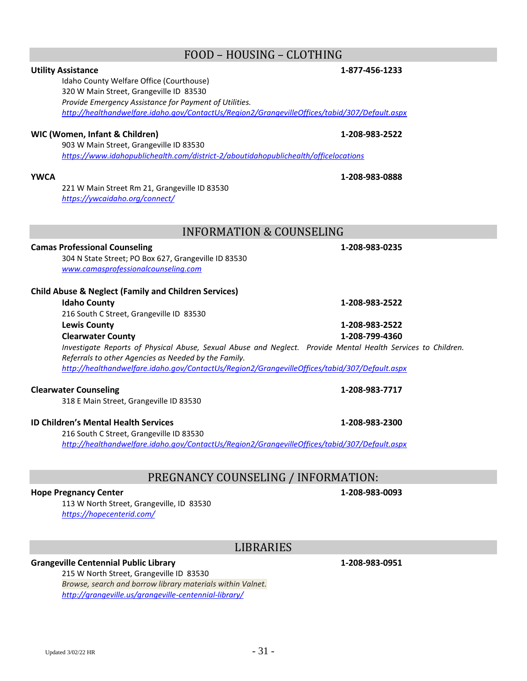# FOOD – HOUSING – CLOTHING

### **Utility Assistance 1-877-456-1233**

Idaho County Welfare Office (Courthouse) 320 W Main Street, Grangeville ID 83530 *Provide Emergency Assistance for Payment of Utilities. <http://healthandwelfare.idaho.gov/ContactUs/Region2/GrangevilleOffices/tabid/307/Default.aspx>*

### **WIC (Women, Infant & Children) 1-208-983-2522**

903 W Main Street, Grangeville ID 83530 *<https://www.idahopublichealth.com/district-2/aboutidahopublichealth/officelocations>*

221 W Main Street Rm 21, Grangeville ID 83530 *<https://ywcaidaho.org/connect/>*

# INFORMATION & COUNSELING

# **Camas Professional Counseling 1-208-983-0235**

304 N State Street; PO Box 627, Grangeville ID 83530 *[www.camasprofessionalcounseling.com](http://www.camasprofessionalcounseling.com/)*

## **Child Abuse & Neglect (Family and Children Services)**

### **Idaho County 1-208-983-2522** 216 South C Street, Grangeville ID 83530 **Lewis County 1-208-983-2522**

**Clearwater County 1-208-799-4360** *Investigate Reports of Physical Abuse, Sexual Abuse and Neglect. Provide Mental Health Services to Children. Referrals to other Agencies as Needed by the Family. <http://healthandwelfare.idaho.gov/ContactUs/Region2/GrangevilleOffices/tabid/307/Default.aspx>*

### **Clearwater Counseling 1-208-983-7717**

318 E Main Street, Grangeville ID 83530

### **ID Children's Mental Health Services 1-208-983-2300**

216 South C Street, Grangeville ID 83530 *<http://healthandwelfare.idaho.gov/ContactUs/Region2/GrangevilleOffices/tabid/307/Default.aspx>*

# PREGNANCY COUNSELING / INFORMATION:

### **Hope Pregnancy Center 1-208-983-0093**

113 W North Street, Grangeville, ID 83530 *<https://hopecenterid.com/>*

# LIBRARIES

# **Grangeville Centennial Public Library 1-208-983-0951**

215 W North Street, Grangeville ID 83530 *Browse, search and borrow library materials within Valnet. <http://grangeville.us/grangeville-centennial-library/>*

**YWCA 1-208-983-0888**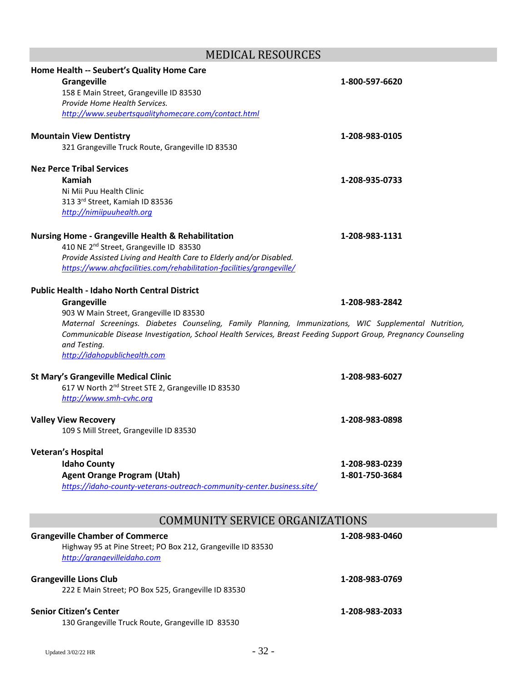# MEDICAL RESOURCES

| Home Health -- Seubert's Quality Home Care<br><b>Grangeville</b><br>158 E Main Street, Grangeville ID 83530<br>Provide Home Health Services.<br>http://www.seubertsqualityhomecare.com/contact.html                                                                                                                                                                                             | 1-800-597-6620                   |
|-------------------------------------------------------------------------------------------------------------------------------------------------------------------------------------------------------------------------------------------------------------------------------------------------------------------------------------------------------------------------------------------------|----------------------------------|
| <b>Mountain View Dentistry</b><br>321 Grangeville Truck Route, Grangeville ID 83530                                                                                                                                                                                                                                                                                                             | 1-208-983-0105                   |
| <b>Nez Perce Tribal Services</b><br>Kamiah<br>Ni Mii Puu Health Clinic<br>313 3rd Street, Kamiah ID 83536<br>http://nimiipuuhealth.org                                                                                                                                                                                                                                                          | 1-208-935-0733                   |
| <b>Nursing Home - Grangeville Health &amp; Rehabilitation</b><br>410 NE 2 <sup>nd</sup> Street, Grangeville ID 83530<br>Provide Assisted Living and Health Care to Elderly and/or Disabled.<br>https://www.ahcfacilities.com/rehabilitation-facilities/grangeville/                                                                                                                             | 1-208-983-1131                   |
| <b>Public Health - Idaho North Central District</b><br><b>Grangeville</b><br>903 W Main Street, Grangeville ID 83530<br>Maternal Screenings. Diabetes Counseling, Family Planning, Immunizations, WIC Supplemental Nutrition,<br>Communicable Disease Investigation, School Health Services, Breast Feeding Support Group, Pregnancy Counseling<br>and Testing.<br>http://idahopublichealth.com | 1-208-983-2842                   |
| <b>St Mary's Grangeville Medical Clinic</b><br>617 W North 2 <sup>nd</sup> Street STE 2, Grangeville ID 83530<br>http://www.smh-cvhc.org                                                                                                                                                                                                                                                        | 1-208-983-6027                   |
| <b>Valley View Recovery</b><br>109 S Mill Street, Grangeville ID 83530                                                                                                                                                                                                                                                                                                                          | 1-208-983-0898                   |
| <b>Veteran's Hospital</b><br><b>Idaho County</b><br><b>Agent Orange Program (Utah)</b><br>https://idaho-county-veterans-outreach-community-center.business.site/                                                                                                                                                                                                                                | 1-208-983-0239<br>1-801-750-3684 |
| <b>COMMUNITY SERVICE ORGANIZATIONS</b>                                                                                                                                                                                                                                                                                                                                                          |                                  |
| <b>Grangeville Chamber of Commerce</b><br>Highway 95 at Pine Street; PO Box 212, Grangeville ID 83530<br>http://grangevilleidaho.com                                                                                                                                                                                                                                                            | 1-208-983-0460                   |
| <b>Grangeville Lions Club</b><br>222 E Main Street; PO Box 525, Grangeville ID 83530                                                                                                                                                                                                                                                                                                            | 1-208-983-0769                   |
| <b>Senior Citizen's Center</b><br>130 Grangeville Truck Route, Grangeville ID 83530                                                                                                                                                                                                                                                                                                             | 1-208-983-2033                   |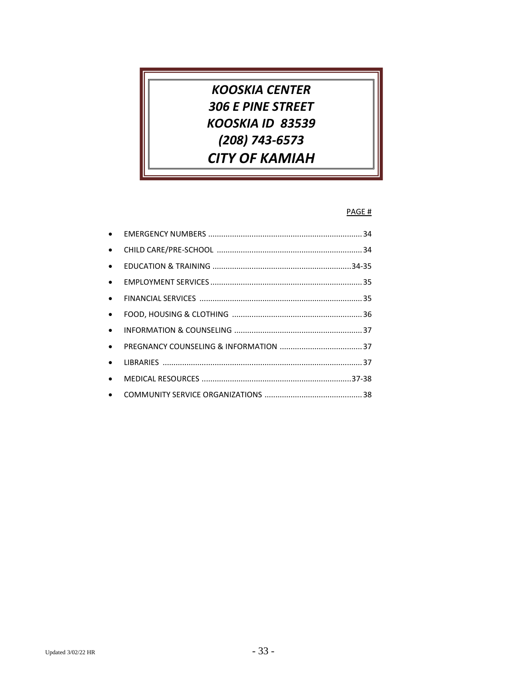# *KOOSKIA CENTER 306 E PINE STREET KOOSKIA ID 83539 (208) 743-6573 CITY OF KAMIAH*

### PAGE #

| $\bullet$ |  |
|-----------|--|
| $\bullet$ |  |
| $\bullet$ |  |
| $\bullet$ |  |
| $\bullet$ |  |
| $\bullet$ |  |
| $\bullet$ |  |
| $\bullet$ |  |
| $\bullet$ |  |
| $\bullet$ |  |
| $\bullet$ |  |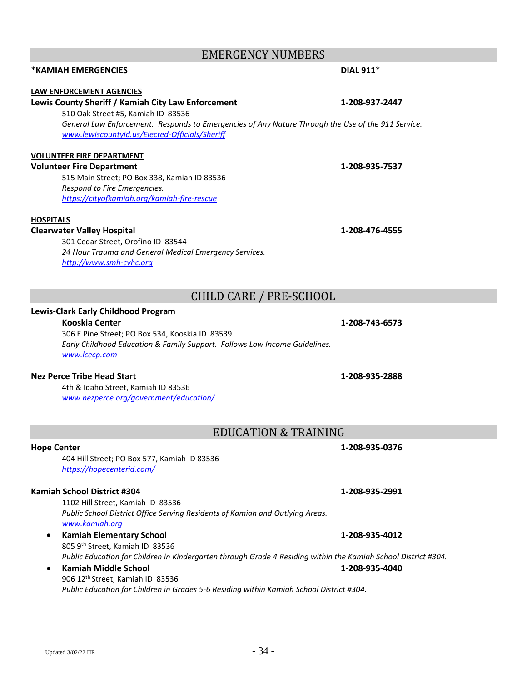# EMERGENCY NUMBERS

# **\*KAMIAH EMERGENCIES DIAL 911\***

### **LAW ENFORCEMENT AGENCIES**

# **Lewis County Sheriff / Kamiah City Law Enforcement 1-208-937-2447**

510 Oak Street #5, Kamiah ID 83536 *General Law Enforcement. Responds to Emergencies of Any Nature Through the Use of the 911 Service. [www.lewiscountyid.us/Elected-Officials/Sheriff](http://www.lewiscountyid.us/Elected-Officials/Sheriff)*

# **VOLUNTEER FIRE DEPARTMENT**

### **Volunteer Fire Department 1-208-935-7537**

515 Main Street; PO Box 338, Kamiah ID 83536 *Respond to Fire Emergencies. <https://cityofkamiah.org/kamiah-fire-rescue>*

### **HOSPITALS**

### **Clearwater Valley Hospital 1-208-476-4555**

301 Cedar Street, Orofino ID 83544 *24 Hour Trauma and General Medical Emergency Services. [http://www.smh-cvhc.org](http://www.smh-cvhc.org/)*

# CHILD CARE / PRE-SCHOOL

### **Lewis-Clark Early Childhood Program**

### **Kooskia Center 1-208-743-6573**

### 306 E Pine Street; PO Box 534, Kooskia ID 83539 *Early Childhood Education & Family Support. Follows Low Income Guidelines. [www.lcecp.com](http://www.lcecp.com/)*

### **Nez Perce Tribe Head Start 1-208-935-2888**

4th & Idaho Street, Kamiah ID 83536 *[www.nezperce.org/government/education/](http://www.nezperce.org/government/education/)*

# EDUCATION & TRAINING

### **Hope Center 1-208-935-0376**

404 Hill Street; PO Box 577, Kamiah ID 83536 *<https://hopecenterid.com/>*

### **Kamiah School District #304 1-208-935-2991**

1102 Hill Street, Kamiah ID 83536 *Public School District Office Serving Residents of Kamiah and Outlying Areas. [www.kamiah.org](http://www.kamiah.org/)*

• **Kamiah Elementary School 1-208-935-4012** 805 9 th Street, Kamiah ID 83536 *Public Education for Children in Kindergarten through Grade 4 Residing within the Kamiah School District #304.*

### • **Kamiah Middle School 1-208-935-4040** 906 12th Street, Kamiah ID 83536 *Public Education for Children in Grades 5-6 Residing within Kamiah School District #304.*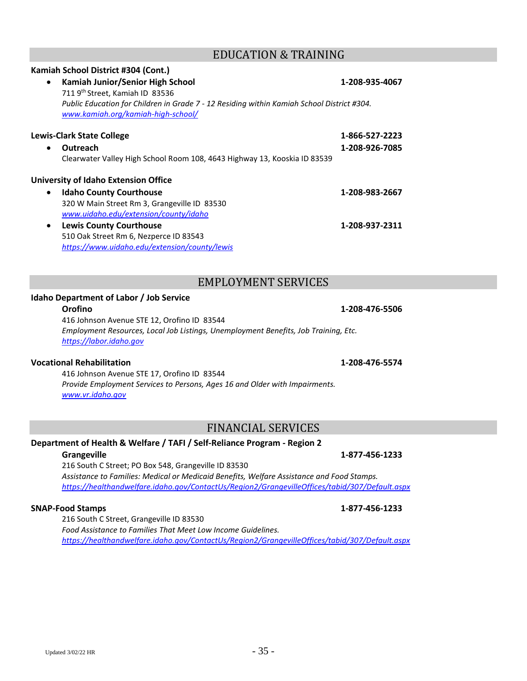## EDUCATION & TRAINING

# • **Kamiah Junior/Senior High School 1-208-935-4067** 711 9th Street, Kamiah ID 83536 *Public Education for Children in Grade 7 - 12 Residing within Kamiah School District #304. [www.kamiah.org/kamiah-high-school/](http://www.kamiah.org/kamiah-high-school/)*

### **Lewis-Clark State College 1-866-527-2223**

• **Outreach 1-208-926-7085** Clearwater Valley High School Room 108, 4643 Highway 13, Kooskia ID 83539

### **University of Idaho Extension Office**

**Kamiah School District #304 (Cont.)**

- **Idaho County Courthouse 1-208-983-2667** 320 W Main Street Rm 3, Grangeville ID 83530 *[www.uidaho.edu/extension/county/idaho](http://www.uidaho.edu/extension/county/idaho)*
- **Lewis County Courthouse 1-208-937-2311** 510 Oak Street Rm 6, Nezperce ID 83543 *<https://www.uidaho.edu/extension/county/lewis>*

# EMPLOYMENT SERVICES

### **Idaho Department of Labor / Job Service**

416 Johnson Avenue STE 12, Orofino ID 83544 *Employment Resources, Local Job Listings, Unemployment Benefits, Job Training, Etc. [https://labor.idaho.gov](https://labor.idaho.gov/)*

### **Vocational Rehabilitation 1-208-476-5574**

416 Johnson Avenue STE 17, Orofino ID 83544 *Provide Employment Services to Persons, Ages 16 and Older with Impairments. [www.vr.idaho.gov](http://www.vr.idaho.gov/)*

# FINANCIAL SERVICES

### **Department of Health & Welfare / TAFI / Self-Reliance Program - Region 2**

**Grangeville 1-877-456-1233**

216 South C Street; PO Box 548, Grangeville ID 83530 *Assistance to Families: Medical or Medicaid Benefits, Welfare Assistance and Food Stamps. <https://healthandwelfare.idaho.gov/ContactUs/Region2/GrangevilleOffices/tabid/307/Default.aspx>*

### **SNAP-Food Stamps 1-877-456-1233**

216 South C Street, Grangeville ID 83530 *Food Assistance to Families That Meet Low Income Guidelines. <https://healthandwelfare.idaho.gov/ContactUs/Region2/GrangevilleOffices/tabid/307/Default.aspx>*

**Orofino 1-208-476-5506**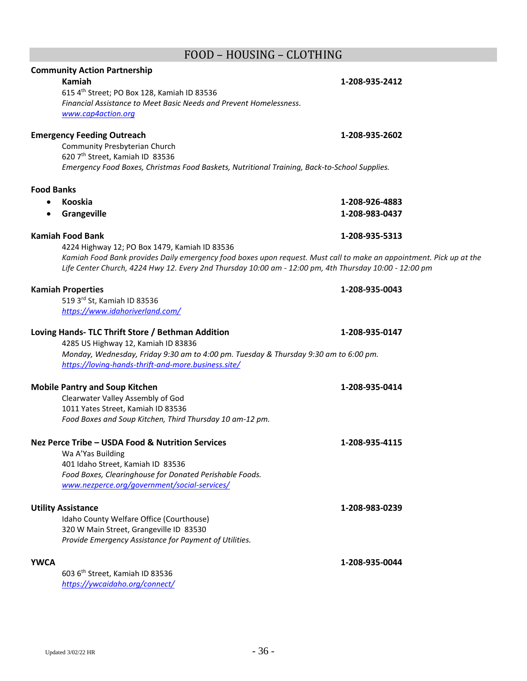# FOOD – HOUSING – CLOTHING

|                   | <b>Community Action Partnership</b>                                                                                 |                |
|-------------------|---------------------------------------------------------------------------------------------------------------------|----------------|
|                   | Kamiah                                                                                                              | 1-208-935-2412 |
|                   | 615 4th Street; PO Box 128, Kamiah ID 83536                                                                         |                |
|                   | Financial Assistance to Meet Basic Needs and Prevent Homelessness.                                                  |                |
|                   | www.cap4action.org                                                                                                  |                |
|                   |                                                                                                                     |                |
|                   | <b>Emergency Feeding Outreach</b>                                                                                   | 1-208-935-2602 |
|                   | Community Presbyterian Church                                                                                       |                |
|                   | 620 7 <sup>th</sup> Street, Kamiah ID 83536                                                                         |                |
|                   | Emergency Food Boxes, Christmas Food Baskets, Nutritional Training, Back-to-School Supplies.                        |                |
| <b>Food Banks</b> |                                                                                                                     |                |
|                   | Kooskia                                                                                                             |                |
|                   |                                                                                                                     | 1-208-926-4883 |
| $\bullet$         | Grangeville                                                                                                         | 1-208-983-0437 |
|                   | <b>Kamiah Food Bank</b>                                                                                             | 1-208-935-5313 |
|                   | 4224 Highway 12; PO Box 1479, Kamiah ID 83536                                                                       |                |
|                   | Kamiah Food Bank provides Daily emergency food boxes upon request. Must call to make an appointment. Pick up at the |                |
|                   | Life Center Church, 4224 Hwy 12. Every 2nd Thursday 10:00 am - 12:00 pm, 4th Thursday 10:00 - 12:00 pm              |                |
|                   |                                                                                                                     |                |
|                   | <b>Kamiah Properties</b>                                                                                            | 1-208-935-0043 |
|                   | 519 3rd St, Kamiah ID 83536                                                                                         |                |
|                   | https://www.idahoriverland.com/                                                                                     |                |
|                   |                                                                                                                     |                |
|                   | Loving Hands- TLC Thrift Store / Bethman Addition                                                                   | 1-208-935-0147 |
|                   | 4285 US Highway 12, Kamiah ID 83836                                                                                 |                |
|                   | Monday, Wednesday, Friday 9:30 am to 4:00 pm. Tuesday & Thursday 9:30 am to 6:00 pm.                                |                |
|                   | https://loving-hands-thrift-and-more.business.site/                                                                 |                |
|                   | <b>Mobile Pantry and Soup Kitchen</b>                                                                               | 1-208-935-0414 |
|                   | Clearwater Valley Assembly of God                                                                                   |                |
|                   | 1011 Yates Street, Kamiah ID 83536                                                                                  |                |
|                   | Food Boxes and Soup Kitchen, Third Thursday 10 am-12 pm.                                                            |                |
|                   |                                                                                                                     |                |
|                   | Nez Perce Tribe - USDA Food & Nutrition Services                                                                    | 1-208-935-4115 |
|                   | Wa A'Yas Building                                                                                                   |                |
|                   | 401 Idaho Street, Kamiah ID 83536                                                                                   |                |
|                   | Food Boxes, Clearinghouse for Donated Perishable Foods.                                                             |                |
|                   | www.nezperce.org/government/social-services/                                                                        |                |
|                   |                                                                                                                     |                |
|                   | <b>Utility Assistance</b>                                                                                           | 1-208-983-0239 |
|                   | Idaho County Welfare Office (Courthouse)                                                                            |                |
|                   | 320 W Main Street, Grangeville ID 83530                                                                             |                |
|                   | Provide Emergency Assistance for Payment of Utilities.                                                              |                |
|                   |                                                                                                                     |                |
| <b>YWCA</b>       |                                                                                                                     | 1-208-935-0044 |
|                   | 603 6 <sup>th</sup> Street, Kamiah ID 83536                                                                         |                |
|                   | https://ywcaidaho.org/connect/                                                                                      |                |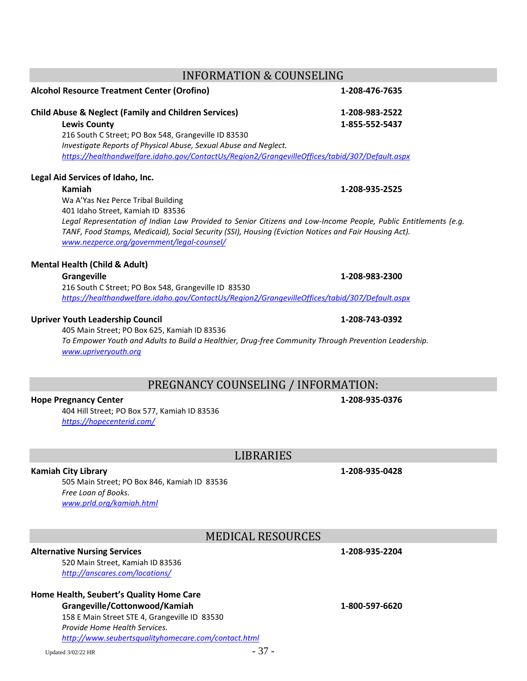## INFORMATION & COUNSELING

## **Alcohol Resource Treatment Center (Orofino) 1-208-476-7635**

### **Child Abuse & Neglect (Family and Children Services) 1-208-983-2522**

**Lewis County 1-855-552-5437** 216 South C Street; PO Box 548, Grangeville ID 83530 *Investigate Reports of Physical Abuse, Sexual Abuse and Neglect. <https://healthandwelfare.idaho.gov/ContactUs/Region2/GrangevilleOffices/tabid/307/Default.aspx>*

### **Legal Aid Services of Idaho, Inc.**

### **Kamiah 1-208-935-2525**

Wa A'Yas Nez Perce Tribal Building

401 Idaho Street, Kamiah ID 83536

*Legal Representation of Indian Law Provided to Senior Citizens and Low-Income People, Public Entitlements (e.g. TANF, Food Stamps, Medicaid), Social Security (SSI), Housing (Eviction Notices and Fair Housing Act). [www.nezperce.org/government/legal-counsel/](http://www.nezperce.org/government/legal-counsel/)*

### **Mental Health (Child & Adult)**

### **Grangeville 1-208-983-2300**

216 South C Street; PO Box 548, Grangeville ID 83530 *<https://healthandwelfare.idaho.gov/ContactUs/Region2/GrangevilleOffices/tabid/307/Default.aspx>*

### **Upriver Youth Leadership Council 1-208-743-0392**

405 Main Street; PO Box 625, Kamiah ID 83536 *To Empower Youth and Adults to Build a Healthier, Drug-free Community Through Prevention Leadership. [www.upriveryouth.org](http://www.upriveryouth.org/)*

# PREGNANCY COUNSELING / INFORMATION:

### **Hope Pregnancy Center 1-208-935-0376**

404 Hill Street; PO Box 577, Kamiah ID 83536 *<https://hopecenterid.com/>*

LIBRARIES

### **Kamiah City Library 1-208-935-0428**

505 Main Street; PO Box 846, Kamiah ID 83536 *Free Loan of Books. [www.prld.org/kamiah.html](http://www.prld.org/kamiah.html)*

# MEDICAL RESOURCES

### **Alternative Nursing Services 1-208-935-2204**

520 Main Street, Kamiah ID 83536 *<http://anscares.com/locations/>*

### **Home Health, Seubert's Quality Home Care**

**Grangeville/Cottonwood/Kamiah 1-800-597-6620** 158 E Main Street STE 4, Grangeville ID 83530 *Provide Home Health Services. <http://www.seubertsqualityhomecare.com/contact.html>*

Updated  $3/02/22$  HR  $-37$  -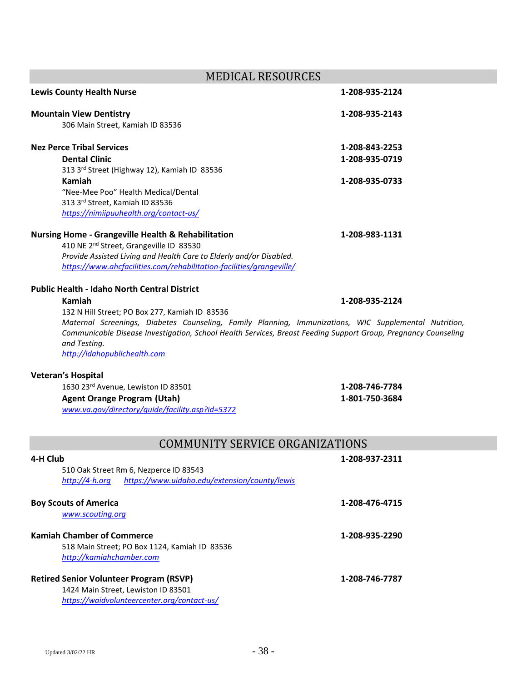MEDICAL RESOURCES **Lewis County Health Nurse 1-208-935-2124 Mountain View Dentistry 1-208-935-2143** 306 Main Street, Kamiah ID 83536 **Nez Perce Tribal Services 1-208-843-2253 Dental Clinic 1-208-935-0719** 313 3 rd Street (Highway 12), Kamiah ID 83536 **Kamiah 1-208-935-0733** "Nee-Mee Poo" Health Medical/Dental 313 3rd Street, Kamiah ID 83536 *<https://nimiipuuhealth.org/contact-us/>* **Nursing Home - Grangeville Health & Rehabilitation 1-208-983-1131** 410 NE 2nd Street, Grangeville ID 83530 *Provide Assisted Living and Health Care to Elderly and/or Disabled. <https://www.ahcfacilities.com/rehabilitation-facilities/grangeville/>* **Public Health - Idaho North Central District Kamiah 1-208-935-2124** 132 N Hill Street; PO Box 277, Kamiah ID 83536 *Maternal Screenings, Diabetes Counseling, Family Planning, Immunizations, WIC Supplemental Nutrition, Communicable Disease Investigation, School Health Services, Breast Feeding Support Group, Pregnancy Counseling and Testing. [http://idahopublichealth.com](http://idahopublichealth.com/)* **Veteran's Hospital** 1630 23rd Avenue, Lewiston ID 83501 **1-208-746-7784 Agent Orange Program (Utah) 1-801-750-3684** *[www.va.gov/directory/guide/facility.asp?id=5372](http://www.va.gov/directory/guide/facility.asp?id=5372)* COMMUNITY SERVICE ORGANIZATIONS **4-H Club 1-208-937-2311** 510 Oak Street Rm 6, Nezperce ID 83543 *[http://4-h.org](http://4-h.org/) <https://www.uidaho.edu/extension/county/lewis>* **Boy Scouts of America 1-208-476-4715** *[www.scouting.org](http://www.scouting.org/)* **Kamiah Chamber of Commerce 1-208-935-2290**

518 Main Street; PO Box 1124, Kamiah ID 83536 *[http://kamiahchamber.com](http://kamiahchamber.com/)*

| <b>Retired Senior Volunteer Program (RSVP)</b> | 1-208-746-7787 |
|------------------------------------------------|----------------|
| 1424 Main Street, Lewiston ID 83501            |                |
| https://waidvolunteercenter.org/contact-us/    |                |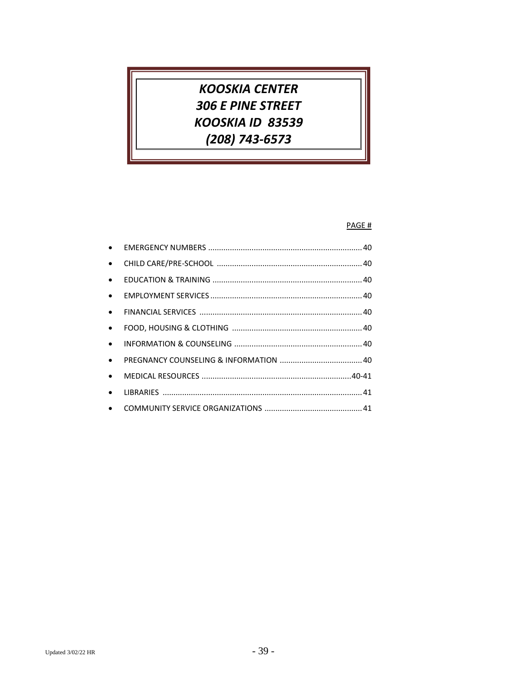# **KOOSKIA CENTER** 306 E PINE STREET KOOSKIA ID 83539 (208) 743-6573

### PAGE #

| $\bullet$ |  |
|-----------|--|
| $\bullet$ |  |
| $\bullet$ |  |
| $\bullet$ |  |
| $\bullet$ |  |
| $\bullet$ |  |
| $\bullet$ |  |
| $\bullet$ |  |
| $\bullet$ |  |
| $\bullet$ |  |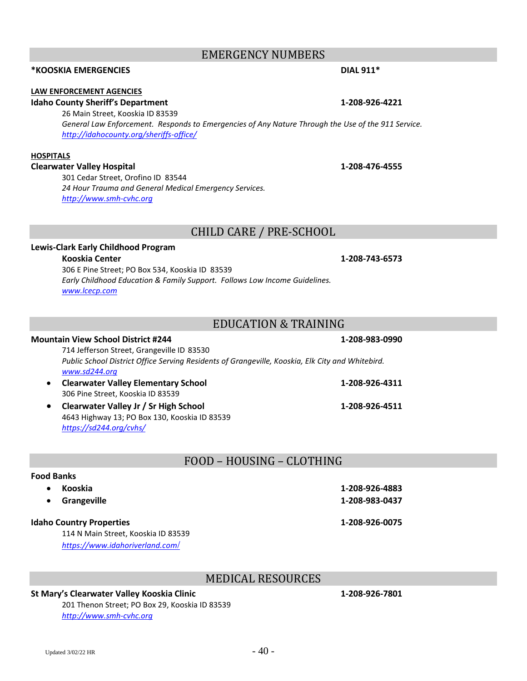# EMERGENCY NUMBERS

# **\*KOOSKIA EMERGENCIES DIAL 911\***

### **LAW ENFORCEMENT AGENCIES**

### **Idaho County Sheriff's Department 1-208-926-4221**

26 Main Street, Kooskia ID 83539 *General Law Enforcement. Responds to Emergencies of Any Nature Through the Use of the 911 Service. <http://idahocounty.org/sheriffs-office/>*

### **HOSPITALS**

### **Clearwater Valley Hospital 1-208-476-4555**

301 Cedar Street, Orofino ID 83544 *24 Hour Trauma and General Medical Emergency Services. [http://www.smh-cvhc.org](http://www.smh-cvhc.org/)*

## CHILD CARE / PRE-SCHOOL

### **Lewis-Clark Early Childhood Program**

### **Kooskia Center 1-208-743-6573**

306 E Pine Street; PO Box 534, Kooskia ID 83539 *Early Childhood Education & Family Support. Follows Low Income Guidelines. [www.lcecp.com](http://www.lcecp.com/)*

# EDUCATION & TRAINING

### **Mountain View School District #244 1-208-983-0990**

714 Jefferson Street, Grangeville ID 83530 *Public School District Office Serving Residents of Grangeville, Kooskia, Elk City and Whitebird. [www.sd244.org](http://www.sd244.org/)*

- **Clearwater Valley Elementary School 1-208-926-4311** 306 Pine Street, Kooskia ID 83539
- **Clearwater Valley Jr / Sr High School 1-208-926-4511** 4643 Highway 13; PO Box 130, Kooskia ID 83539 *<https://sd244.org/cvhs/>*

# FOOD – HOUSING – CLOTHING

### **Food Banks**

| Kooskia                             | 1-208-926-4883 |
|-------------------------------------|----------------|
| Grangeville                         | 1-208-983-0437 |
| <b>Idaho Country Properties</b>     | 1-208-926-0075 |
| 114 N Main Street, Kooskia ID 83539 |                |
| https://www.idahoriverland.com/     |                |

# MEDICAL RESOURCES

### **St Mary's Clearwater Valley Kooskia Clinic 1-208-926-7801**

201 Thenon Street; PO Box 29, Kooskia ID 83539 *[http://www.smh-cvhc.org](http://www.smh-cvhc.org/)*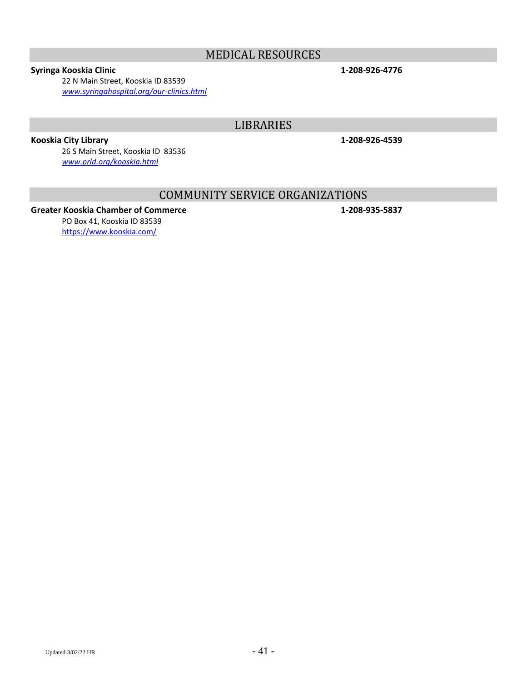# MEDICAL RESOURCES

### **Syringa Kooskia Clinic 1-208-926-4776**

22 N Main Street, Kooskia ID 83539 *[www.syringahospital.org/our-clinics.html](http://www.syringahospital.org/our-clinics.html)*

# LIBRARIES

**Kooskia City Library 1-208-926-4539**

26 S Main Street, Kooskia ID 83536 *[www.prld.org/kooskia.html](http://www.prld.org/kooskia.html)*

# COMMUNITY SERVICE ORGANIZATIONS

### **Greater Kooskia Chamber of Commerce 1-208-935-5837** PO Box 41, Kooskia ID 83539

<https://www.kooskia.com/>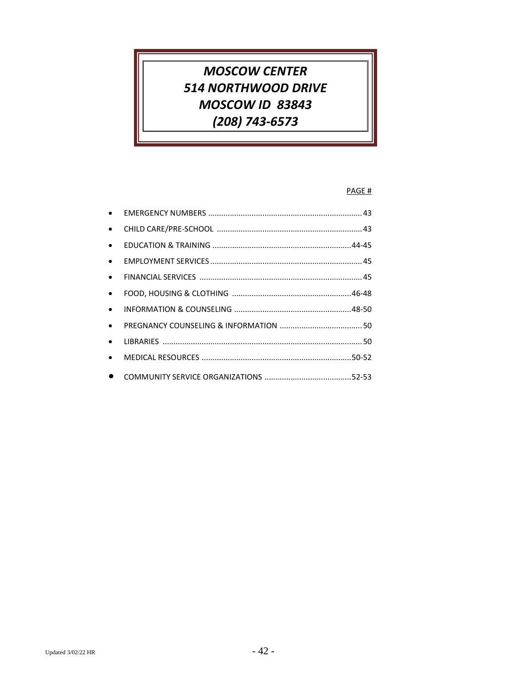# *MOSCOW CENTER 514 NORTHWOOD DRIVE MOSCOW ID 83843 (208) 743-6573*

### PAGE #

| $\bullet$ |  |
|-----------|--|
| $\bullet$ |  |
| $\bullet$ |  |
| $\bullet$ |  |
| $\bullet$ |  |
| $\bullet$ |  |
| $\bullet$ |  |
| $\bullet$ |  |
| $\bullet$ |  |
| $\bullet$ |  |
|           |  |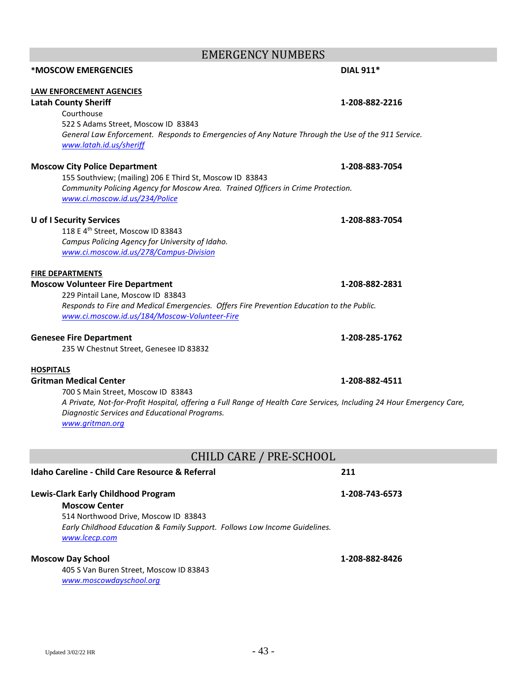# EMERGENCY NUMBERS

# **LAW ENFORCEMENT AGENCIES Latah County Sheriff 1-208-882-2216** Courthouse 522 S Adams Street, Moscow ID 83843 *General Law Enforcement. Responds to Emergencies of Any Nature Through the Use of the 911 Service. [www.latah.id.us/sheriff](http://www.latah.id.us/sheriff)* **Moscow City Police Department 1-208-883-7054** 155 Southview; (mailing) 206 E Third St, Moscow ID 83843 *Community Policing Agency for Moscow Area. Trained Officers in Crime Protection. [www.ci.moscow.id.us/234/Police](http://www.ci.moscow.id.us/234/Police)* **U of I Security Services 1-208-883-7054** 118 E 4th Street, Moscow ID 83843 *Campus Policing Agency for University of Idaho. [www.ci.moscow.id.us/278/Campus-Division](http://www.ci.moscow.id.us/278/Campus-Division)* **FIRE DEPARTMENTS Moscow Volunteer Fire Department 1-208-882-2831** 229 Pintail Lane, Moscow ID 83843 *Responds to Fire and Medical Emergencies. Offers Fire Prevention Education to the Public.*

**\*MOSCOW EMERGENCIES DIAL 911\***

### **Genesee Fire Department 1-208-285-1762**

235 W Chestnut Street, Genesee ID 83832

*[www.ci.moscow.id.us/184/Moscow-Volunteer-Fire](http://www.ci.moscow.id.us/184/Moscow-Volunteer-Fire)*

### **HOSPITALS**

### **Gritman Medical Center 1-208-882-4511**

700 S Main Street, Moscow ID 83843 *A Private, Not-for-Profit Hospital, offering a Full Range of Health Care Services, Including 24 Hour Emergency Care, Diagnostic Services and Educational Programs. [www.gritman.org](http://www.gritman.org/)*

CHILD CARE / PRE-SCHOOL

| Idaho Careline - Child Care Resource & Referral                                                                                                             | 211            |
|-------------------------------------------------------------------------------------------------------------------------------------------------------------|----------------|
| <b>Lewis-Clark Early Childhood Program</b>                                                                                                                  | 1-208-743-6573 |
| <b>Moscow Center</b><br>514 Northwood Drive, Moscow ID 83843<br>Early Childhood Education & Family Support. Follows Low Income Guidelines.<br>www.lcecp.com |                |
| <b>Moscow Day School</b><br>405 S Van Buren Street, Moscow ID 83843<br>www.moscowdayschool.org                                                              | 1-208-882-8426 |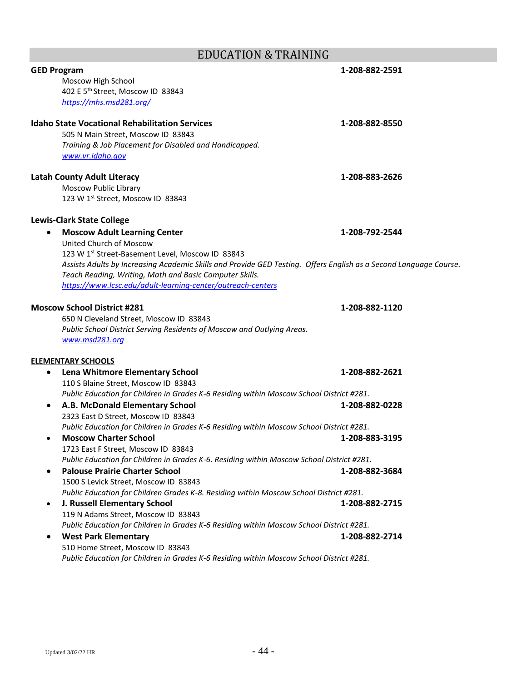# EDUCATION & TRAINING

| <b>GED Program</b>                                                                        | 1-208-882-2591                                                                                                    |
|-------------------------------------------------------------------------------------------|-------------------------------------------------------------------------------------------------------------------|
| Moscow High School                                                                        |                                                                                                                   |
| 402 E 5 <sup>th</sup> Street, Moscow ID 83843                                             |                                                                                                                   |
| https://mhs.msd281.org/                                                                   |                                                                                                                   |
| <b>Idaho State Vocational Rehabilitation Services</b>                                     | 1-208-882-8550                                                                                                    |
| 505 N Main Street, Moscow ID 83843                                                        |                                                                                                                   |
| Training & Job Placement for Disabled and Handicapped.                                    |                                                                                                                   |
| www.vr.idaho.gov                                                                          |                                                                                                                   |
| <b>Latah County Adult Literacy</b>                                                        | 1-208-883-2626                                                                                                    |
| Moscow Public Library                                                                     |                                                                                                                   |
| 123 W 1st Street, Moscow ID 83843                                                         |                                                                                                                   |
| <b>Lewis-Clark State College</b>                                                          |                                                                                                                   |
| <b>Moscow Adult Learning Center</b>                                                       | 1-208-792-2544                                                                                                    |
| United Church of Moscow                                                                   |                                                                                                                   |
| 123 W 1st Street-Basement Level, Moscow ID 83843                                          |                                                                                                                   |
|                                                                                           | Assists Adults by Increasing Academic Skills and Provide GED Testing. Offers English as a Second Language Course. |
| Teach Reading, Writing, Math and Basic Computer Skills.                                   |                                                                                                                   |
| https://www.lcsc.edu/adult-learning-center/outreach-centers                               |                                                                                                                   |
| <b>Moscow School District #281</b>                                                        | 1-208-882-1120                                                                                                    |
| 650 N Cleveland Street, Moscow ID 83843                                                   |                                                                                                                   |
| Public School District Serving Residents of Moscow and Outlying Areas.                    |                                                                                                                   |
| www.msd281.org                                                                            |                                                                                                                   |
| <b>ELEMENTARY SCHOOLS</b>                                                                 |                                                                                                                   |
| Lena Whitmore Elementary School<br>٠                                                      | 1-208-882-2621                                                                                                    |
| 110 S Blaine Street, Moscow ID 83843                                                      |                                                                                                                   |
| Public Education for Children in Grades K-6 Residing within Moscow School District #281.  |                                                                                                                   |
| A.B. McDonald Elementary School<br>٠                                                      | 1-208-882-0228                                                                                                    |
| 2323 East D Street, Moscow ID 83843                                                       |                                                                                                                   |
| Public Education for Children in Grades K-6 Residing within Moscow School District #281.  |                                                                                                                   |
| <b>Moscow Charter School</b>                                                              | 1-208-883-3195                                                                                                    |
| 1723 East F Street, Moscow ID 83843                                                       |                                                                                                                   |
| Public Education for Children in Grades K-6. Residing within Moscow School District #281. |                                                                                                                   |
| <b>Palouse Prairie Charter School</b>                                                     | 1-208-882-3684                                                                                                    |
| 1500 S Levick Street, Moscow ID 83843                                                     |                                                                                                                   |
| Public Education for Children Grades K-8. Residing within Moscow School District #281.    |                                                                                                                   |
| J. Russell Elementary School<br>$\bullet$                                                 | 1-208-882-2715                                                                                                    |
| 119 N Adams Street, Moscow ID 83843                                                       |                                                                                                                   |
| Public Education for Children in Grades K-6 Residing within Moscow School District #281.  |                                                                                                                   |
| <b>West Park Elementary</b><br>$\bullet$                                                  | 1-208-882-2714                                                                                                    |
| 510 Home Street, Moscow ID 83843                                                          |                                                                                                                   |
| Public Education for Children in Grades K-6 Residing within Moscow School District #281.  |                                                                                                                   |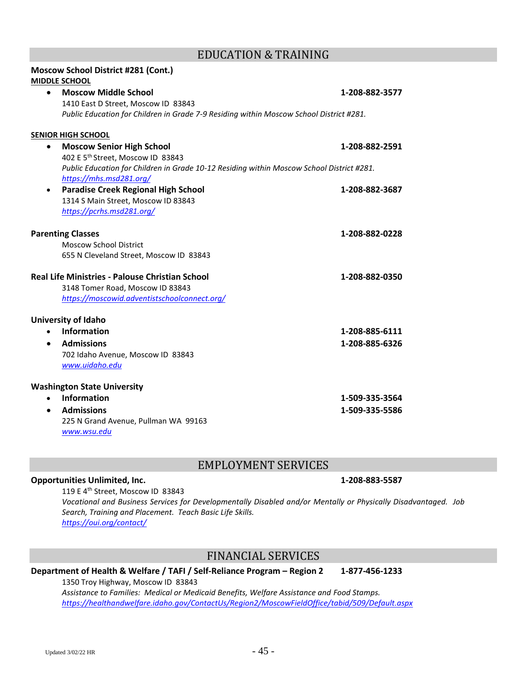# EDUCATION & TRAINING

| <b>Moscow School District #281 (Cont.)</b>                                                                           |                |
|----------------------------------------------------------------------------------------------------------------------|----------------|
| <b>MIDDLE SCHOOL</b>                                                                                                 |                |
| <b>Moscow Middle School</b><br>$\bullet$                                                                             | 1-208-882-3577 |
| 1410 East D Street, Moscow ID 83843                                                                                  |                |
| Public Education for Children in Grade 7-9 Residing within Moscow School District #281.                              |                |
| <b>SENIOR HIGH SCHOOL</b>                                                                                            |                |
| <b>Moscow Senior High School</b><br>$\bullet$                                                                        | 1-208-882-2591 |
| 402 E 5 <sup>th</sup> Street, Moscow ID 83843                                                                        |                |
| Public Education for Children in Grade 10-12 Residing within Moscow School District #281.<br>https://mhs.msd281.org/ |                |
| <b>Paradise Creek Regional High School</b>                                                                           | 1-208-882-3687 |
| 1314 S Main Street, Moscow ID 83843                                                                                  |                |
| https://pcrhs.msd281.org/                                                                                            |                |
| <b>Parenting Classes</b>                                                                                             | 1-208-882-0228 |
| <b>Moscow School District</b>                                                                                        |                |
| 655 N Cleveland Street, Moscow ID 83843                                                                              |                |
| Real Life Ministries - Palouse Christian School                                                                      | 1-208-882-0350 |
| 3148 Tomer Road, Moscow ID 83843                                                                                     |                |
| https://moscowid.adventistschoolconnect.org/                                                                         |                |
| University of Idaho                                                                                                  |                |
| <b>Information</b>                                                                                                   | 1-208-885-6111 |
| <b>Admissions</b><br>$\bullet$                                                                                       | 1-208-885-6326 |
| 702 Idaho Avenue, Moscow ID 83843                                                                                    |                |
| www.uidaho.edu                                                                                                       |                |
| <b>Washington State University</b>                                                                                   |                |
| Information<br>$\bullet$                                                                                             | 1-509-335-3564 |
| <b>Admissions</b><br>$\bullet$                                                                                       | 1-509-335-5586 |
| 225 N Grand Avenue, Pullman WA 99163                                                                                 |                |
| www.wsu.edu                                                                                                          |                |

# EMPLOYMENT SERVICES

### **Opportunities Unlimited, Inc. 1-208-883-5587**

### 119 E 4th Street, Moscow ID 83843 *Vocational and Business Services for Developmentally Disabled and/or Mentally or Physically Disadvantaged. Job Search, Training and Placement. Teach Basic Life Skills. <https://oui.org/contact/>*

# FINANCIAL SERVICES

### **Department of Health & Welfare / TAFI / Self-Reliance Program – Region 2 1-877-456-1233**

1350 Troy Highway, Moscow ID 83843 *Assistance to Families: Medical or Medicaid Benefits, Welfare Assistance and Food Stamps. <https://healthandwelfare.idaho.gov/ContactUs/Region2/MoscowFieldOffice/tabid/509/Default.aspx>*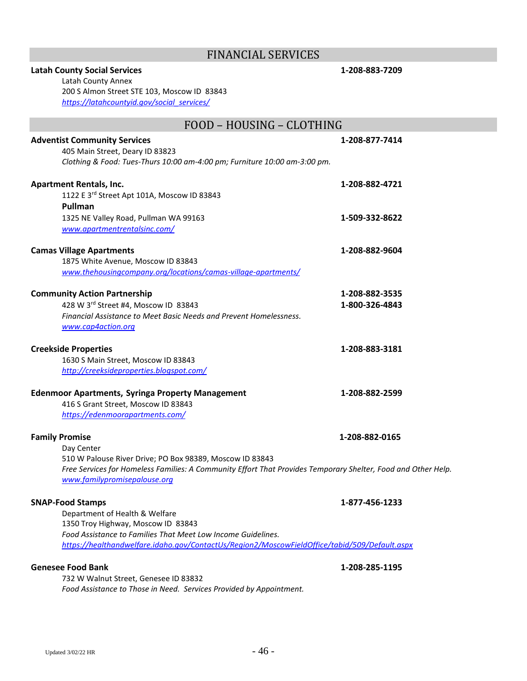# FINANCIAL SERVICES

| <b>Latah County Social Services</b><br>Latah County Annex<br>200 S Almon Street STE 103, Moscow ID 83843      | 1-208-883-7209 |
|---------------------------------------------------------------------------------------------------------------|----------------|
| https://latahcountyid.gov/social services/                                                                    |                |
| FOOD - HOUSING - CLOTHING                                                                                     |                |
| <b>Adventist Community Services</b>                                                                           | 1-208-877-7414 |
| 405 Main Street, Deary ID 83823                                                                               |                |
| Clothing & Food: Tues-Thurs 10:00 am-4:00 pm; Furniture 10:00 am-3:00 pm.                                     |                |
| <b>Apartment Rentals, Inc.</b>                                                                                | 1-208-882-4721 |
| 1122 E 3rd Street Apt 101A, Moscow ID 83843                                                                   |                |
| Pullman                                                                                                       |                |
| 1325 NE Valley Road, Pullman WA 99163                                                                         | 1-509-332-8622 |
| www.apartmentrentalsinc.com/                                                                                  |                |
| <b>Camas Village Apartments</b>                                                                               | 1-208-882-9604 |
| 1875 White Avenue, Moscow ID 83843                                                                            |                |
| www.thehousingcompany.org/locations/camas-village-apartments/                                                 |                |
| <b>Community Action Partnership</b>                                                                           | 1-208-882-3535 |
| 428 W 3rd Street #4, Moscow ID 83843                                                                          | 1-800-326-4843 |
| Financial Assistance to Meet Basic Needs and Prevent Homelessness.<br>www.cap4action.org                      |                |
| <b>Creekside Properties</b>                                                                                   | 1-208-883-3181 |
| 1630 S Main Street, Moscow ID 83843                                                                           |                |
| http://creeksideproperties.blogspot.com/                                                                      |                |
| <b>Edenmoor Apartments, Syringa Property Management</b>                                                       | 1-208-882-2599 |
| 416 S Grant Street, Moscow ID 83843                                                                           |                |
| https://edenmoorapartments.com/                                                                               |                |
| <b>Family Promise</b>                                                                                         | 1-208-882-0165 |
| Day Center                                                                                                    |                |
| 510 W Palouse River Drive; PO Box 98389, Moscow ID 83843                                                      |                |
| Free Services for Homeless Families: A Community Effort That Provides Temporary Shelter, Food and Other Help. |                |
| www.familypromisepalouse.org                                                                                  |                |
| <b>SNAP-Food Stamps</b>                                                                                       | 1-877-456-1233 |
| Department of Health & Welfare                                                                                |                |
| 1350 Troy Highway, Moscow ID 83843                                                                            |                |
| Food Assistance to Families That Meet Low Income Guidelines.                                                  |                |
| https://healthandwelfare.idaho.gov/ContactUs/Region2/MoscowFieldOffice/tabid/509/Default.aspx                 |                |
| <b>Genesee Food Bank</b>                                                                                      | 1-208-285-1195 |
| 732 W Walnut Street, Genesee ID 83832                                                                         |                |

Updated 3/02/22 HR  $- 46$  -

*Food Assistance to Those in Need. Services Provided by Appointment.*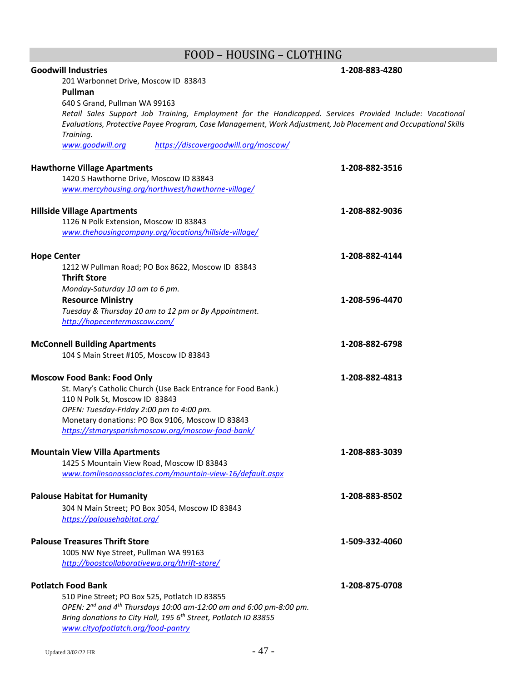# FOOD – HOUSING – CLOTHING

| <b>Goodwill Industries</b>                                                                                     | 1-208-883-4280 |
|----------------------------------------------------------------------------------------------------------------|----------------|
| 201 Warbonnet Drive, Moscow ID 83843<br><b>Pullman</b>                                                         |                |
| 640 S Grand, Pullman WA 99163                                                                                  |                |
| Retail Sales Support Job Training, Employment for the Handicapped. Services Provided Include: Vocational       |                |
| Evaluations, Protective Payee Program, Case Management, Work Adjustment, Job Placement and Occupational Skills |                |
| Training.                                                                                                      |                |
| https://discovergoodwill.org/moscow/<br>www.goodwill.org                                                       |                |
| <b>Hawthorne Village Apartments</b>                                                                            | 1-208-882-3516 |
| 1420 S Hawthorne Drive, Moscow ID 83843                                                                        |                |
| www.mercyhousing.org/northwest/hawthorne-village/                                                              |                |
| <b>Hillside Village Apartments</b>                                                                             | 1-208-882-9036 |
| 1126 N Polk Extension, Moscow ID 83843                                                                         |                |
| www.thehousingcompany.org/locations/hillside-village/                                                          |                |
| <b>Hope Center</b>                                                                                             | 1-208-882-4144 |
| 1212 W Pullman Road; PO Box 8622, Moscow ID 83843                                                              |                |
| <b>Thrift Store</b>                                                                                            |                |
| Monday-Saturday 10 am to 6 pm.                                                                                 |                |
| <b>Resource Ministry</b>                                                                                       | 1-208-596-4470 |
| Tuesday & Thursday 10 am to 12 pm or By Appointment.                                                           |                |
| http://hopecentermoscow.com/                                                                                   |                |
| <b>McConnell Building Apartments</b>                                                                           | 1-208-882-6798 |
| 104 S Main Street #105, Moscow ID 83843                                                                        |                |
|                                                                                                                |                |
| <b>Moscow Food Bank: Food Only</b>                                                                             | 1-208-882-4813 |
| St. Mary's Catholic Church (Use Back Entrance for Food Bank.)                                                  |                |
| 110 N Polk St, Moscow ID 83843                                                                                 |                |
| OPEN: Tuesday-Friday 2:00 pm to 4:00 pm.                                                                       |                |
| Monetary donations: PO Box 9106, Moscow ID 83843<br>https://stmarysparishmoscow.org/moscow-food-bank/          |                |
|                                                                                                                |                |
| <b>Mountain View Villa Apartments</b>                                                                          | 1-208-883-3039 |
| 1425 S Mountain View Road, Moscow ID 83843                                                                     |                |
| www.tomlinsonassociates.com/mountain-view-16/default.aspx                                                      |                |
| <b>Palouse Habitat for Humanity</b>                                                                            | 1-208-883-8502 |
| 304 N Main Street; PO Box 3054, Moscow ID 83843                                                                |                |
| https://palousehabitat.org/                                                                                    |                |
| <b>Palouse Treasures Thrift Store</b>                                                                          | 1-509-332-4060 |
| 1005 NW Nye Street, Pullman WA 99163                                                                           |                |
| http://boostcollaborativewa.org/thrift-store/                                                                  |                |
| <b>Potlatch Food Bank</b>                                                                                      | 1-208-875-0708 |
| 510 Pine Street; PO Box 525, Potlatch ID 83855                                                                 |                |
| OPEN: $2^{nd}$ and $4^{th}$ Thursdays 10:00 am-12:00 am and 6:00 pm-8:00 pm.                                   |                |
| Bring donations to City Hall, 195 6 <sup>th</sup> Street, Potlatch ID 83855                                    |                |
| www.cityofpotlatch.org/food-pantry                                                                             |                |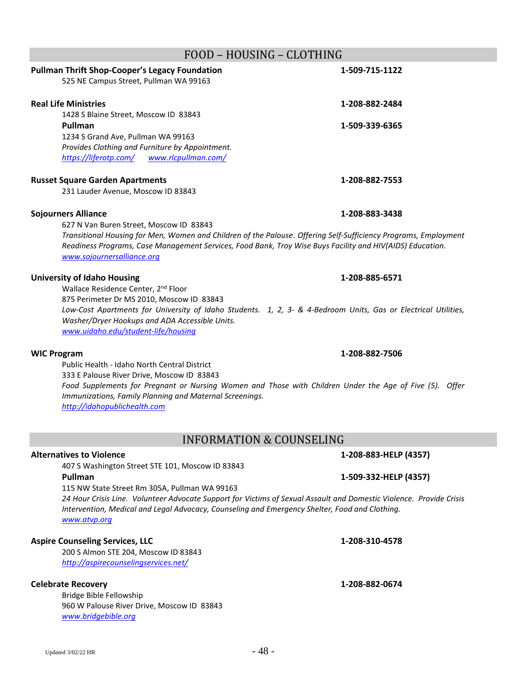# FOOD – HOUSING – CLOTHING **Pullman Thrift Shop-Cooper's Legacy Foundation 1-509-715-1122** 525 NE Campus Street, Pullman WA 99163 **Real Life Ministries 1-208-882-2484** 1428 S Blaine Street, Moscow ID 83843 **Pullman 1-509-339-6365** 1234 S Grand Ave, Pullman WA 99163 *Provides Clothing and Furniture by Appointment. <https://liferotp.com/> [www.rlcpullman.com/](http://www.rlcpullman.com/)* **Russet Square Garden Apartments 1-208-882-7553** 231 Lauder Avenue, Moscow ID 83843 **Sojourners Alliance 1-208-883-3438** 627 N Van Buren Street, Moscow ID 83843 *Transitional Housing for Men, Women and Children of the Palouse. Offering Self-Sufficiency Programs, Employment Readiness Programs, Case Management Services, Food Bank, Troy Wise Buys Facility and HIV(AIDS) Education. [www.sojournersalliance.org](http://www.sojournersalliance.org/)*  **University of Idaho Housing 1-208-885-6571** Wallace Residence Center, 2<sup>nd</sup> Floor 875 Perimeter Dr MS 2010, Moscow ID 83843 *Low-Cost Apartments for University of Idaho Students. 1, 2, 3- & 4-Bedroom Units, Gas or Electrical Utilities, Washer/Dryer Hookups and ADA Accessible Units. [www.uidaho.edu/student-life/housing](http://www.uidaho.edu/student-life/housing)*

### **WIC Program 1-208-882-7506**

Public Health - Idaho North Central District 333 E Palouse River Drive, Moscow ID 83843 *Food Supplements for Pregnant or Nursing Women and Those with Children Under the Age of Five (5). Offer Immunizations, Family Planning and Maternal Screenings. [http://idahopublichealth.com](http://idahopublichealth.com/)*

# INFORMATION & COUNSELING

### **Alternatives to Violence 1-208-883-HELP (4357)**

407 S Washington Street STE 101, Moscow ID 83843 **Pullman 1-509-332-HELP (4357)**

115 NW State Street Rm 305A, Pullman WA 99163 *24 Hour Crisis Line. Volunteer Advocate Support for Victims of Sexual Assault and Domestic Violence. Provide Crisis Intervention, Medical and Legal Advocacy, Counseling and Emergency Shelter, Food and Clothing. [www.atvp.org](http://www.atvp.org/)*

# **Aspire Counseling Services, LLC 1-208-310-4578**

200 S Almon STE 204, Moscow ID 83843 *<http://aspirecounselingservices.net/>*

# **Celebrate Recovery 1-208-882-0674**

Bridge Bible Fellowship 960 W Palouse River Drive, Moscow ID 83843 *[www.bridgebible.org](http://www.bridgebible.org/)*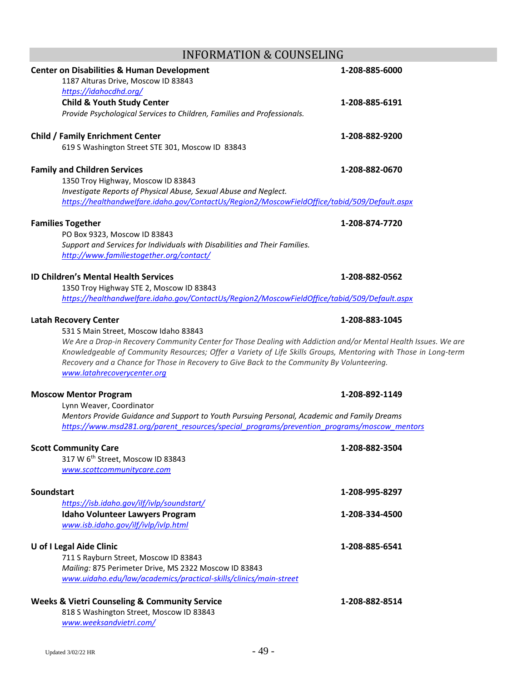# INFORMATION & COUNSELING

| <b>Center on Disabilities &amp; Human Development</b>                                                                     | 1-208-885-6000 |
|---------------------------------------------------------------------------------------------------------------------------|----------------|
| 1187 Alturas Drive, Moscow ID 83843                                                                                       |                |
| https://idahocdhd.org/                                                                                                    |                |
| <b>Child &amp; Youth Study Center</b>                                                                                     | 1-208-885-6191 |
| Provide Psychological Services to Children, Families and Professionals.                                                   |                |
|                                                                                                                           | 1-208-882-9200 |
| <b>Child / Family Enrichment Center</b><br>619 S Washington Street STE 301, Moscow ID 83843                               |                |
|                                                                                                                           |                |
| <b>Family and Children Services</b>                                                                                       | 1-208-882-0670 |
| 1350 Troy Highway, Moscow ID 83843                                                                                        |                |
| Investigate Reports of Physical Abuse, Sexual Abuse and Neglect.                                                          |                |
| https://healthandwelfare.idaho.gov/ContactUs/Region2/MoscowFieldOffice/tabid/509/Default.aspx                             |                |
| <b>Families Together</b>                                                                                                  | 1-208-874-7720 |
| PO Box 9323, Moscow ID 83843                                                                                              |                |
| Support and Services for Individuals with Disabilities and Their Families.                                                |                |
| http://www.familiestogether.org/contact/                                                                                  |                |
|                                                                                                                           |                |
| <b>ID Children's Mental Health Services</b>                                                                               | 1-208-882-0562 |
| 1350 Troy Highway STE 2, Moscow ID 83843                                                                                  |                |
| https://healthandwelfare.idaho.gov/ContactUs/Region2/MoscowFieldOffice/tabid/509/Default.aspx                             |                |
|                                                                                                                           |                |
| Latah Recovery Center                                                                                                     | 1-208-883-1045 |
| 531 S Main Street, Moscow Idaho 83843                                                                                     |                |
| We Are a Drop-in Recovery Community Center for Those Dealing with Addiction and/or Mental Health Issues. We are           |                |
| Knowledgeable of Community Resources; Offer a Variety of Life Skills Groups, Mentoring with Those in Long-term            |                |
| Recovery and a Chance for Those in Recovery to Give Back to the Community By Volunteering.<br>www.latahrecoverycenter.org |                |
|                                                                                                                           |                |
| <b>Moscow Mentor Program</b>                                                                                              | 1-208-892-1149 |
| Lynn Weaver, Coordinator                                                                                                  |                |
| Mentors Provide Guidance and Support to Youth Pursuing Personal, Academic and Family Dreams                               |                |
| https://www.msd281.org/parent_resources/special_programs/prevention_programs/moscow_mentors                               |                |
| <b>Scott Community Care</b>                                                                                               | 1-208-882-3504 |
| 317 W 6 <sup>th</sup> Street, Moscow ID 83843                                                                             |                |
| www.scottcommunitycare.com                                                                                                |                |
|                                                                                                                           |                |
| <b>Soundstart</b>                                                                                                         | 1-208-995-8297 |
| https://isb.idaho.gov/ilf/ivlp/soundstart/                                                                                |                |
| <b>Idaho Volunteer Lawyers Program</b>                                                                                    | 1-208-334-4500 |
| www.isb.idaho.gov/ilf/ivlp/ivlp.html                                                                                      |                |
|                                                                                                                           |                |
| U of I Legal Aide Clinic                                                                                                  | 1-208-885-6541 |
| 711 S Rayburn Street, Moscow ID 83843                                                                                     |                |
| Mailing: 875 Perimeter Drive, MS 2322 Moscow ID 83843                                                                     |                |
| www.uidaho.edu/law/academics/practical-skills/clinics/main-street                                                         |                |
|                                                                                                                           |                |
| <b>Weeks &amp; Vietri Counseling &amp; Community Service</b>                                                              | 1-208-882-8514 |
| 818 S Washington Street, Moscow ID 83843                                                                                  |                |
| www.weeksandvietri.com/                                                                                                   |                |
|                                                                                                                           |                |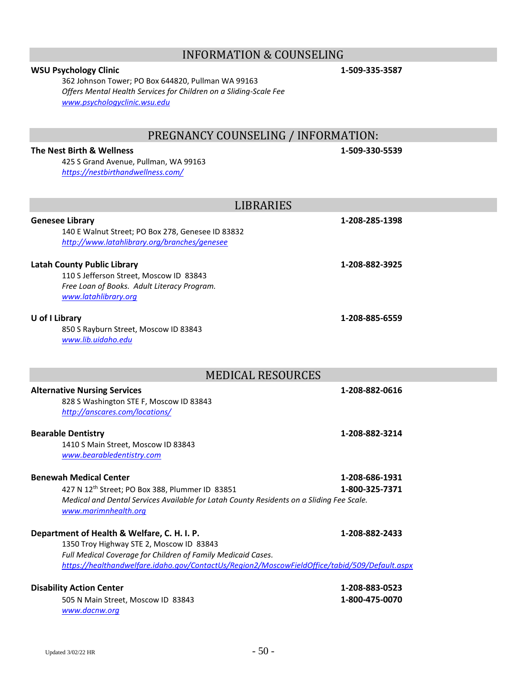# INFORMATION & COUNSELING

### **WSU Psychology Clinic 1-509-335-3587**

362 Johnson Tower; PO Box 644820, Pullman WA 99163 *Offers Mental Health Services for Children on a Sliding-Scale Fee [www.psychologyclinic.wsu.edu](http://www.psychologyclinic.wsu.edu/)*

# PREGNANCY COUNSELING / INFORMATION:

### **The Nest Birth & Wellness 1-509-330-5539**

425 S Grand Avenue, Pullman, WA 99163 *<https://nestbirthandwellness.com/>*

| <b>LIBRARIES</b>                                                                                                                                                                                                                                         |                                  |
|----------------------------------------------------------------------------------------------------------------------------------------------------------------------------------------------------------------------------------------------------------|----------------------------------|
| <b>Genesee Library</b><br>140 E Walnut Street; PO Box 278, Genesee ID 83832<br>http://www.latahlibrary.org/branches/genesee                                                                                                                              | 1-208-285-1398                   |
| <b>Latah County Public Library</b><br>110 S Jefferson Street, Moscow ID 83843<br>Free Loan of Books. Adult Literacy Program.<br>www.latahlibrary.org                                                                                                     | 1-208-882-3925                   |
| U of I Library<br>850 S Rayburn Street, Moscow ID 83843<br>www.lib.uidaho.edu                                                                                                                                                                            | 1-208-885-6559                   |
| <b>MEDICAL RESOURCES</b>                                                                                                                                                                                                                                 |                                  |
| <b>Alternative Nursing Services</b><br>828 S Washington STE F, Moscow ID 83843<br>http://anscares.com/locations/                                                                                                                                         | 1-208-882-0616                   |
| <b>Bearable Dentistry</b><br>1410 S Main Street, Moscow ID 83843<br>www.bearabledentistry.com                                                                                                                                                            | 1-208-882-3214                   |
| <b>Benewah Medical Center</b><br>427 N 12 <sup>th</sup> Street; PO Box 388, Plummer ID 83851<br>Medical and Dental Services Available for Latah County Residents on a Sliding Fee Scale.<br>www.marimnhealth.org                                         | 1-208-686-1931<br>1-800-325-7371 |
| Department of Health & Welfare, C. H. I. P.<br>1350 Troy Highway STE 2, Moscow ID 83843<br>Full Medical Coverage for Children of Family Medicaid Cases.<br>https://healthandwelfare.idaho.gov/ContactUs/Region2/MoscowFieldOffice/tabid/509/Default.aspx | 1-208-882-2433                   |
| <b>Disability Action Center</b><br>505 N Main Street, Moscow ID 83843<br>www.dacnw.org                                                                                                                                                                   | 1-208-883-0523<br>1-800-475-0070 |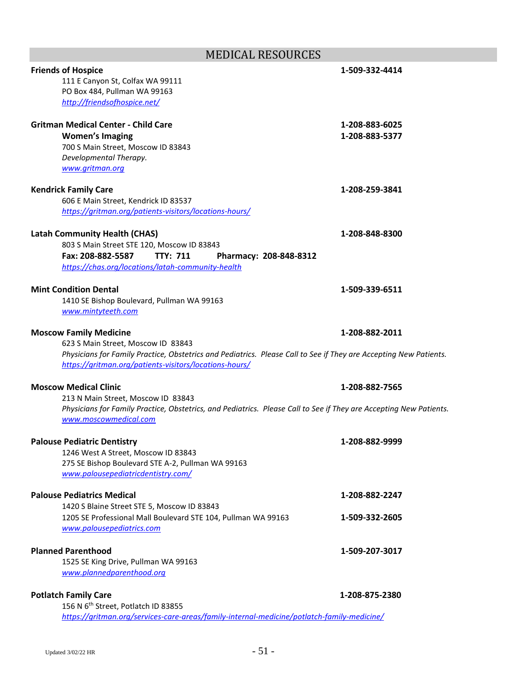# MEDICAL RESOURCES

| <b>Friends of Hospice</b>                                                                                          | 1-509-332-4414 |
|--------------------------------------------------------------------------------------------------------------------|----------------|
| 111 E Canyon St, Colfax WA 99111                                                                                   |                |
| PO Box 484, Pullman WA 99163                                                                                       |                |
| http://friendsofhospice.net/                                                                                       |                |
| <b>Gritman Medical Center - Child Care</b>                                                                         | 1-208-883-6025 |
| <b>Women's Imaging</b>                                                                                             | 1-208-883-5377 |
| 700 S Main Street, Moscow ID 83843                                                                                 |                |
| Developmental Therapy.                                                                                             |                |
| www.gritman.org                                                                                                    |                |
| <b>Kendrick Family Care</b>                                                                                        | 1-208-259-3841 |
| 606 E Main Street, Kendrick ID 83537                                                                               |                |
| https://gritman.org/patients-visitors/locations-hours/                                                             |                |
|                                                                                                                    |                |
| <b>Latah Community Health (CHAS)</b>                                                                               | 1-208-848-8300 |
| 803 S Main Street STE 120, Moscow ID 83843<br>Fax: 208-882-5587<br><b>TTY: 711</b>                                 |                |
| Pharmacy: 208-848-8312<br>https://chas.org/locations/latah-community-health                                        |                |
|                                                                                                                    |                |
| <b>Mint Condition Dental</b>                                                                                       | 1-509-339-6511 |
| 1410 SE Bishop Boulevard, Pullman WA 99163                                                                         |                |
| www.mintyteeth.com                                                                                                 |                |
| <b>Moscow Family Medicine</b>                                                                                      | 1-208-882-2011 |
| 623 S Main Street, Moscow ID 83843                                                                                 |                |
| Physicians for Family Practice, Obstetrics and Pediatrics. Please Call to See if They are Accepting New Patients.  |                |
| https://gritman.org/patients-visitors/locations-hours/                                                             |                |
| <b>Moscow Medical Clinic</b>                                                                                       | 1-208-882-7565 |
| 213 N Main Street, Moscow ID 83843                                                                                 |                |
| Physicians for Family Practice, Obstetrics, and Pediatrics. Please Call to See if They are Accepting New Patients. |                |
| www.moscowmedical.com                                                                                              |                |
|                                                                                                                    |                |
| <b>Palouse Pediatric Dentistry</b>                                                                                 | 1-208-882-9999 |
| 1246 West A Street, Moscow ID 83843<br>275 SE Bishop Boulevard STE A-2, Pullman WA 99163                           |                |
| www.palousepediatricdentistry.com/                                                                                 |                |
|                                                                                                                    |                |
| <b>Palouse Pediatrics Medical</b>                                                                                  | 1-208-882-2247 |
| 1420 S Blaine Street STE 5, Moscow ID 83843                                                                        |                |
| 1205 SE Professional Mall Boulevard STE 104, Pullman WA 99163                                                      | 1-509-332-2605 |
| www.palousepediatrics.com                                                                                          |                |
| <b>Planned Parenthood</b>                                                                                          | 1-509-207-3017 |
| 1525 SE King Drive, Pullman WA 99163                                                                               |                |
| www.plannedparenthood.org                                                                                          |                |
|                                                                                                                    |                |
| <b>Potlatch Family Care</b>                                                                                        | 1-208-875-2380 |
| 156 N 6 <sup>th</sup> Street, Potlatch ID 83855                                                                    |                |
| https://gritman.org/services-care-areas/family-internal-medicine/potlatch-family-medicine/                         |                |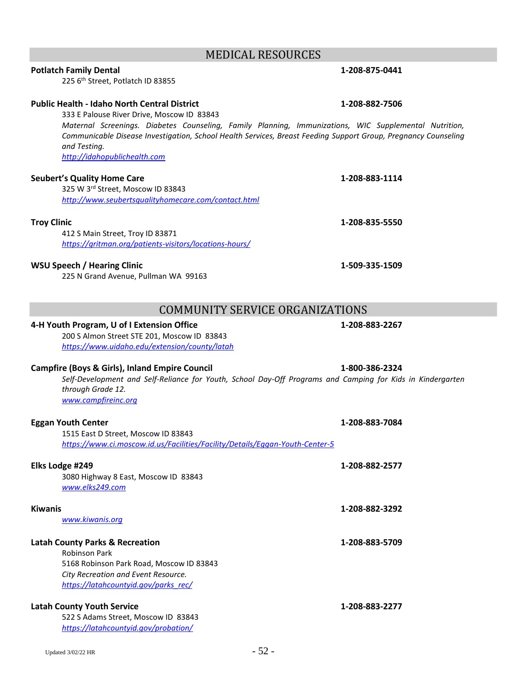# MEDICAL RESOURCES

# **Potlatch Family Dental 1-208-875-0441**

225 6<sup>th</sup> Street, Potlatch ID 83855

### **Public Health - Idaho North Central District 1-208-882-7506**

333 E Palouse River Drive, Moscow ID 83843

*Maternal Screenings. Diabetes Counseling, Family Planning, Immunizations, WIC Supplemental Nutrition, Communicable Disease Investigation, School Health Services, Breast Feeding Support Group, Pregnancy Counseling and Testing. [http://idahopublichealth.com](http://idahopublichealth.com/)*

### **Seubert's Quality Home Care 1-208-883-1114**

325 W 3rd Street, Moscow ID 83843 *<http://www.seubertsqualityhomecare.com/contact.html>*

412 S Main Street, Troy ID 83871 *<https://gritman.org/patients-visitors/locations-hours/>*

### **WSU Speech / Hearing Clinic 1-509-335-1509**

225 N Grand Avenue, Pullman WA 99163

# COMMUNITY SERVICE ORGANIZATIONS

### **4-H Youth Program, U of I Extension Office 1-208-883-2267**

200 S Almon Street STE 201, Moscow ID 83843 *<https://www.uidaho.edu/extension/county/latah>*

### **Campfire (Boys & Girls), Inland Empire Council 1-800-386-2324**

*Self-Development and Self-Reliance for Youth, School Day-Off Programs and Camping for Kids in Kindergarten through Grade 12. [www.campfireinc.org](http://www.campfireinc.org/)*

| <b>Eggan Youth Center</b>                                                    | 1-208-883-7084 |
|------------------------------------------------------------------------------|----------------|
| 1515 East D Street, Moscow ID 83843                                          |                |
| https://www.ci.moscow.id.us/Facilities/Facility/Details/Eggan-Youth-Center-5 |                |
| Elks Lodge #249                                                              | 1-208-882-2577 |
| 3080 Highway 8 East, Moscow ID 83843                                         |                |
| www.elks249.com                                                              |                |
| <b>Kiwanis</b>                                                               | 1-208-882-3292 |
| www.kiwanis.org                                                              |                |
|                                                                              |                |
| <b>Latah County Parks &amp; Recreation</b>                                   | 1-208-883-5709 |
| <b>Robinson Park</b>                                                         |                |
| 5168 Robinson Park Road, Moscow ID 83843                                     |                |
| City Recreation and Event Resource.                                          |                |
| https://latahcountyid.gov/parks rec/                                         |                |
| <b>Latah County Youth Service</b>                                            | 1-208-883-2277 |
| 522 S Adams Street, Moscow ID 83843                                          |                |
| https://latahcountyid.gov/probation/                                         |                |
|                                                                              |                |
| - 52 -<br>Updated 3/02/22 HR                                                 |                |

**Troy Clinic 1-208-835-5550**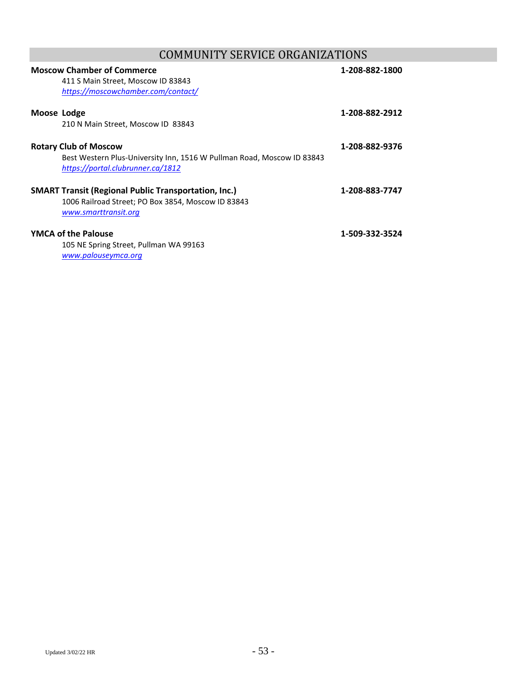# COMMUNITY SERVICE ORGANIZATIONS

|                              | <b>Moscow Chamber of Commerce</b><br>411 S Main Street, Moscow ID 83843<br>https://moscowchamber.com/contact/                             | 1-208-882-1800 |
|------------------------------|-------------------------------------------------------------------------------------------------------------------------------------------|----------------|
| Moose Lodge                  | 210 N Main Street, Moscow ID 83843                                                                                                        | 1-208-882-2912 |
| <b>Rotary Club of Moscow</b> | Best Western Plus-University Inn, 1516 W Pullman Road, Moscow ID 83843<br>https://portal.clubrunner.ca/1812                               | 1-208-882-9376 |
|                              | <b>SMART Transit (Regional Public Transportation, Inc.)</b><br>1006 Railroad Street; PO Box 3854, Moscow ID 83843<br>www.smarttransit.org | 1-208-883-7747 |
| <b>YMCA of the Palouse</b>   | 105 NE Spring Street, Pullman WA 99163<br>www.palouseymca.org                                                                             | 1-509-332-3524 |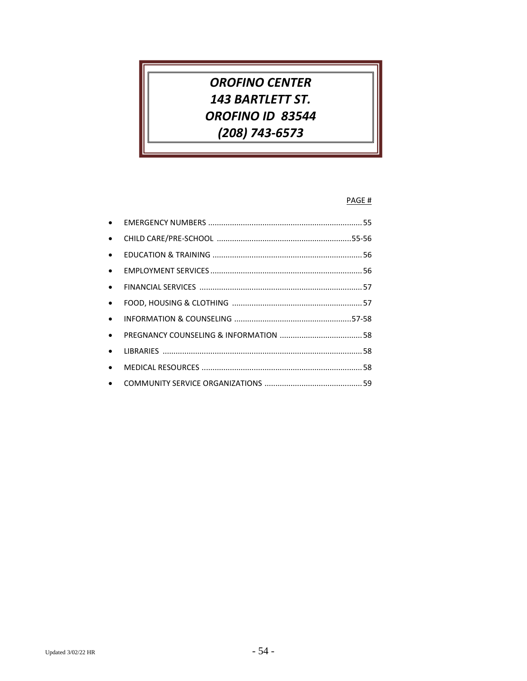# **OROFINO CENTER** 143 BARTLETT ST. OROFINO ID 83544 (208) 743-6573

### PAGE #

| $\bullet$ |  |
|-----------|--|
| $\bullet$ |  |
| $\bullet$ |  |
| $\bullet$ |  |
| $\bullet$ |  |
| $\bullet$ |  |
| $\bullet$ |  |
| $\bullet$ |  |
| $\bullet$ |  |
| $\bullet$ |  |
|           |  |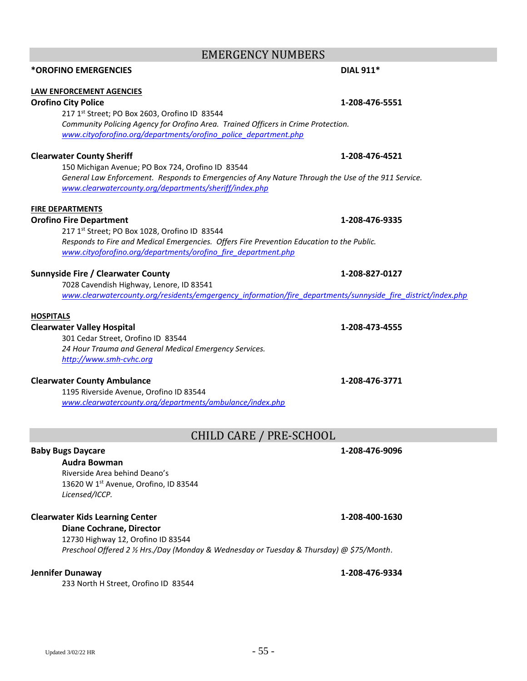## EMERGENCY NUMBERS

### **LAW ENFORCEMENT AGENCIES**

### **Orofino City Police 1-208-476-5551**

217 1st Street; PO Box 2603, Orofino ID 83544 *Community Policing Agency for Orofino Area. Trained Officers in Crime Protection. [www.cityoforofino.org/departments/orofino\\_police\\_department.php](http://www.cityoforofino.org/departments/orofino_police_department.php)*

### **Clearwater County Sheriff 1-208-476-4521**

150 Michigan Avenue; PO Box 724, Orofino ID 83544 *General Law Enforcement. Responds to Emergencies of Any Nature Through the Use of the 911 Service. [www.clearwatercounty.org/departments/sheriff/index.php](http://www.clearwatercounty.org/departments/sheriff/index.php)*

### **FIRE DEPARTMENTS**

### **Orofino Fire Department 1-208-476-9335**

217 1st Street; PO Box 1028, Orofino ID 83544 *Responds to Fire and Medical Emergencies. Offers Fire Prevention Education to the Public. [www.cityoforofino.org/departments/orofino\\_fire\\_department.php](http://www.cityoforofino.org/departments/orofino_fire_department.php)*

### **Sunnyside Fire / Clearwater County 1-208-827-0127**

7028 Cavendish Highway, Lenore, ID 83541 *[www.clearwatercounty.org/residents/emgergency\\_information/fire\\_departments/sunnyside\\_fire\\_district/index.php](http://www.clearwatercounty.org/residents/emgergency_information/fire_departments/sunnyside_fire_district/index.php)*

### **HOSPITALS**

### **Clearwater Valley Hospital 1-208-473-4555**

301 Cedar Street, Orofino ID 83544 *24 Hour Trauma and General Medical Emergency Services. [http://www.smh-cvhc.org](http://www.smh-cvhc.org/)*

### **Clearwater County Ambulance 1-208-476-3771**

1195 Riverside Avenue, Orofino ID 83544 *[www.clearwatercounty.org/departments/ambulance/index.php](http://www.clearwatercounty.org/departments/ambulance/index.php)*

# CHILD CARE / PRE-SCHOOL

### **Baby Bugs Daycare 1-208-476-9096**

**Audra Bowman** Riverside Area behind Deano's 13620 W 1st Avenue, Orofino, ID 83544 *Licensed/ICCP.*

### **Clearwater Kids Learning Center 1-208-400-1630**

**Diane Cochrane, Director** 12730 Highway 12, Orofino ID 83544 *Preschool Offered 2 ½ Hrs./Day (Monday & Wednesday or Tuesday & Thursday) @ \$75/Month.*

### **Jennifer Dunaway 1-208-476-9334**

233 North H Street, Orofino ID 83544

**\*OROFINO EMERGENCIES DIAL 911\***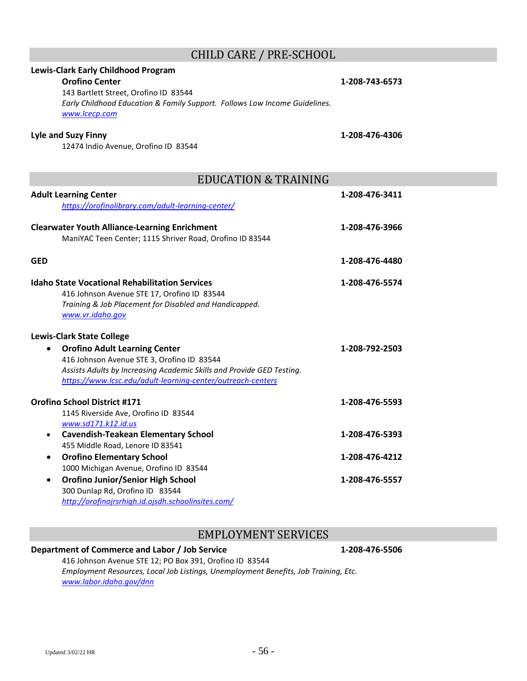# CHILD CARE / PRE-SCHOOL

# **Lewis-Clark Early Childhood Program Orofino Center 1-208-743-6573** 143 Bartlett Street, Orofino ID 83544 *Early Childhood Education & Family Support. Follows Low Income Guidelines. [www.lcecp.com](http://www.lcecp.com/)* **Lyle and Suzy Finny 1-208-476-4306** 12474 Indio Avenue, Orofino ID 83544 EDUCATION & TRAINING **Adult Learning Center 1-208-476-3411** *<https://orofinolibrary.com/adult-learning-center/>* **Clearwater Youth Alliance-Learning Enrichment 1-208-476-3966** ManiYAC Teen Center; 1115 Shriver Road, Orofino ID 83544 **GED 1-208-476-4480**

**Idaho State Vocational Rehabilitation Services 1-208-476-5574** 416 Johnson Avenue STE 17, Orofino ID 83544 *Training & Job Placement for Disabled and Handicapped. [www.vr.idaho.gov](http://www.vr.idaho.gov/)*

| <b>Lewis-Clark State College</b>                                      |                |
|-----------------------------------------------------------------------|----------------|
| <b>Orofino Adult Learning Center</b><br>$\bullet$                     | 1-208-792-2503 |
| 416 Johnson Avenue STE 3, Orofino ID 83544                            |                |
| Assists Adults by Increasing Academic Skills and Provide GED Testing. |                |
| https://www.lcsc.edu/adult-learning-center/outreach-centers           |                |
| Orofino School District #171                                          | 1-208-476-5593 |
| 1145 Riverside Ave, Orofino ID 83544                                  |                |
| www.sd171.k12.id.us                                                   |                |
| <b>Cavendish-Teakean Elementary School</b><br>$\bullet$               | 1-208-476-5393 |
| 455 Middle Road, Lenore ID 83541                                      |                |
| <b>Orofino Elementary School</b><br>$\bullet$                         | 1-208-476-4212 |
| 1000 Michigan Avenue, Orofino ID 83544                                |                |
| <b>Orofino Junior/Senior High School</b><br>$\bullet$                 | 1-208-476-5557 |
| 300 Dunlap Rd, Orofino ID 83544                                       |                |
| http://orofinojrsrhigh.id.ojsdh.schoolinsites.com/                    |                |

### EMPLOYMENT SERVICES

### **Department of Commerce and Labor / Job Service 1-208-476-5506**

416 Johnson Avenue STE 12; PO Box 391, Orofino ID 83544 *Employment Resources, Local Job Listings, Unemployment Benefits, Job Training, Etc. [www.labor.idaho.gov/dnn](http://www.labor.idaho.gov/dnn)*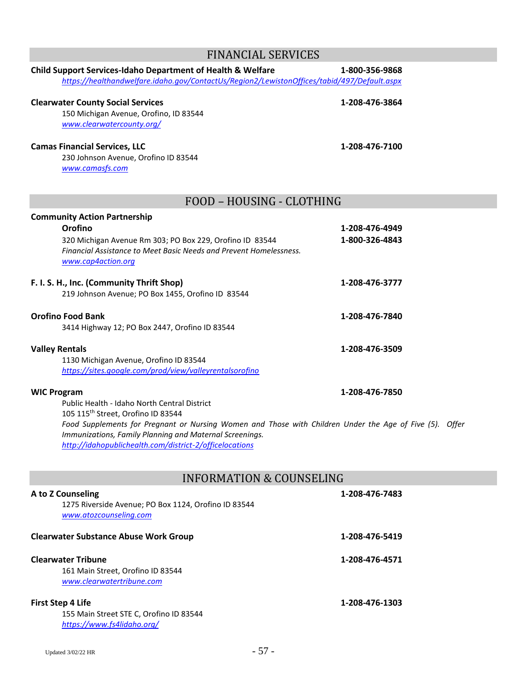| <b>FINANCIAL SERVICES</b>                                                                                                                                                                                                     |                                  |  |
|-------------------------------------------------------------------------------------------------------------------------------------------------------------------------------------------------------------------------------|----------------------------------|--|
| Child Support Services-Idaho Department of Health & Welfare<br>https://healthandwelfare.idaho.gov/ContactUs/Region2/LewistonOffices/tabid/497/Default.aspx                                                                    | 1-800-356-9868                   |  |
| <b>Clearwater County Social Services</b><br>150 Michigan Avenue, Orofino, ID 83544<br>www.clearwatercounty.org/                                                                                                               | 1-208-476-3864                   |  |
| <b>Camas Financial Services, LLC</b><br>230 Johnson Avenue, Orofino ID 83544<br>www.camasfs.com                                                                                                                               | 1-208-476-7100                   |  |
| FOOD - HOUSING - CLOTHING                                                                                                                                                                                                     |                                  |  |
| <b>Community Action Partnership</b><br>Orofino<br>320 Michigan Avenue Rm 303; PO Box 229, Orofino ID 83544<br>Financial Assistance to Meet Basic Needs and Prevent Homelessness.<br>www.cap4action.org                        | 1-208-476-4949<br>1-800-326-4843 |  |
| F. I. S. H., Inc. (Community Thrift Shop)<br>219 Johnson Avenue; PO Box 1455, Orofino ID 83544                                                                                                                                | 1-208-476-3777                   |  |
| <b>Orofino Food Bank</b><br>3414 Highway 12; PO Box 2447, Orofino ID 83544                                                                                                                                                    | 1-208-476-7840                   |  |
| <b>Valley Rentals</b><br>1130 Michigan Avenue, Orofino ID 83544<br>https://sites.google.com/prod/view/valleyrentalsorofino                                                                                                    | 1-208-476-3509                   |  |
| <b>WIC Program</b><br>Public Health - Idaho North Central District<br>105 115th Street, Orofino ID 83544                                                                                                                      | 1-208-476-7850                   |  |
| Food Supplements for Pregnant or Nursing Women and Those with Children Under the Age of Five (5). Offer<br>Immunizations, Family Planning and Maternal Screenings.<br>http://idahopublichealth.com/district-2/officelocations |                                  |  |
| <b>INFORMATION &amp; COUNSELING</b>                                                                                                                                                                                           |                                  |  |
| A to Z Counseling<br>1275 Riverside Avenue; PO Box 1124, Orofino ID 83544                                                                                                                                                     | 1-208-476-7483                   |  |

*[www.atozcounseling.com](http://www.atozcounseling.com/)*

### **Clearwater Substance Abuse Work Group 1-208-476-5419**

## **Clearwater Tribune 1-208-476-4571**

161 Main Street, Orofino ID 83544 *[www.clearwatertribune.com](http://www.clearwatertribune.com/)*

### **First Step 4 Life 1-208-476-1303**

155 Main Street STE C, Orofino ID 83544 *<https://www.fs4lidaho.org/>*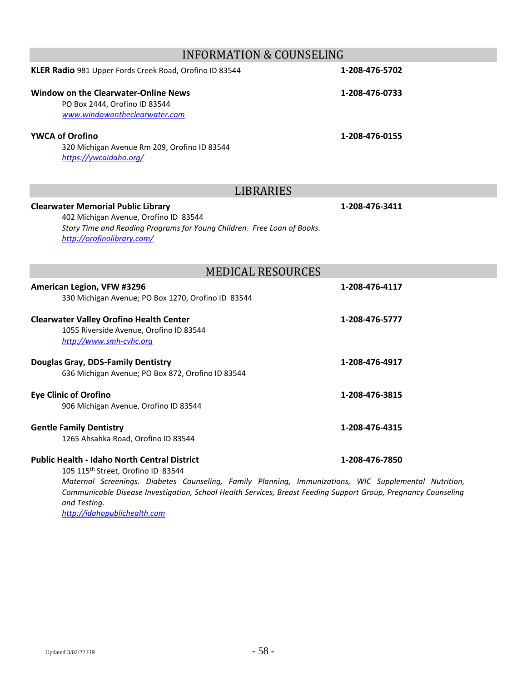| <b>INFORMATION &amp; COUNSELING</b>                                                                                                                                                                                                                                                                                                              |                |  |
|--------------------------------------------------------------------------------------------------------------------------------------------------------------------------------------------------------------------------------------------------------------------------------------------------------------------------------------------------|----------------|--|
| KLER Radio 981 Upper Fords Creek Road, Orofino ID 83544                                                                                                                                                                                                                                                                                          | 1-208-476-5702 |  |
| <b>Window on the Clearwater-Online News</b><br>PO Box 2444, Orofino ID 83544<br>www.windowontheclearwater.com                                                                                                                                                                                                                                    | 1-208-476-0733 |  |
| <b>YWCA of Orofino</b><br>320 Michigan Avenue Rm 209, Orofino ID 83544<br>https://ywcaidaho.org/                                                                                                                                                                                                                                                 | 1-208-476-0155 |  |
| <b>LIBRARIES</b>                                                                                                                                                                                                                                                                                                                                 |                |  |
| <b>Clearwater Memorial Public Library</b><br>402 Michigan Avenue, Orofino ID 83544<br>Story Time and Reading Programs for Young Children. Free Loan of Books.<br>http://orofinolibrary.com/                                                                                                                                                      | 1-208-476-3411 |  |
| <b>MEDICAL RESOURCES</b>                                                                                                                                                                                                                                                                                                                         |                |  |
| American Legion, VFW #3296<br>330 Michigan Avenue; PO Box 1270, Orofino ID 83544                                                                                                                                                                                                                                                                 | 1-208-476-4117 |  |
| <b>Clearwater Valley Orofino Health Center</b><br>1055 Riverside Avenue, Orofino ID 83544<br>http://www.smh-cvhc.org                                                                                                                                                                                                                             | 1-208-476-5777 |  |
| <b>Douglas Gray, DDS-Family Dentistry</b><br>636 Michigan Avenue; PO Box 872, Orofino ID 83544                                                                                                                                                                                                                                                   | 1-208-476-4917 |  |
| <b>Eye Clinic of Orofino</b><br>906 Michigan Avenue, Orofino ID 83544                                                                                                                                                                                                                                                                            | 1-208-476-3815 |  |
| <b>Gentle Family Dentistry</b><br>1265 Ahsahka Road, Orofino ID 83544                                                                                                                                                                                                                                                                            | 1-208-476-4315 |  |
| <b>Public Health - Idaho North Central District</b><br>105 115 <sup>th</sup> Street, Orofino ID 83544<br>Maternal Screenings. Diabetes Counseling, Family Planning, Immunizations, WIC Supplemental Nutrition,<br>Communicable Disease Investigation, School Health Services, Breast Feeding Support Group, Pregnancy Counseling<br>and Testing. | 1-208-476-7850 |  |

*[http://idahopublichealth.com](http://idahopublichealth.com/)*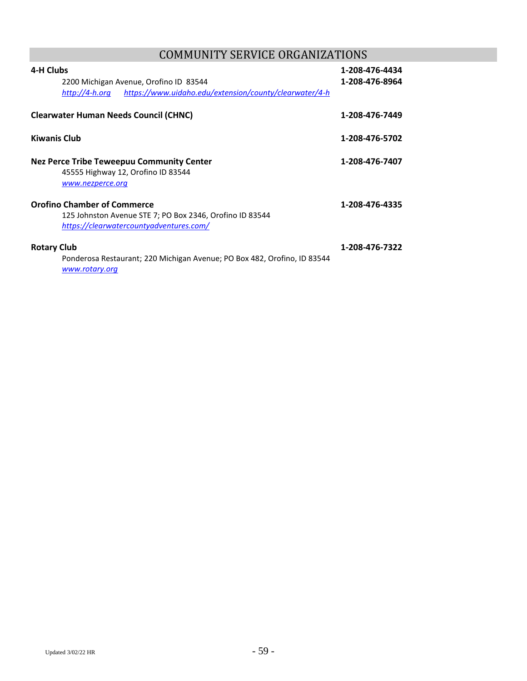# COMMUNITY SERVICE ORGANIZATIONS

| 4-H Clubs<br>2200 Michigan Avenue, Orofino ID 83544<br>https://www.uidaho.edu/extension/county/clearwater/4-h<br>http://4-h.org           | 1-208-476-4434<br>1-208-476-8964 |
|-------------------------------------------------------------------------------------------------------------------------------------------|----------------------------------|
| <b>Clearwater Human Needs Council (CHNC)</b>                                                                                              | 1-208-476-7449                   |
| <b>Kiwanis Club</b>                                                                                                                       | 1-208-476-5702                   |
| <b>Nez Perce Tribe Teweepuu Community Center</b><br>45555 Highway 12, Orofino ID 83544<br>www.nezperce.org                                | 1-208-476-7407                   |
| <b>Orofino Chamber of Commerce</b><br>125 Johnston Avenue STE 7; PO Box 2346, Orofino ID 83544<br>https://clearwatercountyadventures.com/ | 1-208-476-4335                   |
| <b>Rotary Club</b><br>Ponderosa Restaurant; 220 Michigan Avenue; PO Box 482, Orofino, ID 83544<br>www.rotary.org                          | 1-208-476-7322                   |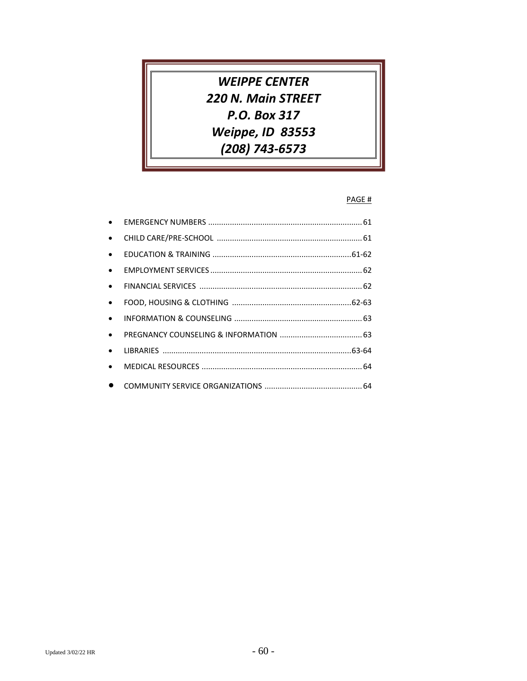**WEIPPE CENTER** 220 N. Main STREET P.O. Box 317 Weippe, ID 83553 (208) 743-6573

### PAGE #

| $\bullet$ |  |
|-----------|--|
| $\bullet$ |  |
| $\bullet$ |  |
| $\bullet$ |  |
| $\bullet$ |  |
| $\bullet$ |  |
| $\bullet$ |  |
| $\bullet$ |  |
| $\bullet$ |  |
| $\bullet$ |  |
|           |  |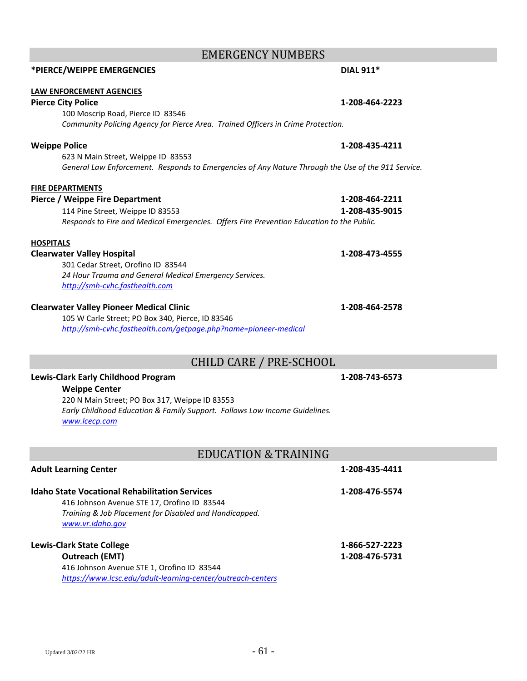# EMERGENCY NUMBERS **\*PIERCE/WEIPPE EMERGENCIES DIAL 911\***

### **LAW ENFORCEMENT AGENCIES**

### **Pierce City Police 1-208-464-2223**

100 Moscrip Road, Pierce ID 83546 *Community Policing Agency for Pierce Area. Trained Officers in Crime Protection.*

### **Weippe Police 1-208-435-4211**

623 N Main Street, Weippe ID 83553 *General Law Enforcement. Responds to Emergencies of Any Nature Through the Use of the 911 Service.*

# **FIRE DEPARTMENTS**

| Pierce / Weippe Fire Department  | 1-208-464-2211                                                                            |
|----------------------------------|-------------------------------------------------------------------------------------------|
| 114 Pine Street, Weippe ID 83553 | 1-208-435-9015                                                                            |
|                                  | Responds to Fire and Medical Emergencies. Offers Fire Prevention Education to the Public. |

### **HOSPITALS**

### **Clearwater Valley Hospital 1-208-473-4555**

301 Cedar Street, Orofino ID 83544 *24 Hour Trauma and General Medical Emergency Services. [http://smh-cvhc.fasthealth.com](http://smh-cvhc.fasthealth.com/)*

### **Clearwater Valley Pioneer Medical Clinic 1-208-464-2578**

105 W Carle Street; PO Box 340, Pierce, ID 83546 *<http://smh-cvhc.fasthealth.com/getpage.php?name=pioneer-medical>*

# CHILD CARE / PRE-SCHOOL

### **Lewis-Clark Early Childhood Program 1-208-743-6573**

**Weippe Center** 220 N Main Street; PO Box 317, Weippe ID 83553 *Early Childhood Education & Family Support. Follows Low Income Guidelines. [www.lcecp.com](http://www.lcecp.com/)*

# EDUCATION & TRAINING

| <b>Idaho State Vocational Rehabilitation Services</b>       | 1-208-476-5574 |
|-------------------------------------------------------------|----------------|
| 416 Johnson Avenue STE 17, Orofino ID 83544                 |                |
| Training & Job Placement for Disabled and Handicapped.      |                |
| www.vr.idaho.gov                                            |                |
| <b>Lewis-Clark State College</b>                            | 1-866-527-2223 |
| <b>Outreach (EMT)</b>                                       | 1-208-476-5731 |
| 416 Johnson Avenue STE 1, Orofino ID 83544                  |                |
| https://www.lcsc.edu/adult-learning-center/outreach-centers |                |

**Adult Learning Center 1-208-435-4411**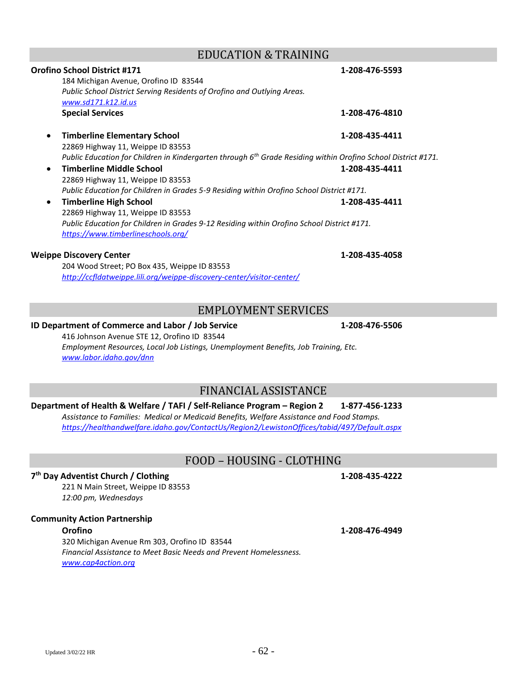# EDUCATION & TRAINING

# 184 Michigan Avenue, Orofino ID 83544 *Public School District Serving Residents of Orofino and Outlying Areas. [www.sd171.k12.id.us](http://www.sd171.k12.id.us/)* **Special Services 1-208-476-4810** • **Timberline Elementary School 1-208-435-4411** 22869 Highway 11, Weippe ID 83553 *Public Education for Children in Kindergarten through 6th Grade Residing within Orofino School District #171.* • **Timberline Middle School 1-208-435-4411** 22869 Highway 11, Weippe ID 83553 *Public Education for Children in Grades 5-9 Residing within Orofino School District #171.* • **Timberline High School 1-208-435-4411** 22869 Highway 11, Weippe ID 83553 *Public Education for Children in Grades 9-12 Residing within Orofino School District #171. <https://www.timberlineschools.org/>*

### **Weippe Discovery Center 1-208-435-4058**

204 Wood Street; PO Box 435, Weippe ID 83553 *<http://ccfldatweippe.lili.org/weippe-discovery-center/visitor-center/>*

# EMPLOYMENT SERVICES

### **ID Department of Commerce and Labor / Job Service 1-208-476-5506**

416 Johnson Avenue STE 12, Orofino ID 83544 *Employment Resources, Local Job Listings, Unemployment Benefits, Job Training, Etc. [www.labor.idaho.gov/dnn](http://www.labor.idaho.gov/dnn)*

# FINANCIAL ASSISTANCE

### **Department of Health & Welfare / TAFI / Self-Reliance Program – Region 2 1-877-456-1233**

*Assistance to Families: Medical or Medicaid Benefits, Welfare Assistance and Food Stamps. <https://healthandwelfare.idaho.gov/ContactUs/Region2/LewistonOffices/tabid/497/Default.aspx>*

# FOOD – HOUSING - CLOTHING

### **7 th Day Adventist Church / Clothing 1-208-435-4222**

221 N Main Street, Weippe ID 83553 *12:00 pm, Wednesdays*

### **Community Action Partnership**

320 Michigan Avenue Rm 303, Orofino ID 83544 *Financial Assistance to Meet Basic Needs and Prevent Homelessness. [www.cap4action.org](http://www.cap4action.org/)* 

**Orofino School District #171 1-208-476-5593**

**Orofino 1-208-476-4949**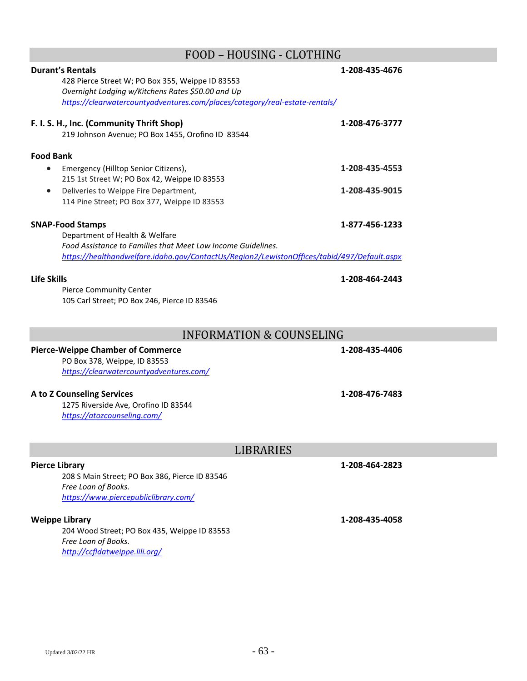# FOOD – HOUSING - CLOTHING

| <b>Durant's Rentals</b><br>428 Pierce Street W; PO Box 355, Weippe ID 83553<br>Overnight Lodging w/Kitchens Rates \$50.00 and Up<br>https://clearwatercountyadventures.com/places/category/real-estate-rentals/ | 1-208-435-4676 |
|-----------------------------------------------------------------------------------------------------------------------------------------------------------------------------------------------------------------|----------------|
| F. I. S. H., Inc. (Community Thrift Shop)<br>219 Johnson Avenue; PO Box 1455, Orofino ID 83544                                                                                                                  | 1-208-476-3777 |
| <b>Food Bank</b>                                                                                                                                                                                                |                |
| Emergency (Hilltop Senior Citizens),                                                                                                                                                                            | 1-208-435-4553 |
| 215 1st Street W; PO Box 42, Weippe ID 83553                                                                                                                                                                    |                |
| Deliveries to Weippe Fire Department,<br>$\bullet$                                                                                                                                                              | 1-208-435-9015 |
| 114 Pine Street; PO Box 377, Weippe ID 83553                                                                                                                                                                    |                |
| <b>SNAP-Food Stamps</b>                                                                                                                                                                                         | 1-877-456-1233 |
| Department of Health & Welfare                                                                                                                                                                                  |                |
| Food Assistance to Families that Meet Low Income Guidelines.                                                                                                                                                    |                |
| https://healthandwelfare.idaho.gov/ContactUs/Region2/LewistonOffices/tabid/497/Default.aspx                                                                                                                     |                |
|                                                                                                                                                                                                                 |                |
| <b>Life Skills</b>                                                                                                                                                                                              | 1-208-464-2443 |
| <b>Pierce Community Center</b>                                                                                                                                                                                  |                |
| 105 Carl Street; PO Box 246, Pierce ID 83546                                                                                                                                                                    |                |
|                                                                                                                                                                                                                 |                |
| <b>INFORMATION &amp; COUNSELING</b>                                                                                                                                                                             |                |
| <b>Pierce-Weippe Chamber of Commerce</b>                                                                                                                                                                        | 1-208-435-4406 |
| PO Box 378, Weippe, ID 83553                                                                                                                                                                                    |                |
| https://clearwatercountyadventures.com/                                                                                                                                                                         |                |
| A to Z Counseling Services                                                                                                                                                                                      | 1-208-476-7483 |
| 1275 Riverside Ave, Orofino ID 83544                                                                                                                                                                            |                |
| https://atozcounseling.com/                                                                                                                                                                                     |                |
|                                                                                                                                                                                                                 |                |
|                                                                                                                                                                                                                 |                |
| LIBRARIES                                                                                                                                                                                                       |                |
| <b>Pierce Library</b>                                                                                                                                                                                           | 1-208-464-2823 |
| 208 S Main Street; PO Box 386, Pierce ID 83546                                                                                                                                                                  |                |
| Free Loan of Books.                                                                                                                                                                                             |                |
| https://www.piercepubliclibrary.com/                                                                                                                                                                            |                |
| <b>Weippe Library</b>                                                                                                                                                                                           |                |
| 204 Wood Street; PO Box 435, Weippe ID 83553                                                                                                                                                                    | 1-208-435-4058 |
| Free Loan of Books.                                                                                                                                                                                             |                |
| http://ccfldatweippe.lili.org/                                                                                                                                                                                  |                |
|                                                                                                                                                                                                                 |                |